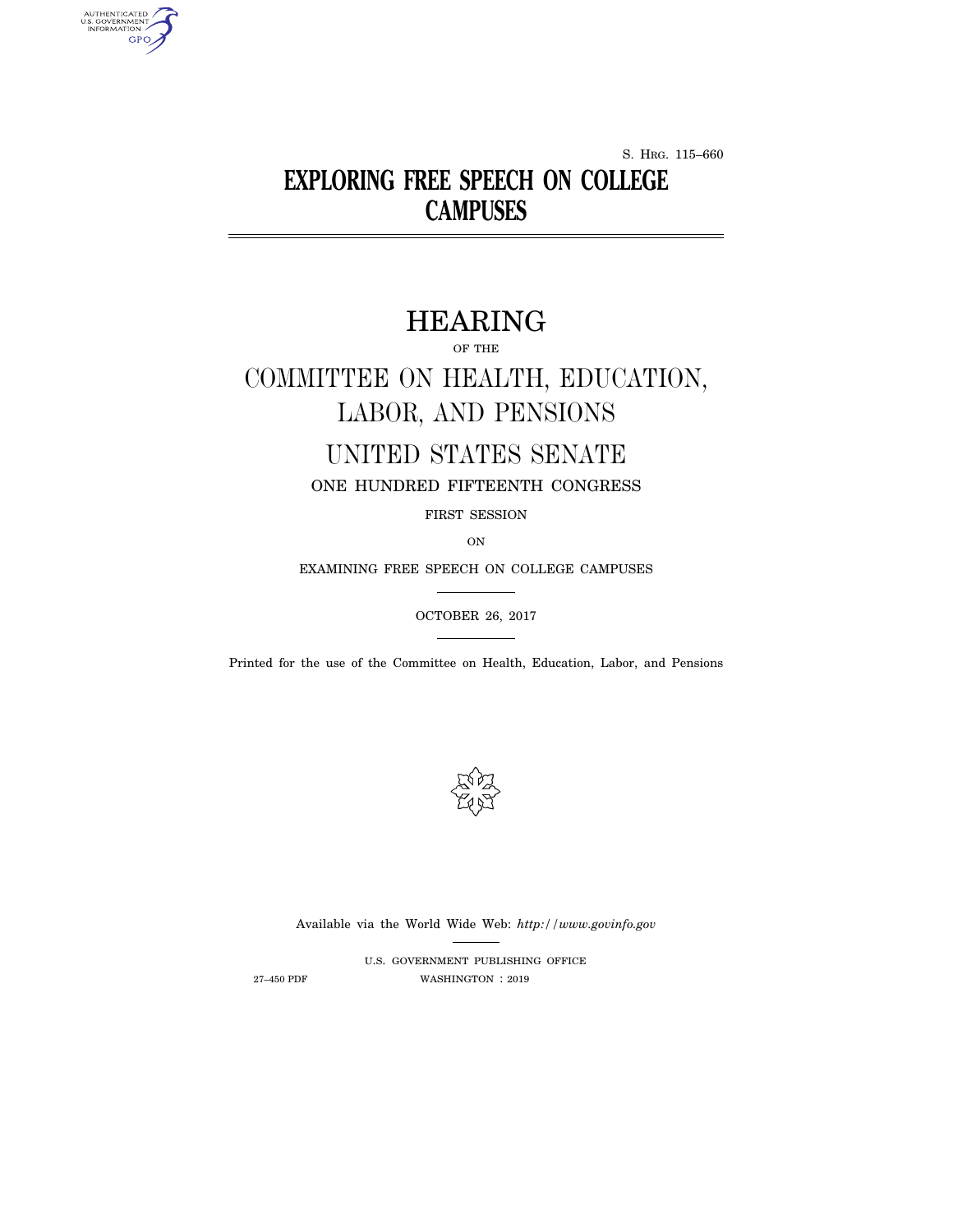S. HRG. 115–660

# **EXPLORING FREE SPEECH ON COLLEGE CAMPUSES**

# HEARING

OF THE

# COMMITTEE ON HEALTH, EDUCATION, LABOR, AND PENSIONS

# UNITED STATES SENATE

ONE HUNDRED FIFTEENTH CONGRESS

FIRST SESSION

ON

EXAMINING FREE SPEECH ON COLLEGE CAMPUSES

OCTOBER 26, 2017

Printed for the use of the Committee on Health, Education, Labor, and Pensions



Available via the World Wide Web: *http://www.govinfo.gov* 

U.S. GOVERNMENT PUBLISHING OFFICE 27–450 PDF WASHINGTON : 2019

AUTHENTICATED<br>U.S. GOVERNMENT<br>INFORMATION GPO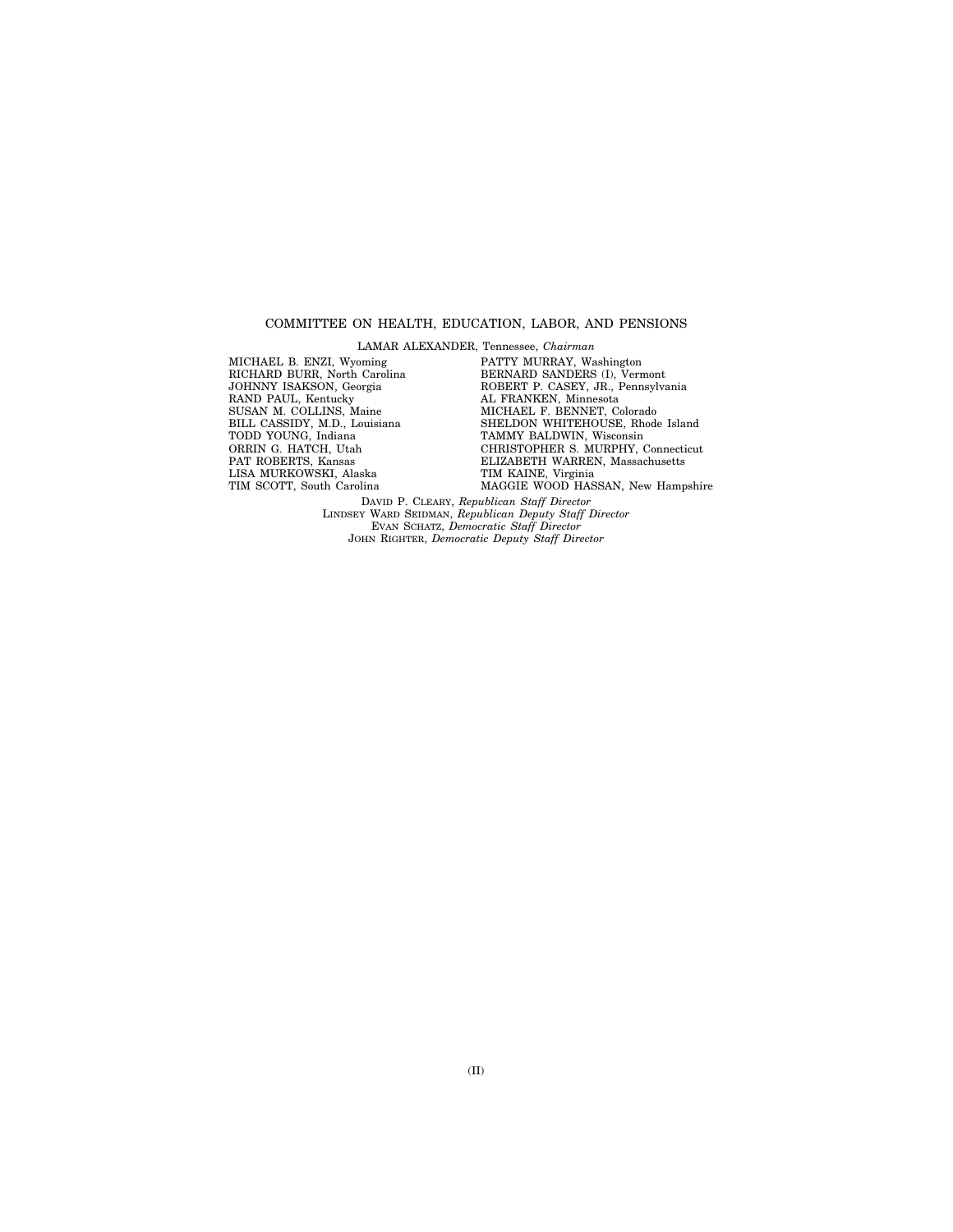# COMMITTEE ON HEALTH, EDUCATION, LABOR, AND PENSIONS

LAMAR ALEXANDER, Tennessee, *Chairman* 

MICHAEL B. ENZI, Wyoming RICHARD BURR, North Carolina JOHNNY ISAKSON, Georgia RAND PAUL, Kentucky SUSAN M. COLLINS, Maine BILL CASSIDY, M.D., Louisiana TODD YOUNG, Indiana ORRIN G. HATCH, Utah PAT ROBERTS, Kansas LISA MURKOWSKI, Alaska TIM SCOTT, South Carolina

PATTY MURRAY, Washington BERNARD SANDERS (I), Vermont ROBERT P. CASEY, JR., Pennsylvania AL FRANKEN, Minnesota MICHAEL F. BENNET, Colorado SHELDON WHITEHOUSE, Rhode Island TAMMY BALDWIN, Wisconsin CHRISTOPHER S. MURPHY, Connecticut ELIZABETH WARREN, Massachusetts TIM KAINE, Virginia MAGGIE WOOD HASSAN, New Hampshire

DAVID P. CLEARY, *Republican Staff Director*  LINDSEY WARD SEIDMAN, *Republican Deputy Staff Director*  EVAN SCHATZ, *Democratic Staff Director*  JOHN RIGHTER, *Democratic Deputy Staff Director*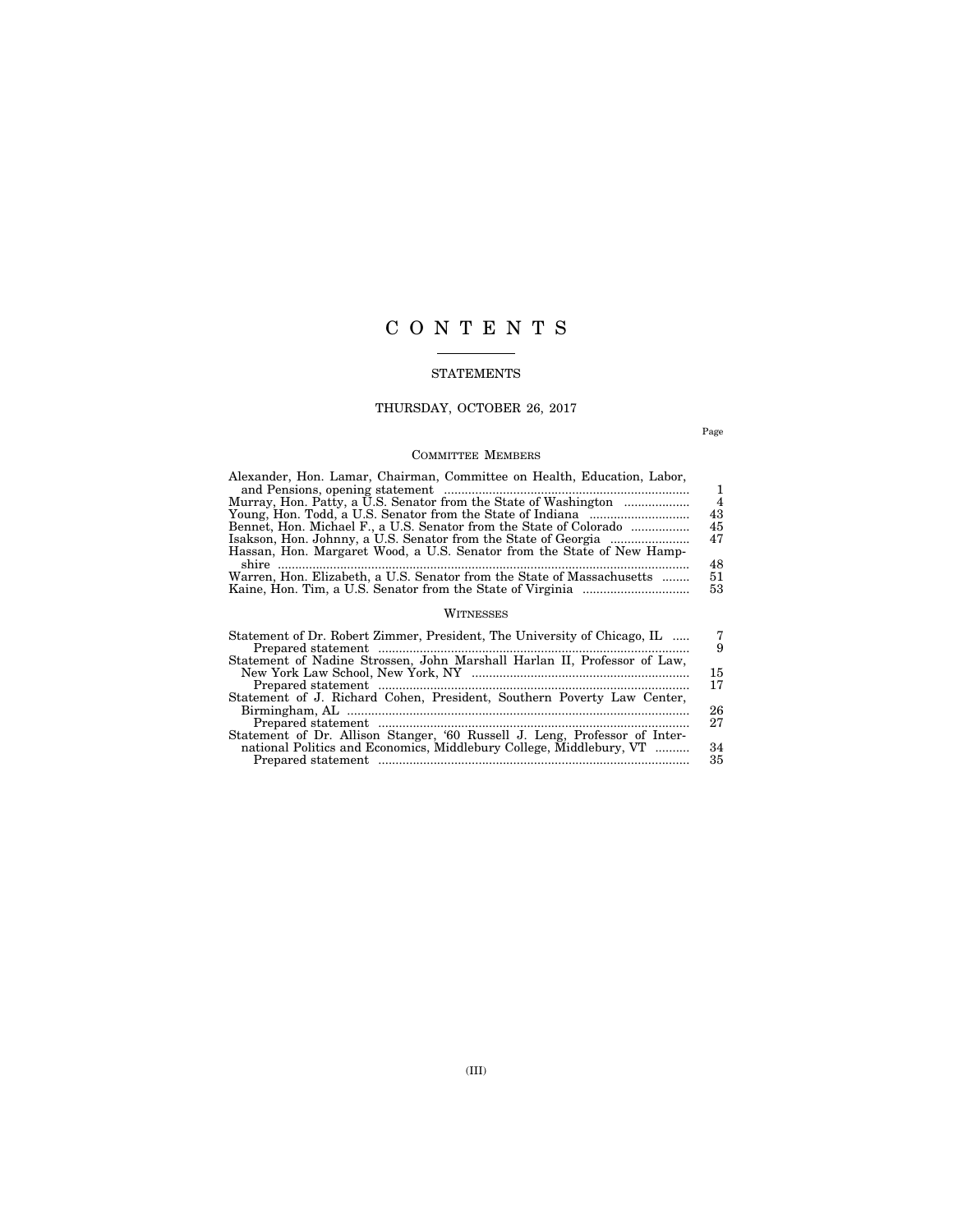# C O N T E N T S

# STATEMENTS

# THURSDAY, OCTOBER 26, 2017

Page

# COMMITTEE MEMBERS

| Alexander, Hon. Lamar, Chairman, Committee on Health, Education, Labor,<br>Murray, Hon. Patty, a U.S. Senator from the State of Washington<br>Bennet, Hon. Michael F., a U.S. Senator from the State of Colorado<br>Hassan, Hon. Margaret Wood, a U.S. Senator from the State of New Hamp- | 1.<br>4<br>43<br>45<br>47 |
|--------------------------------------------------------------------------------------------------------------------------------------------------------------------------------------------------------------------------------------------------------------------------------------------|---------------------------|
|                                                                                                                                                                                                                                                                                            | 48                        |
| Warren, Hon. Elizabeth, a U.S. Senator from the State of Massachusetts                                                                                                                                                                                                                     | 51<br>53                  |
| WITNESSES                                                                                                                                                                                                                                                                                  |                           |

# WITNESSES

| Statement of Dr. Robert Zimmer, President, The University of Chicago, IL   |    |
|----------------------------------------------------------------------------|----|
|                                                                            |    |
| Statement of Nadine Strossen, John Marshall Harlan II, Professor of Law,   |    |
|                                                                            | 15 |
|                                                                            | 17 |
| Statement of J. Richard Cohen, President, Southern Poverty Law Center,     |    |
|                                                                            | 26 |
|                                                                            | 27 |
| Statement of Dr. Allison Stanger, '60 Russell J. Leng, Professor of Inter- |    |
| national Politics and Economics, Middlebury College, Middlebury, VT        | 34 |
|                                                                            | 35 |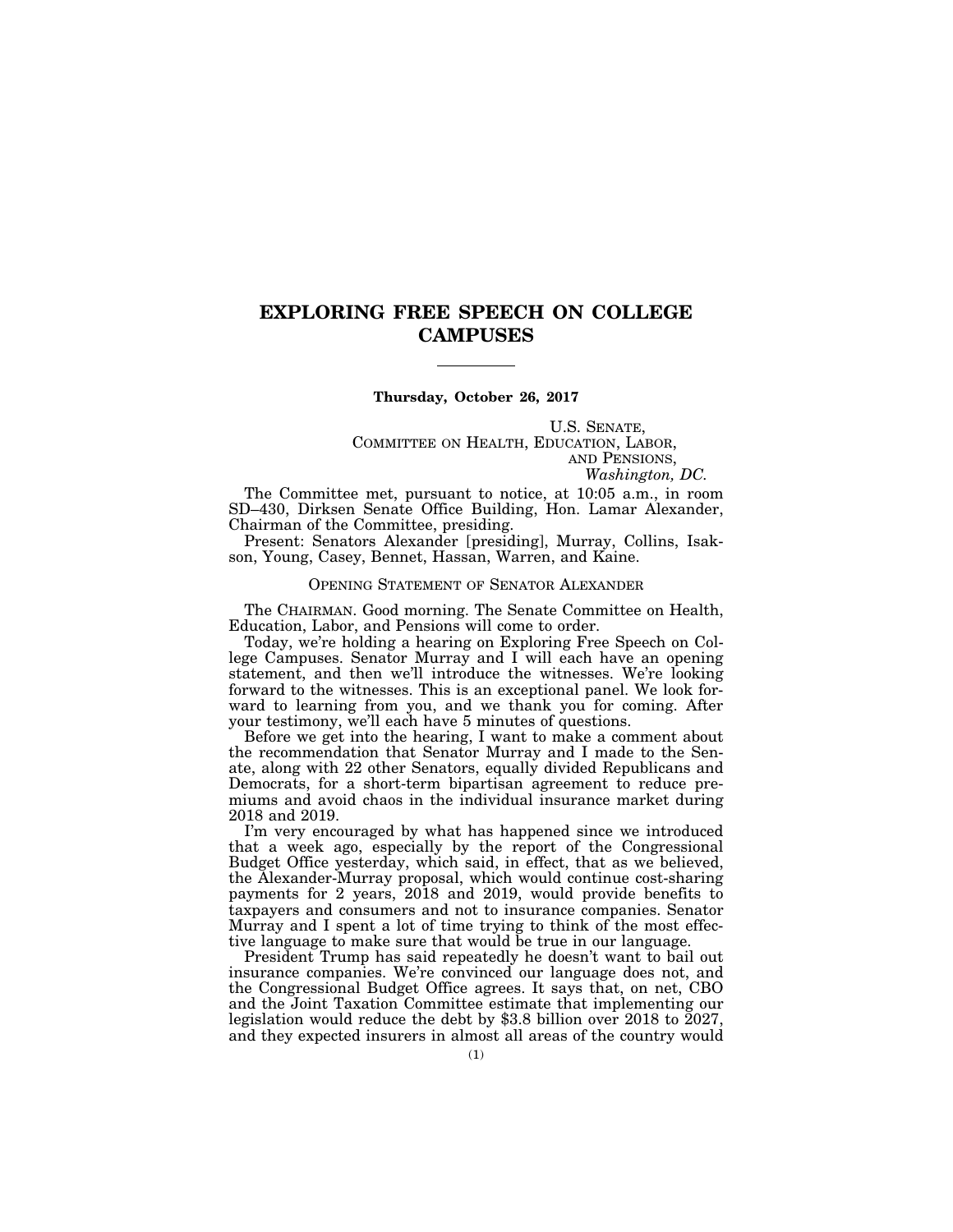# **EXPLORING FREE SPEECH ON COLLEGE CAMPUSES**

### **Thursday, October 26, 2017**

U.S. SENATE, COMMITTEE ON HEALTH, EDUCATION, LABOR, AND PENSIONS, *Washington, DC.* 

The Committee met, pursuant to notice, at 10:05 a.m., in room SD–430, Dirksen Senate Office Building, Hon. Lamar Alexander, Chairman of the Committee, presiding.

Present: Senators Alexander [presiding], Murray, Collins, Isakson, Young, Casey, Bennet, Hassan, Warren, and Kaine.

# OPENING STATEMENT OF SENATOR ALEXANDER

The CHAIRMAN. Good morning. The Senate Committee on Health, Education, Labor, and Pensions will come to order.

Today, we're holding a hearing on Exploring Free Speech on College Campuses. Senator Murray and I will each have an opening statement, and then we'll introduce the witnesses. We're looking forward to the witnesses. This is an exceptional panel. We look forward to learning from you, and we thank you for coming. After your testimony, we'll each have 5 minutes of questions.

Before we get into the hearing, I want to make a comment about the recommendation that Senator Murray and I made to the Senate, along with 22 other Senators, equally divided Republicans and Democrats, for a short-term bipartisan agreement to reduce premiums and avoid chaos in the individual insurance market during 2018 and 2019.

I'm very encouraged by what has happened since we introduced that a week ago, especially by the report of the Congressional Budget Office yesterday, which said, in effect, that as we believed, the Alexander-Murray proposal, which would continue cost-sharing payments for 2 years, 2018 and 2019, would provide benefits to taxpayers and consumers and not to insurance companies. Senator Murray and I spent a lot of time trying to think of the most effective language to make sure that would be true in our language.

President Trump has said repeatedly he doesn't want to bail out insurance companies. We're convinced our language does not, and the Congressional Budget Office agrees. It says that, on net, CBO and the Joint Taxation Committee estimate that implementing our legislation would reduce the debt by \$3.8 billion over 2018 to 2027, and they expected insurers in almost all areas of the country would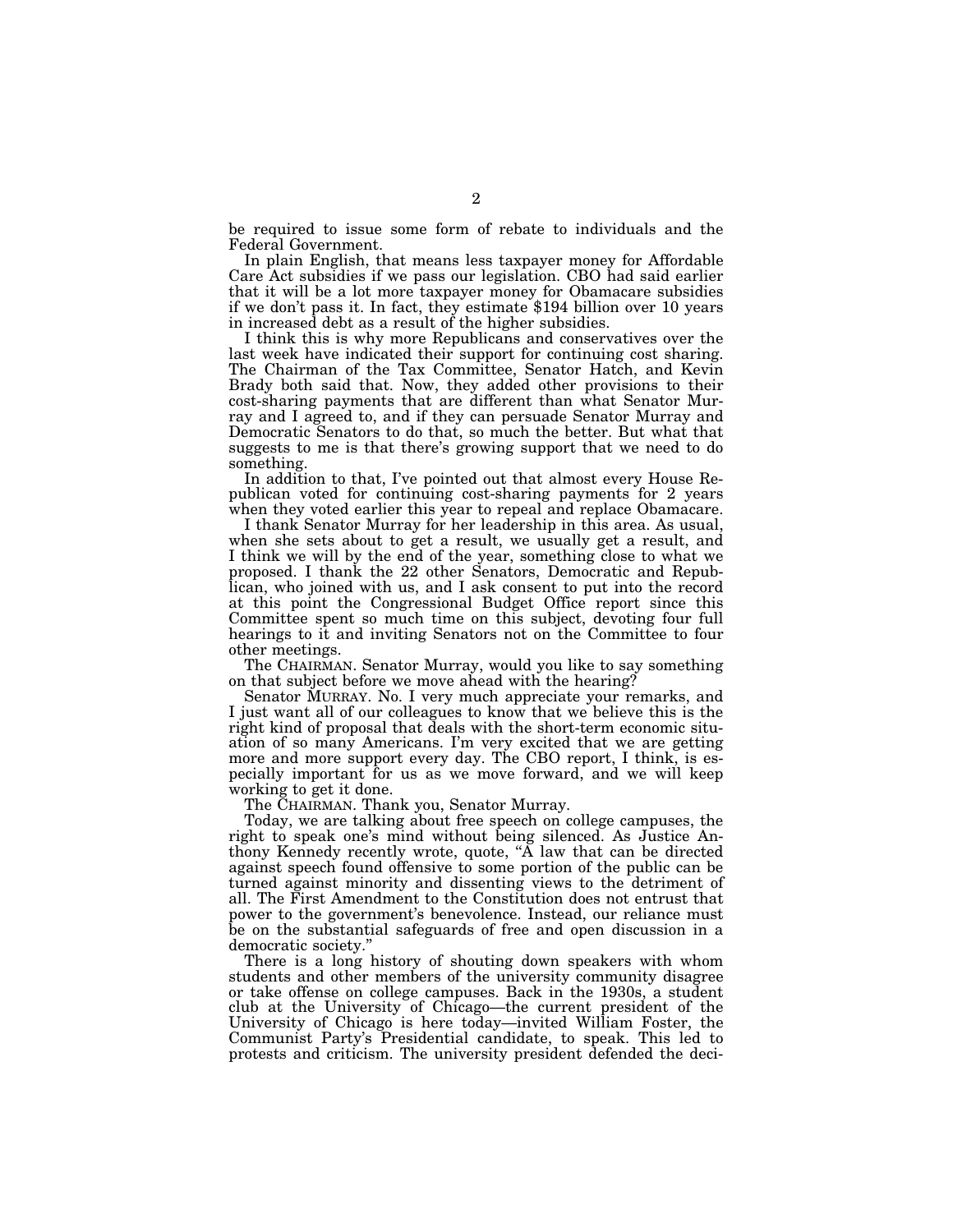be required to issue some form of rebate to individuals and the Federal Government.

In plain English, that means less taxpayer money for Affordable Care Act subsidies if we pass our legislation. CBO had said earlier that it will be a lot more taxpayer money for Obamacare subsidies if we don't pass it. In fact, they estimate \$194 billion over 10 years in increased debt as a result of the higher subsidies.

I think this is why more Republicans and conservatives over the last week have indicated their support for continuing cost sharing. The Chairman of the Tax Committee, Senator Hatch, and Kevin Brady both said that. Now, they added other provisions to their cost-sharing payments that are different than what Senator Murray and I agreed to, and if they can persuade Senator Murray and Democratic Senators to do that, so much the better. But what that suggests to me is that there's growing support that we need to do something.

In addition to that, I've pointed out that almost every House Republican voted for continuing cost-sharing payments for 2 years when they voted earlier this year to repeal and replace Obamacare.

I thank Senator Murray for her leadership in this area. As usual, when she sets about to get a result, we usually get a result, and I think we will by the end of the year, something close to what we proposed. I thank the 22 other Senators, Democratic and Republican, who joined with us, and I ask consent to put into the record at this point the Congressional Budget Office report since this Committee spent so much time on this subject, devoting four full hearings to it and inviting Senators not on the Committee to four other meetings.

The CHAIRMAN. Senator Murray, would you like to say something on that subject before we move ahead with the hearing?

Senator MURRAY. No. I very much appreciate your remarks, and I just want all of our colleagues to know that we believe this is the right kind of proposal that deals with the short-term economic situation of so many Americans. I'm very excited that we are getting more and more support every day. The CBO report, I think, is especially important for us as we move forward, and we will keep working to get it done.

The CHAIRMAN. Thank you, Senator Murray.

Today, we are talking about free speech on college campuses, the right to speak one's mind without being silenced. As Justice Anthony Kennedy recently wrote, quote, "A law that can be directed against speech found offensive to some portion of the public can be turned against minority and dissenting views to the detriment of all. The First Amendment to the Constitution does not entrust that power to the government's benevolence. Instead, our reliance must be on the substantial safeguards of free and open discussion in a democratic society.''

There is a long history of shouting down speakers with whom students and other members of the university community disagree or take offense on college campuses. Back in the 1930s, a student club at the University of Chicago—the current president of the University of Chicago is here today—invited William Foster, the Communist Party's Presidential candidate, to speak. This led to protests and criticism. The university president defended the deci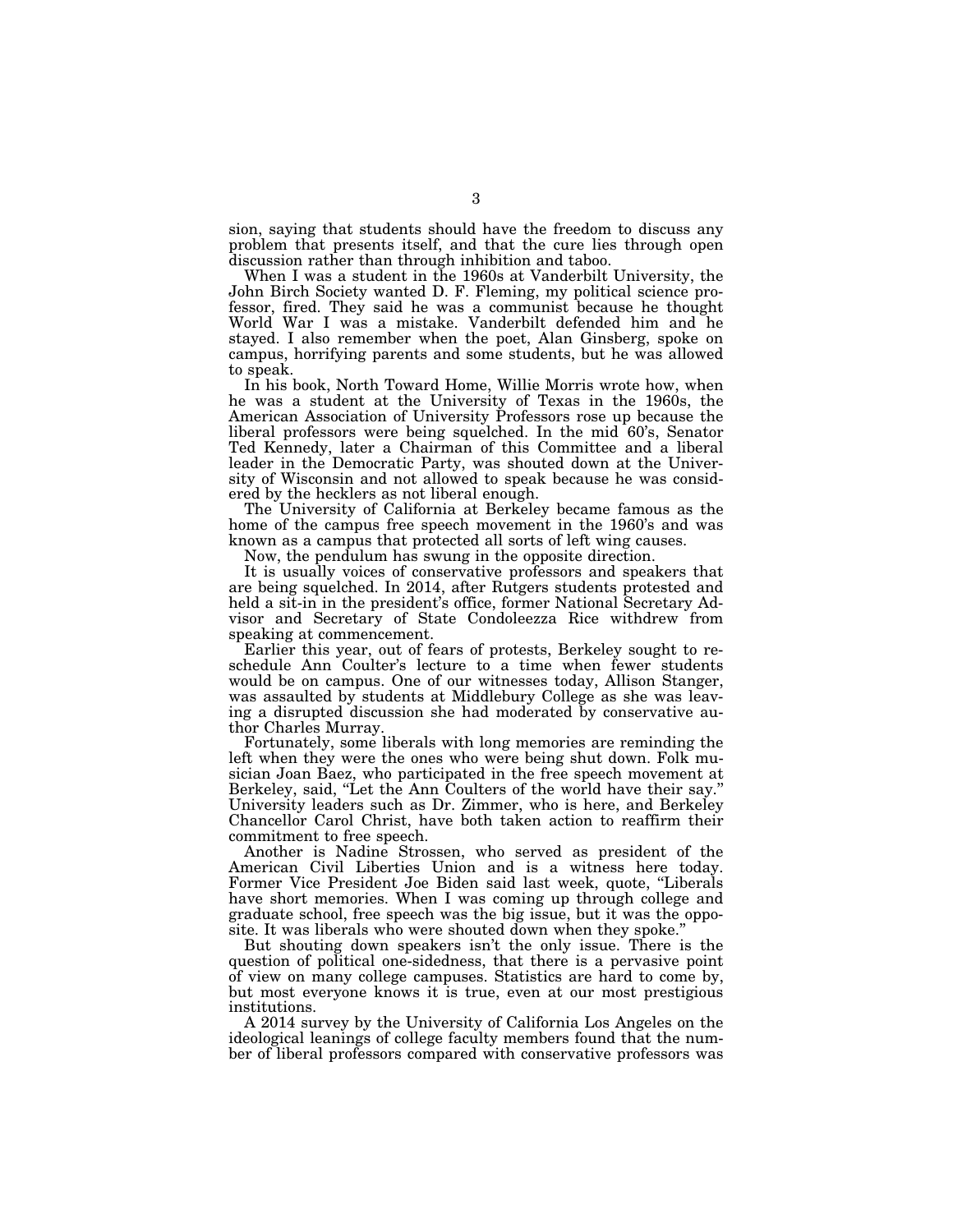sion, saying that students should have the freedom to discuss any problem that presents itself, and that the cure lies through open discussion rather than through inhibition and taboo.

When I was a student in the 1960s at Vanderbilt University, the John Birch Society wanted D. F. Fleming, my political science professor, fired. They said he was a communist because he thought World War I was a mistake. Vanderbilt defended him and he stayed. I also remember when the poet, Alan Ginsberg, spoke on campus, horrifying parents and some students, but he was allowed to speak.

In his book, North Toward Home, Willie Morris wrote how, when he was a student at the University of Texas in the 1960s, the American Association of University Professors rose up because the liberal professors were being squelched. In the mid 60's, Senator Ted Kennedy, later a Chairman of this Committee and a liberal leader in the Democratic Party, was shouted down at the University of Wisconsin and not allowed to speak because he was considered by the hecklers as not liberal enough.

The University of California at Berkeley became famous as the home of the campus free speech movement in the 1960's and was known as a campus that protected all sorts of left wing causes.

Now, the pendulum has swung in the opposite direction.

It is usually voices of conservative professors and speakers that are being squelched. In 2014, after Rutgers students protested and held a sit-in in the president's office, former National Secretary Advisor and Secretary of State Condoleezza Rice withdrew from speaking at commencement.

Earlier this year, out of fears of protests, Berkeley sought to reschedule Ann Coulter's lecture to a time when fewer students would be on campus. One of our witnesses today, Allison Stanger, was assaulted by students at Middlebury College as she was leaving a disrupted discussion she had moderated by conservative author Charles Murray.

Fortunately, some liberals with long memories are reminding the left when they were the ones who were being shut down. Folk musician Joan Baez, who participated in the free speech movement at Berkeley, said, "Let the Ann Coulters of the world have their say." University leaders such as Dr. Zimmer, who is here, and Berkeley Chancellor Carol Christ, have both taken action to reaffirm their commitment to free speech.

Another is Nadine Strossen, who served as president of the American Civil Liberties Union and is a witness here today. Former Vice President Joe Biden said last week, quote, ''Liberals have short memories. When I was coming up through college and graduate school, free speech was the big issue, but it was the opposite. It was liberals who were shouted down when they spoke.''

But shouting down speakers isn't the only issue. There is the question of political one-sidedness, that there is a pervasive point of view on many college campuses. Statistics are hard to come by, but most everyone knows it is true, even at our most prestigious institutions.

A 2014 survey by the University of California Los Angeles on the ideological leanings of college faculty members found that the number of liberal professors compared with conservative professors was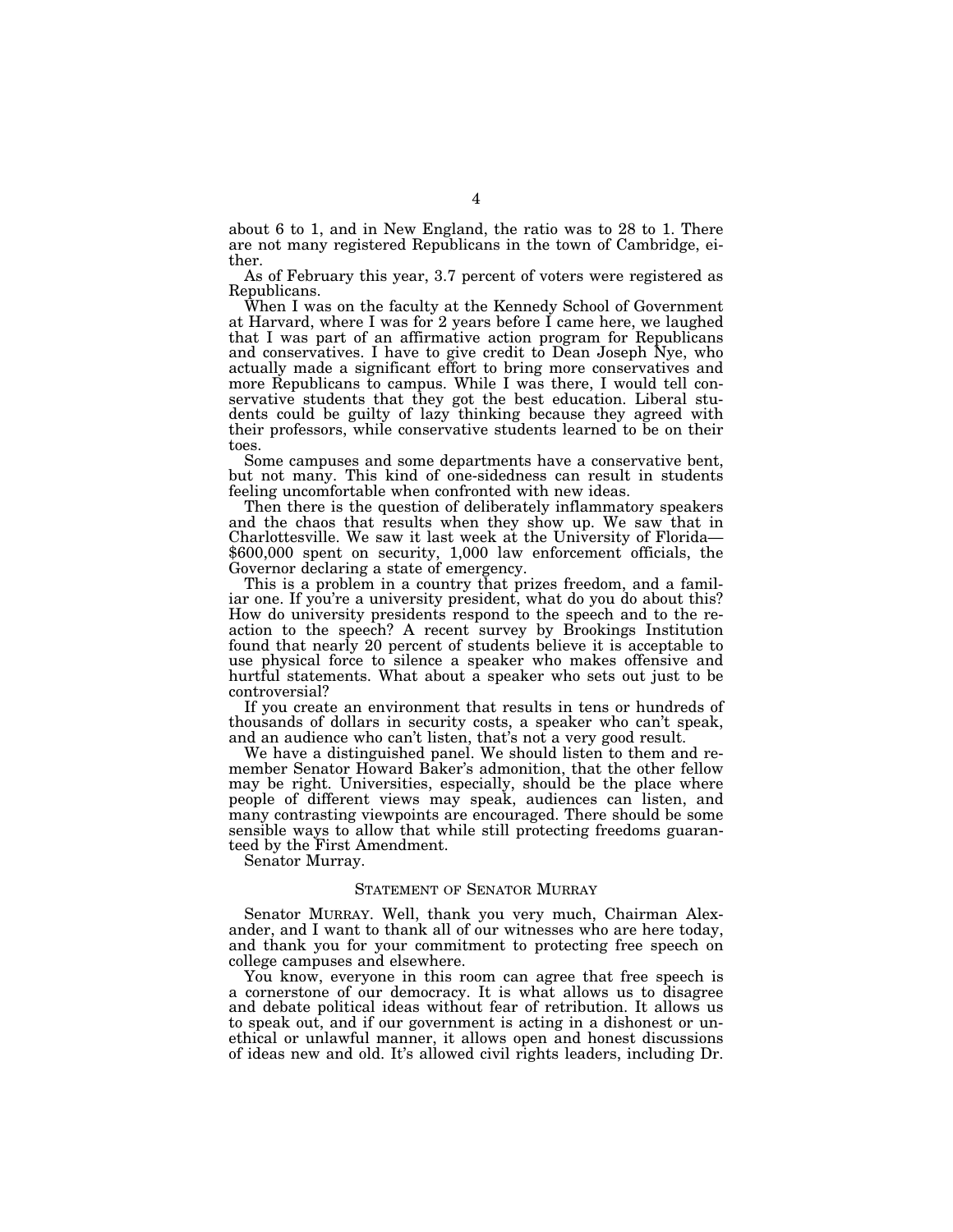about 6 to 1, and in New England, the ratio was to 28 to 1. There are not many registered Republicans in the town of Cambridge, either.

As of February this year, 3.7 percent of voters were registered as Republicans.

When I was on the faculty at the Kennedy School of Government at Harvard, where I was for 2 years before I came here, we laughed that I was part of an affirmative action program for Republicans and conservatives. I have to give credit to Dean Joseph Nye, who actually made a significant effort to bring more conservatives and more Republicans to campus. While I was there, I would tell conservative students that they got the best education. Liberal students could be guilty of lazy thinking because they agreed with their professors, while conservative students learned to be on their toes.

Some campuses and some departments have a conservative bent, but not many. This kind of one-sidedness can result in students feeling uncomfortable when confronted with new ideas.

Then there is the question of deliberately inflammatory speakers and the chaos that results when they show up. We saw that in Charlottesville. We saw it last week at the University of Florida— \$600,000 spent on security, 1,000 law enforcement officials, the Governor declaring a state of emergency.

This is a problem in a country that prizes freedom, and a familiar one. If you're a university president, what do you do about this? How do university presidents respond to the speech and to the reaction to the speech? A recent survey by Brookings Institution found that nearly 20 percent of students believe it is acceptable to use physical force to silence a speaker who makes offensive and hurtful statements. What about a speaker who sets out just to be controversial?

If you create an environment that results in tens or hundreds of thousands of dollars in security costs, a speaker who can't speak, and an audience who can't listen, that's not a very good result.

We have a distinguished panel. We should listen to them and remember Senator Howard Baker's admonition, that the other fellow may be right. Universities, especially, should be the place where people of different views may speak, audiences can listen, and many contrasting viewpoints are encouraged. There should be some sensible ways to allow that while still protecting freedoms guaranteed by the First Amendment.

Senator Murray.

## STATEMENT OF SENATOR MURRAY

Senator MURRAY. Well, thank you very much, Chairman Alexander, and I want to thank all of our witnesses who are here today, and thank you for your commitment to protecting free speech on college campuses and elsewhere.

You know, everyone in this room can agree that free speech is a cornerstone of our democracy. It is what allows us to disagree and debate political ideas without fear of retribution. It allows us to speak out, and if our government is acting in a dishonest or unethical or unlawful manner, it allows open and honest discussions of ideas new and old. It's allowed civil rights leaders, including Dr.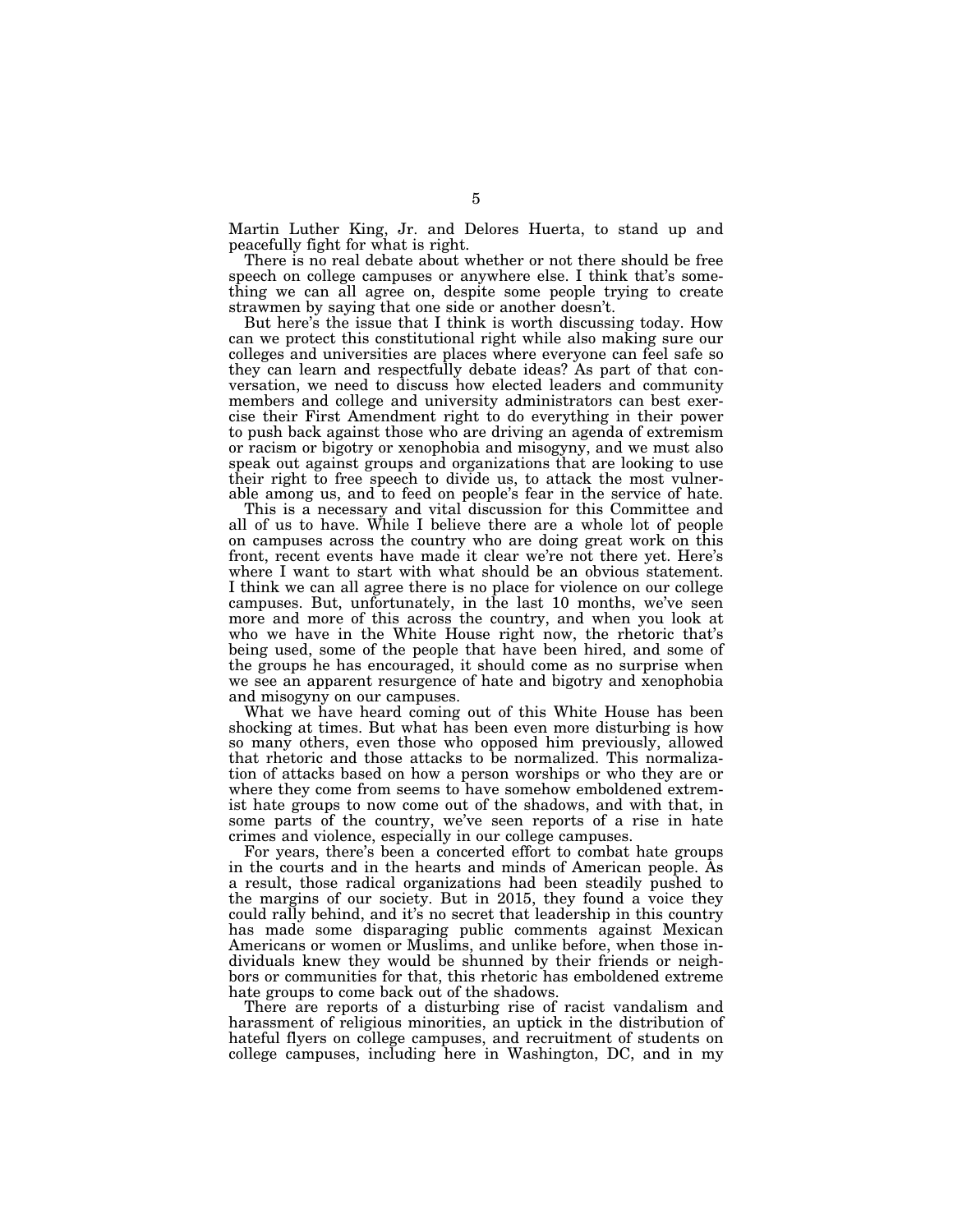Martin Luther King, Jr. and Delores Huerta, to stand up and peacefully fight for what is right.

There is no real debate about whether or not there should be free speech on college campuses or anywhere else. I think that's something we can all agree on, despite some people trying to create strawmen by saying that one side or another doesn't.

But here's the issue that I think is worth discussing today. How can we protect this constitutional right while also making sure our colleges and universities are places where everyone can feel safe so they can learn and respectfully debate ideas? As part of that conversation, we need to discuss how elected leaders and community members and college and university administrators can best exercise their First Amendment right to do everything in their power to push back against those who are driving an agenda of extremism or racism or bigotry or xenophobia and misogyny, and we must also speak out against groups and organizations that are looking to use their right to free speech to divide us, to attack the most vulnerable among us, and to feed on people's fear in the service of hate.

This is a necessary and vital discussion for this Committee and all of us to have. While I believe there are a whole lot of people on campuses across the country who are doing great work on this front, recent events have made it clear we're not there yet. Here's where I want to start with what should be an obvious statement. I think we can all agree there is no place for violence on our college campuses. But, unfortunately, in the last 10 months, we've seen more and more of this across the country, and when you look at who we have in the White House right now, the rhetoric that's being used, some of the people that have been hired, and some of the groups he has encouraged, it should come as no surprise when we see an apparent resurgence of hate and bigotry and xenophobia and misogyny on our campuses.

What we have heard coming out of this White House has been shocking at times. But what has been even more disturbing is how so many others, even those who opposed him previously, allowed that rhetoric and those attacks to be normalized. This normalization of attacks based on how a person worships or who they are or where they come from seems to have somehow emboldened extremist hate groups to now come out of the shadows, and with that, in some parts of the country, we've seen reports of a rise in hate crimes and violence, especially in our college campuses.

For years, there's been a concerted effort to combat hate groups in the courts and in the hearts and minds of American people. As a result, those radical organizations had been steadily pushed to the margins of our society. But in 2015, they found a voice they could rally behind, and it's no secret that leadership in this country has made some disparaging public comments against Mexican Americans or women or Muslims, and unlike before, when those individuals knew they would be shunned by their friends or neighbors or communities for that, this rhetoric has emboldened extreme hate groups to come back out of the shadows.

There are reports of a disturbing rise of racist vandalism and harassment of religious minorities, an uptick in the distribution of hateful flyers on college campuses, and recruitment of students on college campuses, including here in Washington, DC, and in my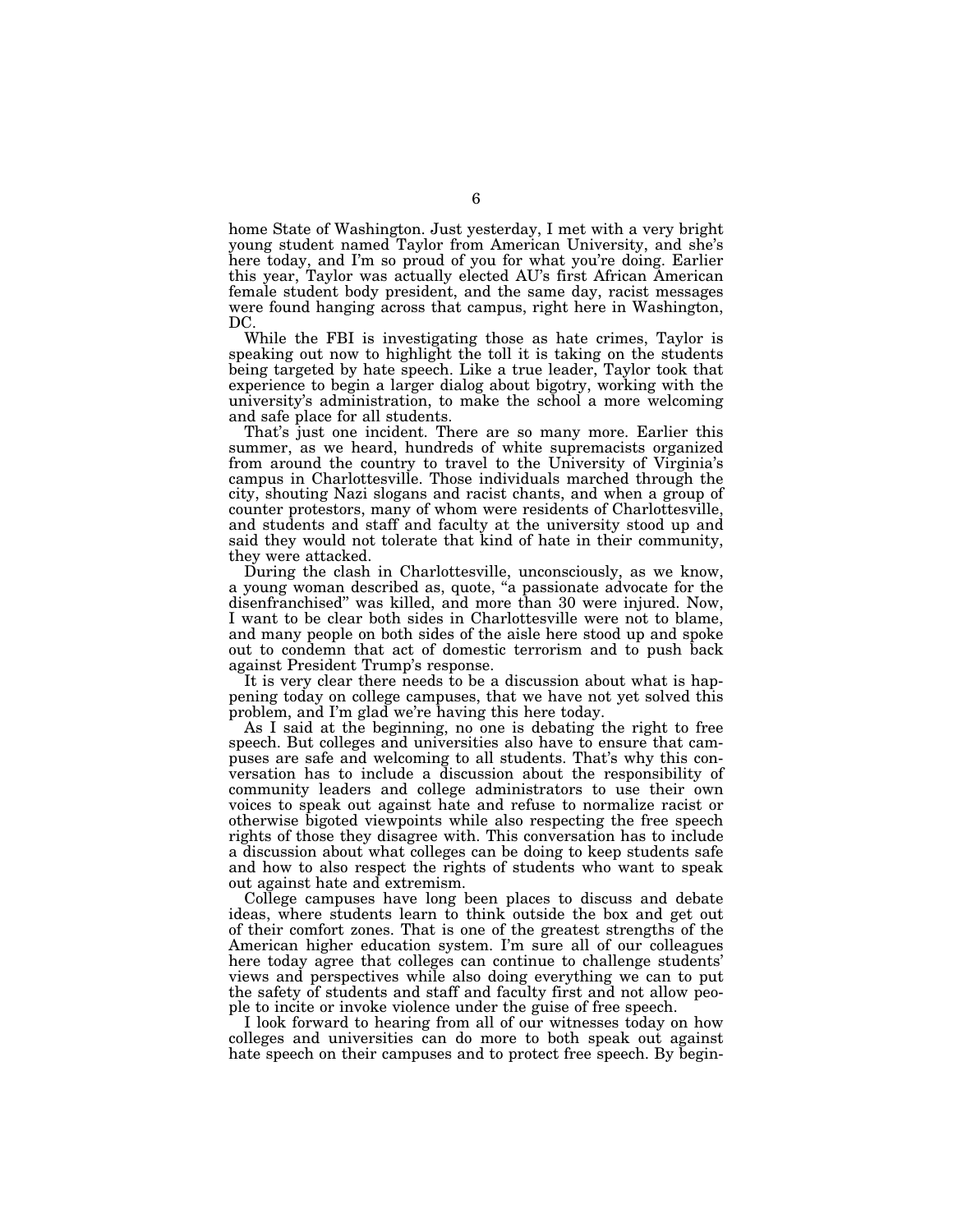home State of Washington. Just yesterday, I met with a very bright young student named Taylor from American University, and she's here today, and I'm so proud of you for what you're doing. Earlier this year, Taylor was actually elected AU's first African American female student body president, and the same day, racist messages were found hanging across that campus, right here in Washington, DC.

While the FBI is investigating those as hate crimes, Taylor is speaking out now to highlight the toll it is taking on the students being targeted by hate speech. Like a true leader, Taylor took that experience to begin a larger dialog about bigotry, working with the university's administration, to make the school a more welcoming and safe place for all students.

That's just one incident. There are so many more. Earlier this summer, as we heard, hundreds of white supremacists organized from around the country to travel to the University of Virginia's campus in Charlottesville. Those individuals marched through the city, shouting Nazi slogans and racist chants, and when a group of counter protestors, many of whom were residents of Charlottesville, and students and staff and faculty at the university stood up and said they would not tolerate that kind of hate in their community, they were attacked.

During the clash in Charlottesville, unconsciously, as we know, a young woman described as, quote, "a passionate advocate for the disenfranchised'' was killed, and more than 30 were injured. Now, I want to be clear both sides in Charlottesville were not to blame, and many people on both sides of the aisle here stood up and spoke out to condemn that act of domestic terrorism and to push back against President Trump's response.

It is very clear there needs to be a discussion about what is happening today on college campuses, that we have not yet solved this problem, and I'm glad we're having this here today.

As I said at the beginning, no one is debating the right to free speech. But colleges and universities also have to ensure that campuses are safe and welcoming to all students. That's why this conversation has to include a discussion about the responsibility of community leaders and college administrators to use their own voices to speak out against hate and refuse to normalize racist or otherwise bigoted viewpoints while also respecting the free speech rights of those they disagree with. This conversation has to include a discussion about what colleges can be doing to keep students safe and how to also respect the rights of students who want to speak out against hate and extremism.

College campuses have long been places to discuss and debate ideas, where students learn to think outside the box and get out of their comfort zones. That is one of the greatest strengths of the American higher education system. I'm sure all of our colleagues here today agree that colleges can continue to challenge students' views and perspectives while also doing everything we can to put the safety of students and staff and faculty first and not allow people to incite or invoke violence under the guise of free speech.

I look forward to hearing from all of our witnesses today on how colleges and universities can do more to both speak out against hate speech on their campuses and to protect free speech. By begin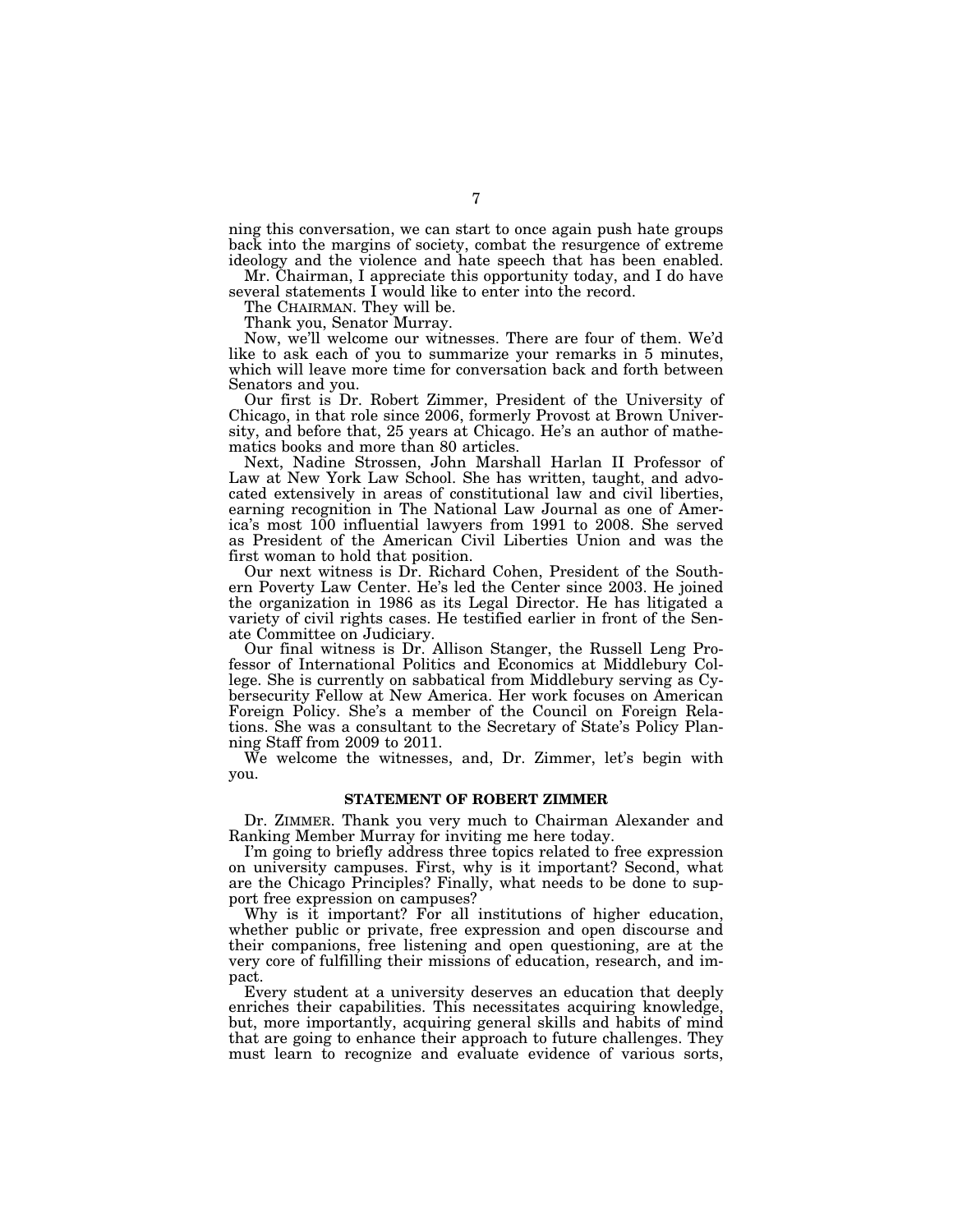ning this conversation, we can start to once again push hate groups back into the margins of society, combat the resurgence of extreme ideology and the violence and hate speech that has been enabled.

Mr. Chairman, I appreciate this opportunity today, and I do have several statements I would like to enter into the record.

The CHAIRMAN. They will be.

Thank you, Senator Murray.

Now, we'll welcome our witnesses. There are four of them. We'd like to ask each of you to summarize your remarks in 5 minutes, which will leave more time for conversation back and forth between Senators and you.

Our first is Dr. Robert Zimmer, President of the University of Chicago, in that role since 2006, formerly Provost at Brown University, and before that, 25 years at Chicago. He's an author of mathematics books and more than 80 articles.

Next, Nadine Strossen, John Marshall Harlan II Professor of Law at New York Law School. She has written, taught, and advocated extensively in areas of constitutional law and civil liberties, earning recognition in The National Law Journal as one of America's most 100 influential lawyers from 1991 to 2008. She served as President of the American Civil Liberties Union and was the first woman to hold that position.

Our next witness is Dr. Richard Cohen, President of the Southern Poverty Law Center. He's led the Center since 2003. He joined the organization in 1986 as its Legal Director. He has litigated a variety of civil rights cases. He testified earlier in front of the Senate Committee on Judiciary.

Our final witness is Dr. Allison Stanger, the Russell Leng Professor of International Politics and Economics at Middlebury College. She is currently on sabbatical from Middlebury serving as Cybersecurity Fellow at New America. Her work focuses on American Foreign Policy. She's a member of the Council on Foreign Relations. She was a consultant to the Secretary of State's Policy Planning Staff from 2009 to 2011.

We welcome the witnesses, and, Dr. Zimmer, let's begin with you.

### **STATEMENT OF ROBERT ZIMMER**

Dr. ZIMMER. Thank you very much to Chairman Alexander and Ranking Member Murray for inviting me here today.

I'm going to briefly address three topics related to free expression on university campuses. First, why is it important? Second, what are the Chicago Principles? Finally, what needs to be done to support free expression on campuses?

Why is it important? For all institutions of higher education, whether public or private, free expression and open discourse and their companions, free listening and open questioning, are at the very core of fulfilling their missions of education, research, and impact.

Every student at a university deserves an education that deeply enriches their capabilities. This necessitates acquiring knowledge, but, more importantly, acquiring general skills and habits of mind that are going to enhance their approach to future challenges. They must learn to recognize and evaluate evidence of various sorts,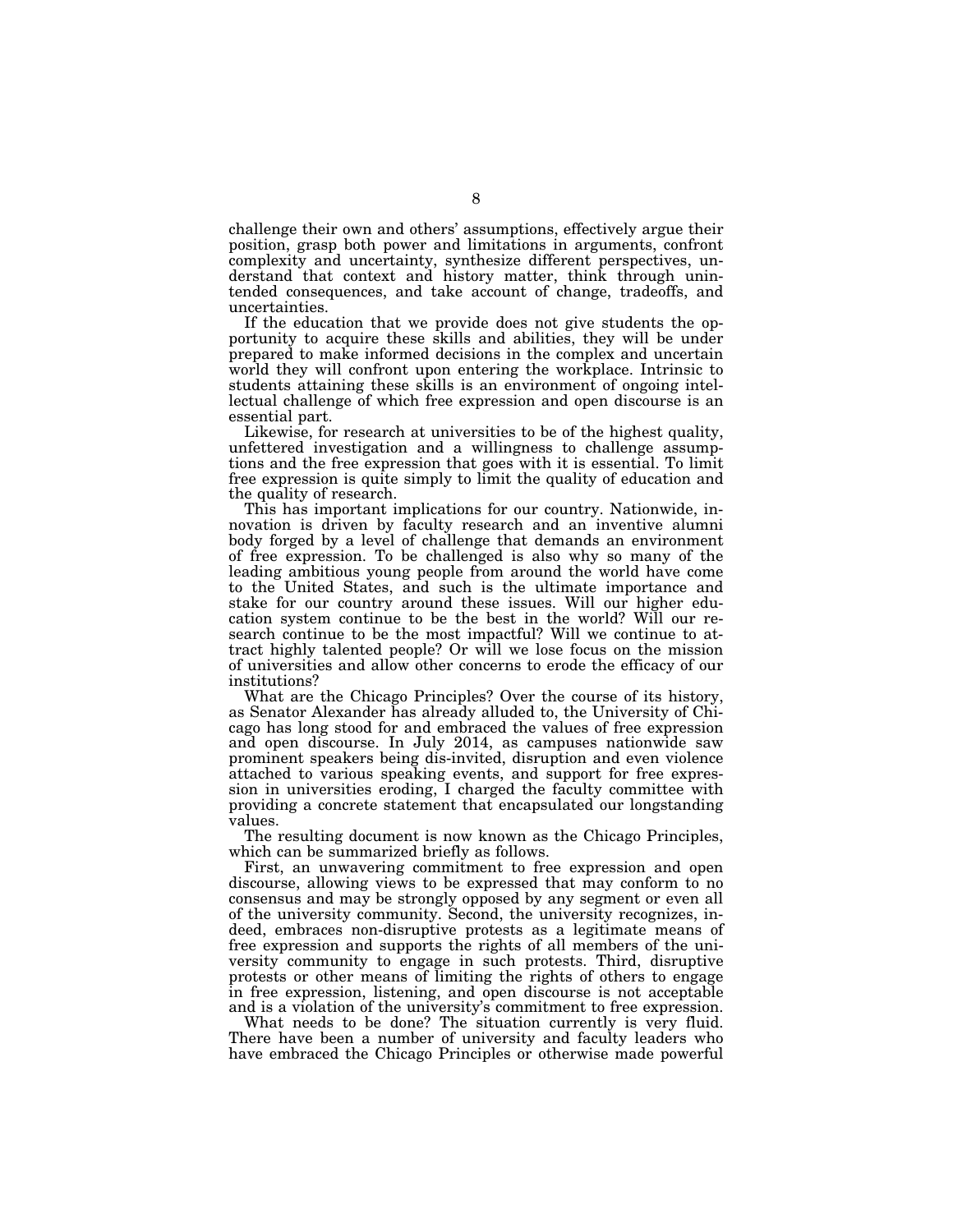challenge their own and others' assumptions, effectively argue their position, grasp both power and limitations in arguments, confront complexity and uncertainty, synthesize different perspectives, understand that context and history matter, think through unintended consequences, and take account of change, tradeoffs, and uncertainties.

If the education that we provide does not give students the opportunity to acquire these skills and abilities, they will be under prepared to make informed decisions in the complex and uncertain world they will confront upon entering the workplace. Intrinsic to students attaining these skills is an environment of ongoing intellectual challenge of which free expression and open discourse is an essential part.

Likewise, for research at universities to be of the highest quality, unfettered investigation and a willingness to challenge assumptions and the free expression that goes with it is essential. To limit free expression is quite simply to limit the quality of education and the quality of research.

This has important implications for our country. Nationwide, innovation is driven by faculty research and an inventive alumni body forged by a level of challenge that demands an environment of free expression. To be challenged is also why so many of the leading ambitious young people from around the world have come to the United States, and such is the ultimate importance and stake for our country around these issues. Will our higher education system continue to be the best in the world? Will our research continue to be the most impactful? Will we continue to attract highly talented people? Or will we lose focus on the mission of universities and allow other concerns to erode the efficacy of our institutions?

What are the Chicago Principles? Over the course of its history, as Senator Alexander has already alluded to, the University of Chicago has long stood for and embraced the values of free expression and open discourse. In July 2014, as campuses nationwide saw prominent speakers being dis-invited, disruption and even violence attached to various speaking events, and support for free expression in universities eroding, I charged the faculty committee with providing a concrete statement that encapsulated our longstanding values.

The resulting document is now known as the Chicago Principles, which can be summarized briefly as follows.

First, an unwavering commitment to free expression and open discourse, allowing views to be expressed that may conform to no consensus and may be strongly opposed by any segment or even all of the university community. Second, the university recognizes, indeed, embraces non-disruptive protests as a legitimate means of free expression and supports the rights of all members of the university community to engage in such protests. Third, disruptive protests or other means of limiting the rights of others to engage in free expression, listening, and open discourse is not acceptable and is a violation of the university's commitment to free expression.

What needs to be done? The situation currently is very fluid. There have been a number of university and faculty leaders who have embraced the Chicago Principles or otherwise made powerful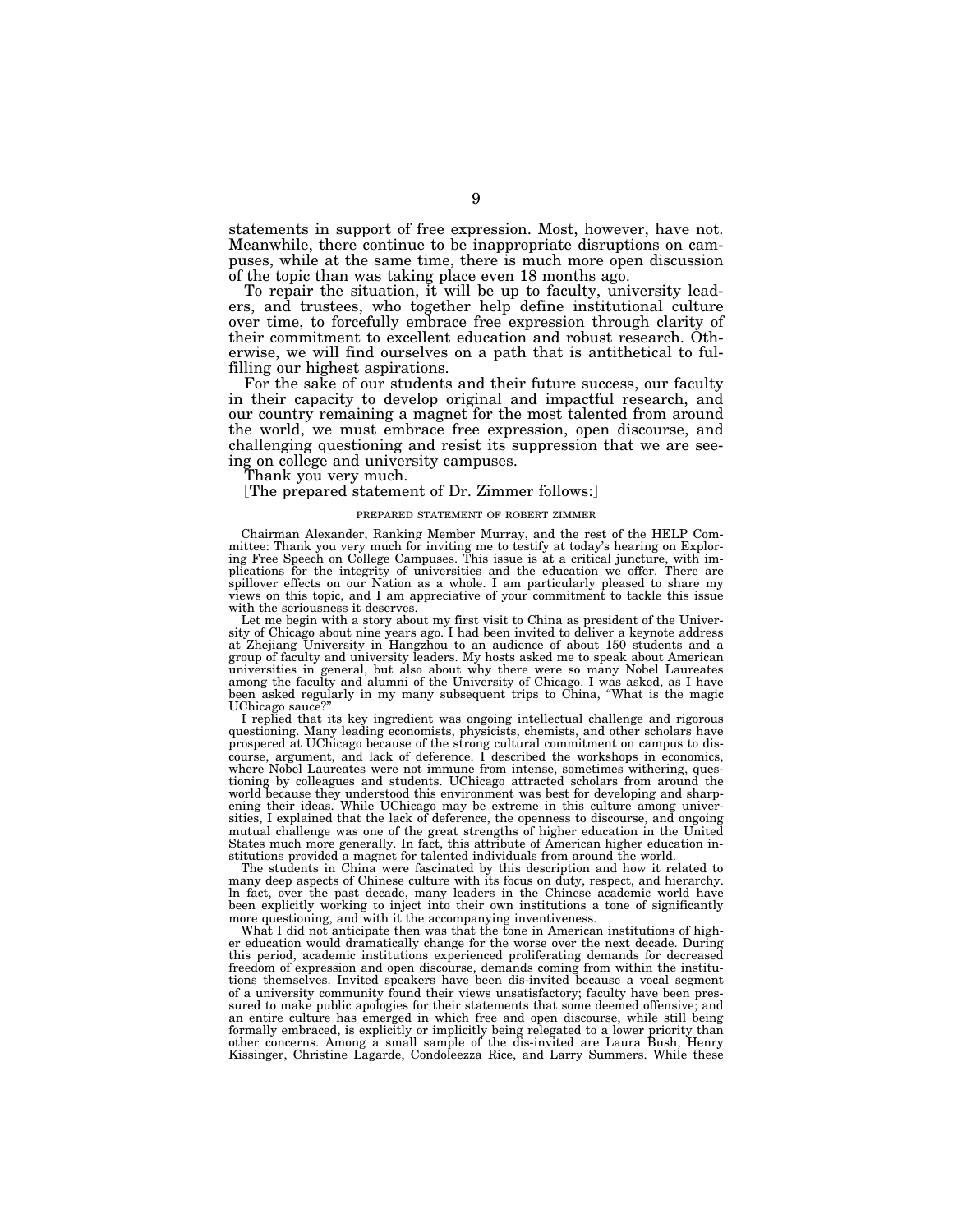statements in support of free expression. Most, however, have not. Meanwhile, there continue to be inappropriate disruptions on campuses, while at the same time, there is much more open discussion of the topic than was taking place even 18 months ago.

To repair the situation, it will be up to faculty, university leaders, and trustees, who together help define institutional culture over time, to forcefully embrace free expression through clarity of their commitment to excellent education and robust research. Otherwise, we will find ourselves on a path that is antithetical to fulfilling our highest aspirations.

For the sake of our students and their future success, our faculty in their capacity to develop original and impactful research, and our country remaining a magnet for the most talented from around the world, we must embrace free expression, open discourse, and challenging questioning and resist its suppression that we are seeing on college and university campuses.

Thank you very much.

### [The prepared statement of Dr. Zimmer follows:]

### PREPARED STATEMENT OF ROBERT ZIMMER

Chairman Alexander, Ranking Member Murray, and the rest of the HELP Committee: Thank you very much for inviting me to testify at today's hearing on Exploring Free Speech on College Campuses. This issue is at a critical juncture, with implications for the integrity of universities and the education we offer. There are spillover effects on our Nation as a whole. I am particularly pleased to share my views on this topic, and I am appreciative of your commitment to tackle this issue with the seriousness it deserves.

Let me begin with a story about my first visit to China as president of the University of Chicago about nine years ago. I had been invited to deliver a keynote address at Zhejiang University in Hangzhou to an audience of about 150 students and a group of faculty and university leaders. My hosts asked me to speak about American universities in general, but also about why there were so many Nobel Laureates among the faculty and alumni of the University of Chicago. I was asked, as I have been asked regularly in my many subsequent trips to China, ''What is the magic UChicago sauce?

I replied that its key ingredient was ongoing intellectual challenge and rigorous questioning. Many leading economists, physicists, chemists, and other scholars have prospered at UChicago because of the strong cultural commitment on campus to discourse, argument, and lack of deference. I described the workshops in economics, where Nobel Laureates were not immune from intense, sometimes withering, questioning by colleagues and students. UChicago attracted scholars from around the world because they understood this environment was best for developing and sharpening their ideas. While UChicago may be extreme in this culture among universities, I explained that the lack of deference, the openness to discourse, and ongoing mutual challenge was one of the great strengths of higher education in the United States much more generally. In fact, this attribute of American higher education institutions provided a magnet for talented individuals from around the world.

The students in China were fascinated by this description and how it related to many deep aspects of Chinese culture with its focus on duty, respect, and hierarchy. ln fact, over the past decade, many leaders in the Chinese academic world have been explicitly working to inject into their own institutions a tone of significantly more questioning, and with it the accompanying inventiveness.

What I did not anticipate then was that the tone in American institutions of higher education would dramatically change for the worse over the next decade. During this period, academic institutions experienced proliferating demands for decreased freedom of expression and open discourse, demands coming from within the institutions themselves. Invited speakers have been dis-invited because a vocal segment of a university community found their views unsatisfactory; faculty have been pressured to make public apologies for their statements that some deemed offensive; and an entire culture has emerged in which free and open discourse, while still being formally embraced, is explicitly or implicitly being relegated to a lower priority than other concerns. Among a small sample of the dis-invited are Laura Bush, Henry Kissinger, Christine Lagarde, Condoleezza Rice, and Larry Summers. While these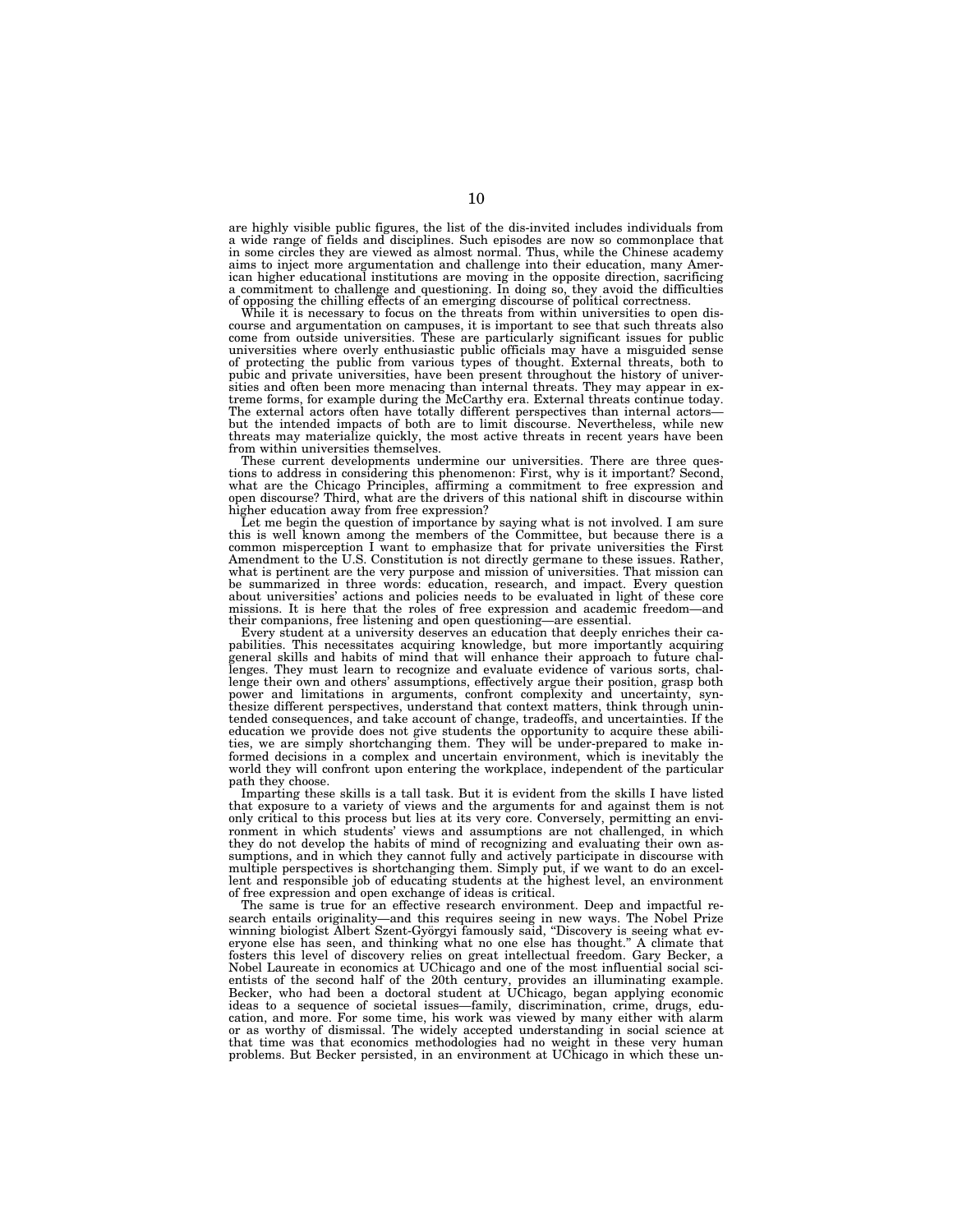are highly visible public figures, the list of the dis-invited includes individuals from a wide range of fields and disciplines. Such episodes are now so commonplace that in some circles they are viewed as almost normal. Thus, while the Chinese academy aims to inject more argumentation and challenge into their education, many American higher educational institutions are moving in the opposite direction, sacrificing a commitment to challenge and questioning. In doing so, they avoid the difficulties of opposing the chilling effects of an emerging discourse of political correctness.

While it is necessary to focus on the threats from within universities to open discourse and argumentation on campuses, it is important to see that such threats also come from outside universities. These are particularly significant issues for public universities where overly enthusiastic public officials may have a misguided sense of protecting the public from various types of thought. External threats, both to pubic and private universities, have been present throughout the history of universities and often been more menacing than internal threats. They may appear in ex-treme forms, for example during the McCarthy era. External threats continue today. The external actors often have totally different perspectives than internal actors— but the intended impacts of both are to limit discourse. Nevertheless, while new threats may materialize quickly, the most active threats in recent years have been from within universities themselves.

These current developments undermine our universities. There are three ques-tions to address in considering this phenomenon: First, why is it important? Second, what are the Chicago Principles, affirming a commitment to free expression and open discourse? Third, what are the drivers of this national shift in discourse within higher education away from free expression?

Let me begin the question of importance by saying what is not involved. I am sure this is well known among the members of the Committee, but because there is a common misperception I want to emphasize that for private universities the First Amendment to the U.S. Constitution is not directly germane to these issues. Rather, what is pertinent are the very purpose and mission of universities. That mission can<br>be summarized in three words: education, research, and impact. Every question<br>about universities' actions and policies needs to be evalua missions. It is here that the roles of free expression and academic freedom—and their companions, free listening and open questioning—are essential.

Every student at a university deserves an education that deeply enriches their capabilities. This necessitates acquiring knowledge, but more importantly acquiring general skills and habits of mind that will enhance their approach to future chal-lenges. They must learn to recognize and evaluate evidence of various sorts, challenge their own and others' assumptions, effectively argue their position, grasp both<br>power and limitations in arguments, confront complexity and uncertainty, syn-<br>thesize different perspectives, understand that context ma tended consequences, and take account of change, tradeoffs, and uncertainties. If the education we provide does not give students the opportunity to acquire these abilities, we are simply shortchanging them. They will be under-prepared to make informed decisions in a complex and uncertain environment, which is inevitably the world they will confront upon entering the workplace, independent of the particular path they choose.

Imparting these skills is a tall task. But it is evident from the skills I have listed that exposure to a variety of views and the arguments for and against them is not only critical to this process but lies at its very core. Conversely, permitting an environment in which students' views and assumptions are not challenged, in which they do not develop the habits of mind of recognizing and evaluating their own assumptions, and in which they cannot fully and actively participate in discourse with multiple perspectives is shortchanging them. Simply put, if we want to do an excellent and responsible job of educating students at the highest level, an environment of free expression and open exchange of ideas is critical.

The same is true for an effective research environment. Deep and impactful research entails originality—and this requires seeing in new ways. The Nobel Prize<br>winning biologist Albert Szent-Györgyi famously said, "Discovery is seeing what everyone else has seen, and thinking what no one else has thought.'' A climate that fosters this level of discovery relies on great intellectual freedom. Gary Becker, a Nobel Laureate in economics at UChicago and one of the most influential social scientists of the second half of the 20th century, provides an illuminating example. Becker, who had been a doctoral student at UChicago, began applying economic ideas to a sequence of societal issues—family, discrimination, crime, drugs, education, and more. For some time, his work was viewed by many either with alarm or as worthy of dismissal. The widely accepted understanding in social science at that time was that economics methodologies had no weight in these very human problems. But Becker persisted, in an environment at UChicago in which these un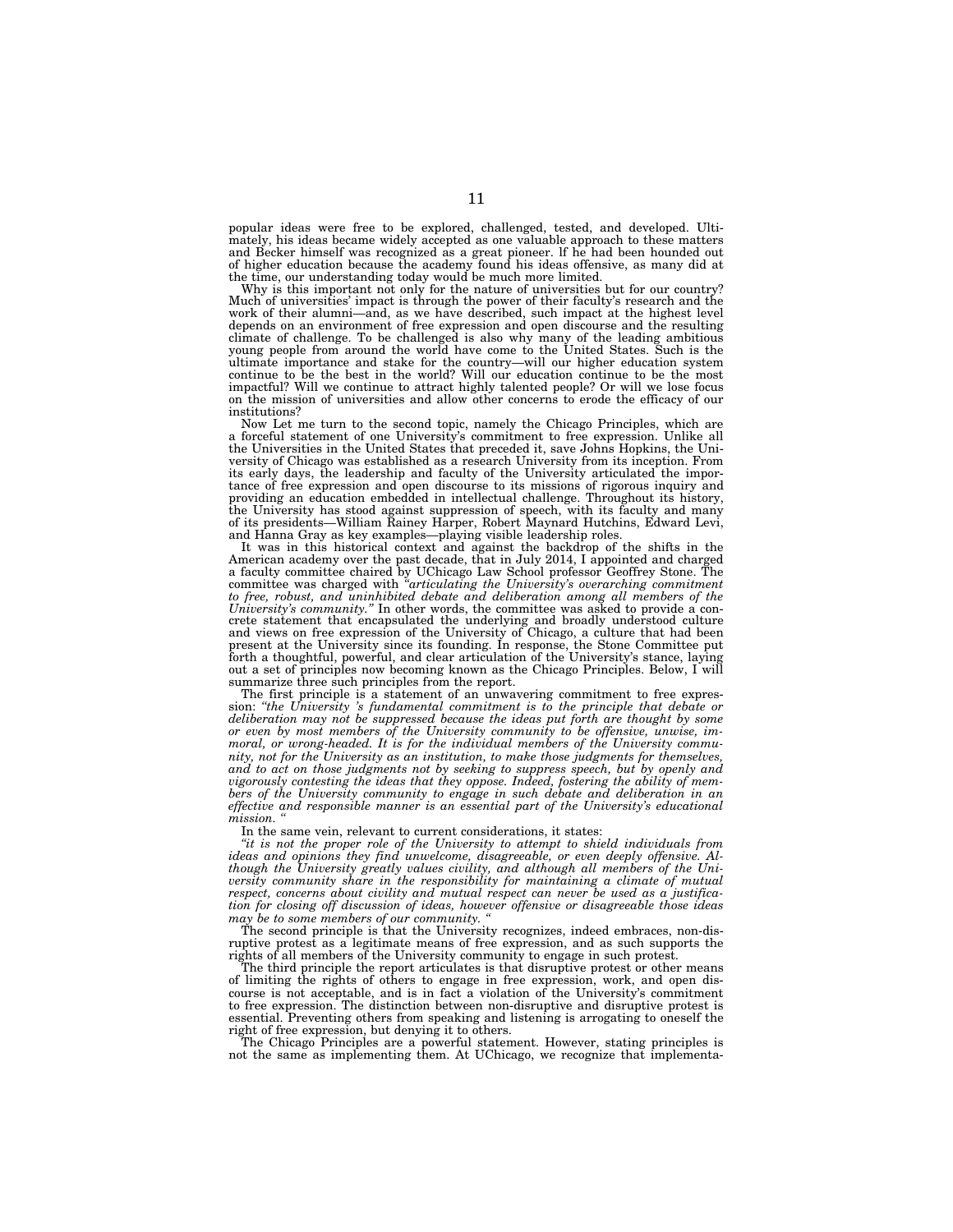popular ideas were free to be explored, challenged, tested, and developed. Ultimately, his ideas became widely accepted as one valuable approach to these matters and Becker himself was recognized as a great pioneer. lf he had been hounded out of higher education because the academy found his ideas offensive, as many did at

the time, our understanding today would be much more limited. Why is this important not only for the nature of universities but for our country? Much of universities' impact is through the power of their faculty's research and the work of their alumni—and, as we have described, such impact at the highest level depends on an environment of free expression and open discourse and the resulting climate of challenge. To be challenged is also why many of the leading ambitious young people from around the world have come to the United States. Such is the ultimate importance and stake for the country—will our higher education system continue to be the best in the world? Will our education continue to be the most impactful? Will we continue to attract highly talented people? Or will we lose focus on the mission of universities and allow other concerns to erode the efficacy of our institutions?

Now Let me turn to the second topic, namely the Chicago Principles, which are a forceful statement of one University's commitment to free expression. Unlike all the Universities in the United States that preceded it, save Johns Hopkins, the University of Chicago was established as a research University from its inception. From its early days, the leadership and faculty of the University articulated the importance of free expression and open discourse to its missions of rigorous inquiry and providing an education embedded in intellectual challenge. Throughout its history, the University has stood against suppression of speech, with its faculty and many of its presidents—William Rainey Harper, Robert Maynard Hutchins, Edward Levi, and Hanna Gray as key examples—playing visible leadership roles.

It was in this historical context and against the backdrop of the shifts in the American academy over the past decade, that in July 2014, I appointed and charged a faculty committee chaired by UChicago Law School professor to free, robust, and uninhibited debate and deliberation among all members of the University's community." In other words, the committee was asked to provide a concrete statement that encapsulated the underlying and broadl out a set of principles now becoming known as the Chicago Principles. Below, I will summarize three such principles from the report.

The first principle is a statement of an unwavering commitment to free expression: *''the University 's fundamental commitment is to the principle that debate or*  deliberation may not be suppressed because the ideas put forth are thought by some *or even by most members of the University community to be offensive, unwise, immoral, or wrong-headed. It is for the individual members of the University community, not for the University as an institution, to make those judgments for themselves, and to act on those judgments not by seeking to suppress speech, but by openly and vigorously contesting the ideas that they oppose. Indeed, fostering the ability of members of the University community to engage in such debate and deliberation in an effective and responsible manner is an essential part of the University's educational mission. ''* 

In the same vein, relevant to current considerations, it states:

*''it is not the proper role of the University to attempt to shield individuals from ideas and opinions they find unwelcome, disagreeable, or even deeply offensive. Although the University greatly values civility, and although all members of the University community share in the responsibility for maintaining a climate of mutual respect, concerns about civility and mutual respect can never be used as a justification for closing off discussion of ideas, however offensive or disagreeable those ideas may be to some members of our community.* 

The second principle is that the University recognizes, indeed embraces, non-disruptive protest as a legitimate means of free expression, and as such supports the rights of all members of the University community to engage in such protest.

The third principle the report articulates is that disruptive protest or other means of limiting the rights of others to engage in free expression, work, and open discourse is not acceptable, and is in fact a violation of the University's commitment to free expression. The distinction between non-disruptive and disruptive protest is essential. Preventing others from speaking and listening is arrogating to oneself the right of free expression, but denying it to others.

The Chicago Principles are a powerful statement. However, stating principles is not the same as implementing them. At UChicago, we recognize that implementa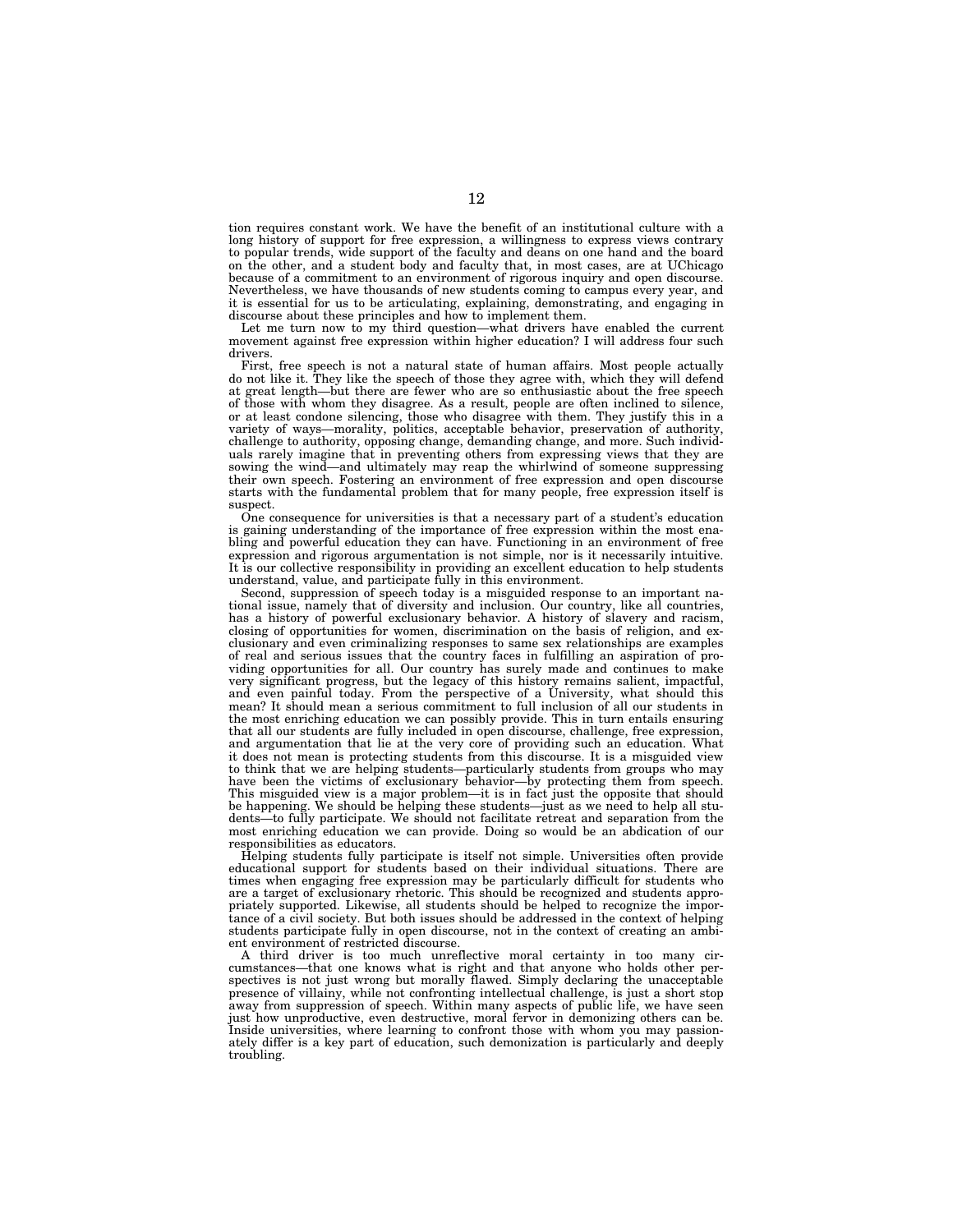tion requires constant work. We have the benefit of an institutional culture with a long history of support for free expression, a willingness to express views contrary to popular trends, wide support of the faculty and deans on one hand and the board on the other, and a student body and faculty that, in most cases, are at UChicago because of a commitment to an environment of rigorous inquiry and open discourse. Nevertheless, we have thousands of new students coming to campus every year, and it is essential for us to be articulating, explaining, demonstrating, and engaging in discourse about these principles and how to implement them.

Let me turn now to my third question—what drivers have enabled the current movement against free expression within higher education? I will address four such drivers.

First, free speech is not a natural state of human affairs. Most people actually do not like it. They like the speech of those they agree with, which they will defend at great length—but there are fewer who are so enthusiastic about the free speech of those with whom they disagree. As a result, people are often inclined to silence, or at least condone silencing, those who disagree with them. They justify this in a variety of ways—morality, politics, acceptable behavior, preservation of authority, challenge to authority, opposing change, demanding change, and more. Such individuals rarely imagine that in preventing others from expressing views that they are sowing the wind—and ultimately may reap the whirlwind of someone suppressing their own speech. Fostering an environment of free expression and open discourse starts with the fundamental problem that for many people, free expression itself is suspect.

One consequence for universities is that a necessary part of a student's education is gaining understanding of the importance of free expression within the most enabling and powerful education they can have. Functioning in an environment of free expression and rigorous argumentation is not simple, nor is it necessarily intuitive. It is our collective responsibility in providing an excellent education to help students understand, value, and participate fully in this environment.

Second, suppression of speech today is a misguided response to an important national issue, namely that of diversity and inclusion. Our country, like all countries, has a history of powerful exclusionary behavior. A history of slavery and racism, closing of opportunities for women, discrimination on the basis of religion, and exclusionary and even criminalizing responses to same sex relationships are examples of real and serious issues that the country faces in fulfilling an aspiration of providing opportunities for all. Our country has surely made and continues to make very significant progress, but the legacy of this history remains salient, impactful, and even painful today. From the perspective of a University, what should this mean? It should mean a serious commitment to full inclusion of all our students in the most enriching education we can possibly provide. This in turn entails ensuring that all our students are fully included in open discourse, challenge, free expression, and argumentation that lie at the very core of providing such an education. What it does not mean is protecting students from this discourse. It is a misguided view to think that we are helping students—particularly students from groups who may have been the victims of exclusionary behavior—by protecting them from speech. This misguided view is a major problem—it is in fact just the opposite that should be happening. We should be helping these students—just as we need to help all students—to fully participate. We should not facilitate retreat and separation from the most enriching education we can provide. Doing so would be an abdication of our responsibilities as educators.

Helping students fully participate is itself not simple. Universities often provide educational support for students based on their individual situations. There are times when engaging free expression may be particularly difficult for students who are a target of exclusionary rhetoric. This should be recognized and students appropriately supported. Likewise, all students should be helped to recognize the importance of a civil society. But both issues should be addressed in the context of helping students participate fully in open discourse, not in the context of creating an ambient environment of restricted discourse.

A third driver is too much unreflective moral certainty in too many circumstances—that one knows what is right and that anyone who holds other perspectives is not just wrong but morally flawed. Simply declaring the unacceptable presence of villainy, while not confronting intellectual challenge, is just a short stop away from suppression of speech. Within many aspects of public life, we have seen just how unproductive, even destructive, moral fervor in demonizing others can be. Inside universities, where learning to confront those with whom you may passion-ately differ is a key part of education, such demonization is particularly and deeply troubling.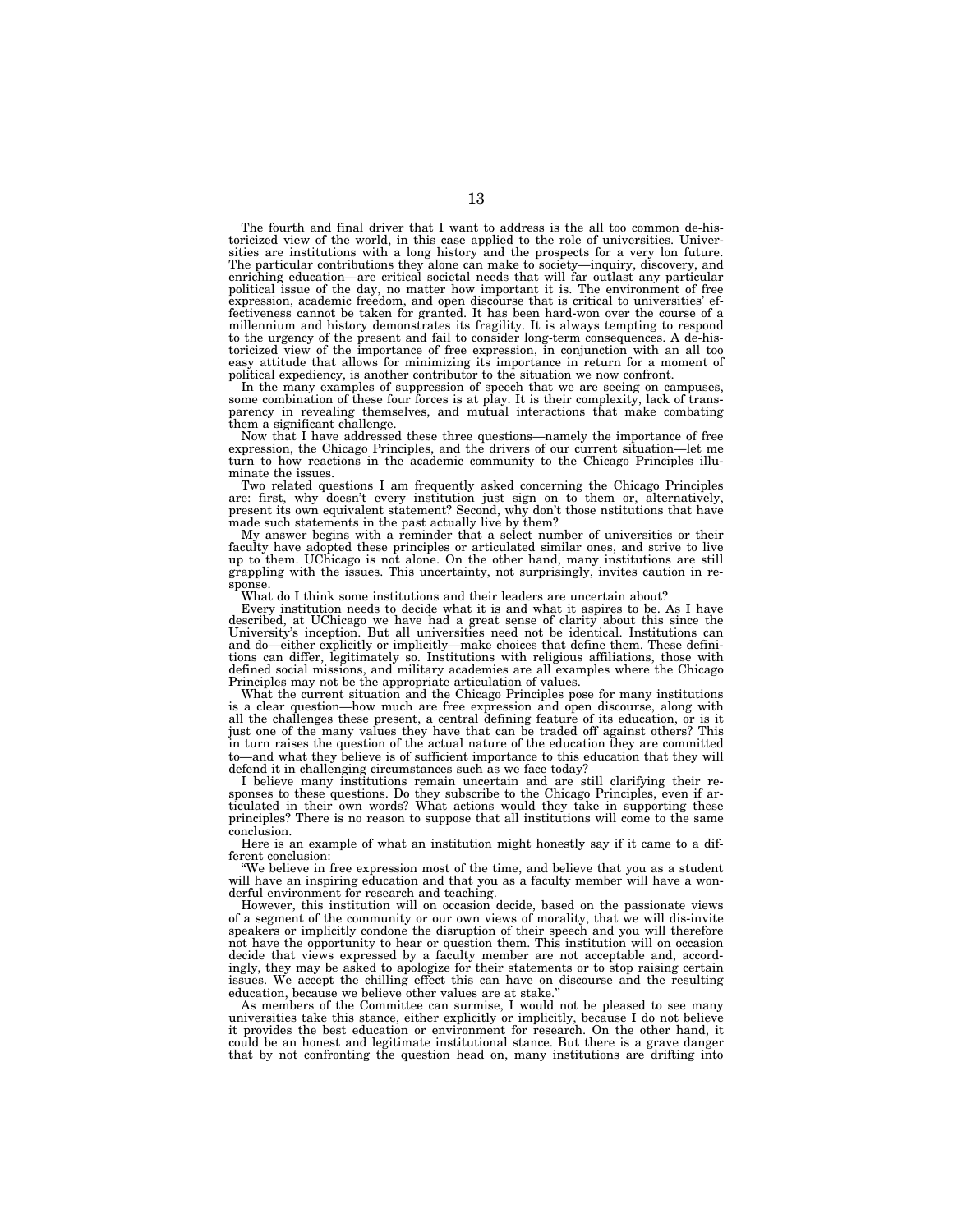The fourth and final driver that I want to address is the all too common de-historicized view of the world, in this case applied to the role of universities. Universities are institutions with a long history and the prospects for a very lon future. The particular contributions they alone can make to society—inquiry, discovery, and enriching education—are critical societal needs that will far outlast any particular political issue of the day, no matter how important it is. The environment of free expression, academic freedom, and open discourse that is critical to universities' effectiveness cannot be taken for granted. It has been hard-won over the course of a millennium and history demonstrates its fragility. It is always tempting to respond to the urgency of the present and fail to consider long-term consequences. A de-historicized view of the importance of free expression, in conjunction with an all too easy attitude that allows for minimizing its importance in return for a moment of political expediency, is another contributor to the situation we now confront.

In the many examples of suppression of speech that we are seeing on campuses, some combination of these four forces is at play. It is their complexity, lack of transparency in revealing themselves, and mutual interactions that make combating them a significant challenge.

Now that I have addressed these three questions—namely the importance of free expression, the Chicago Principles, and the drivers of our current situation—let me turn to how reactions in the academic community to the Chicago Principles illuminate the issues.

Two related questions I am frequently asked concerning the Chicago Principles are: first, why doesn't every institution just sign on to them or, alternatively, present its own equivalent statement? Second, why don't those nstitutions that have made such statements in the past actually live by them?

My answer begins with a reminder that a select number of universities or their faculty have adopted these principles or articulated similar ones, and strive to live up to them. UChicago is not alone. On the other hand, many institutions are still grappling with the issues. This uncertainty, not surprisingly, invites caution in response.

What do I think some institutions and their leaders are uncertain about?

Every institution needs to decide what it is and what it aspires to be. As I have described, at UChicago we have had a great sense of clarity about this since the University's inception. But all universities need not be identical. Institutions can and do—either explicitly or implicitly—make choices that define them. These definitions can differ, legitimately so. Institutions with religious affiliations, those with defined social missions, and military academies are all examples where the Chicago Principles may not be the appropriate articulation of values.

What the current situation and the Chicago Principles pose for many institutions is a clear question—how much are free expression and open discourse, along with all the challenges these present, a central defining feature of its education, or is it just one of the many values they have that can be traded off against others? This in turn raises the question of the actual nature of the education they are committed to—and what they believe is of sufficient importance to this education that they will defend it in challenging circumstances such as we face today?

I believe many institutions remain uncertain and are still clarifying their responses to these questions. Do they subscribe to the Chicago Principles, even if articulated in their own words? What actions would they take in supporting these principles? There is no reason to suppose that all institutions will come to the same conclusion.

Here is an example of what an institution might honestly say if it came to a different conclusion:

''We believe in free expression most of the time, and believe that you as a student will have an inspiring education and that you as a faculty member will have a wonderful environment for research and teaching.

However, this institution will on occasion decide, based on the passionate views of a segment of the community or our own views of morality, that we will dis-invite speakers or implicitly condone the disruption of their speech and you will therefore not have the opportunity to hear or question them. This institution will on occasion decide that views expressed by a faculty member are not acceptable and, accordingly, they may be asked to apologize for their statements or to stop raising certain issues. We accept the chilling effect this can have on discourse and the resulting education, because we believe other values are at stake.

As members of the Committee can surmise, I would not be pleased to see many universities take this stance, either explicitly or implicitly, because I do not believe it provides the best education or environment for research. On the other hand, it could be an honest and legitimate institutional stance. But there is a grave danger that by not confronting the question head on, many institutions are drifting into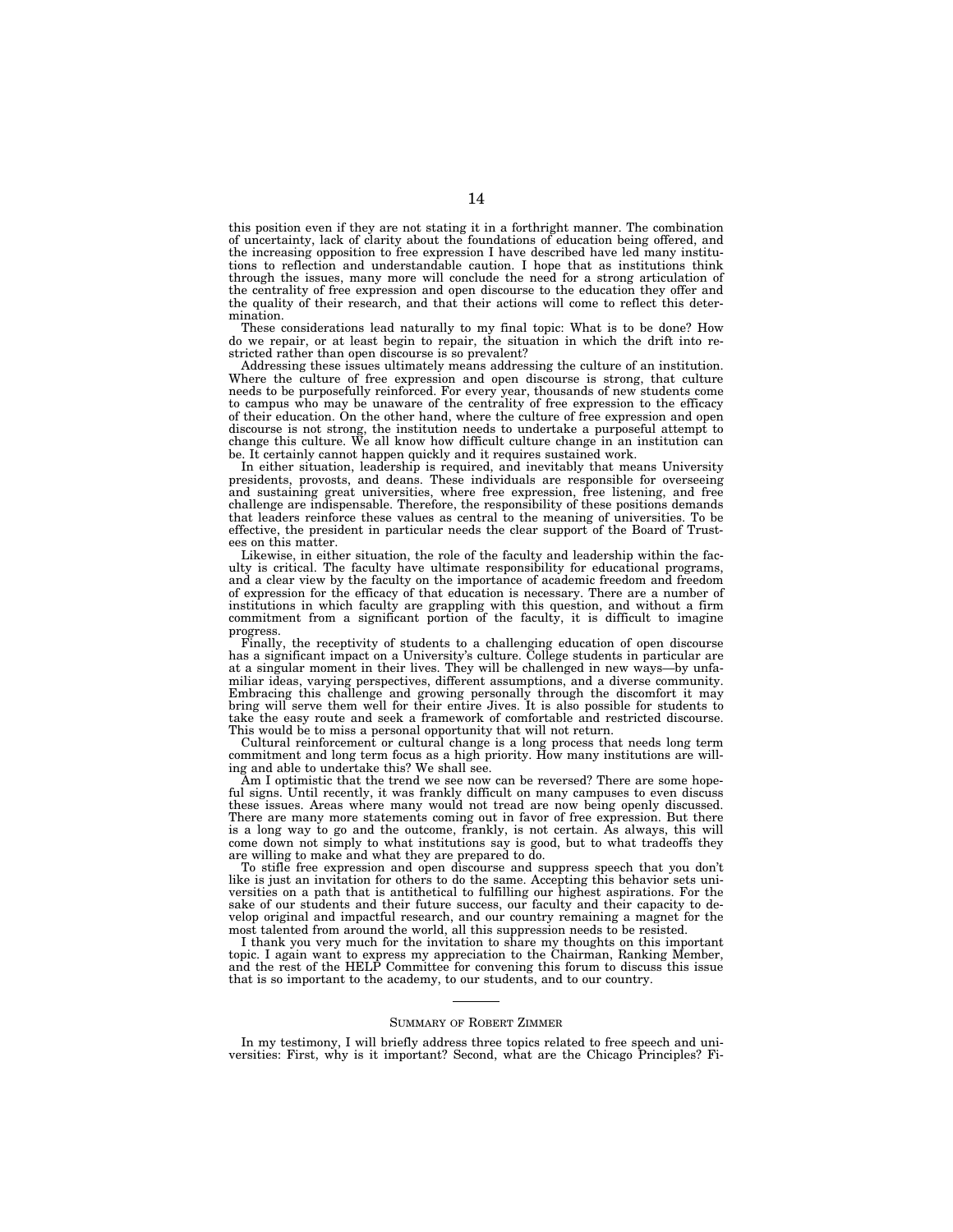this position even if they are not stating it in a forthright manner. The combination of uncertainty, lack of clarity about the foundations of education being offered, and the increasing opposition to free expression I have described have led many institutions to reflection and understandable caution. I hope that as institutions think through the issues, many more will conclude the need for a strong articulation of the centrality of free expression and open discourse to the education they offer and the quality of their research, and that their actions will come to reflect this determination.

These considerations lead naturally to my final topic: What is to be done? How do we repair, or at least begin to repair, the situation in which the drift into restricted rather than open discourse is so prevalent?

Addressing these issues ultimately means addressing the culture of an institution. Where the culture of free expression and open discourse is strong, that culture needs to be purposefully reinforced. For every year, thousands of new students come to campus who may be unaware of the centrality of free expression to the efficacy of their education. On the other hand, where the culture of free expression and open discourse is not strong, the institution needs to undertake a purposeful attempt to change this culture. We all know how difficult culture change in an institution can be. It certainly cannot happen quickly and it requires sustained work.

In either situation, leadership is required, and inevitably that means University presidents, provosts, and deans. These individuals are responsible for overseeing and sustaining great universities, where free expression, free listening, and free challenge are indispensable. Therefore, the responsibility of these positions demands that leaders reinforce these values as central to the meaning of universities. To be effective, the president in particular needs the clear support of the Board of Trustees on this matter.

Likewise, in either situation, the role of the faculty and leadership within the faculty is critical. The faculty have ultimate responsibility for educational programs, and a clear view by the faculty on the importance of academic freedom and freedom of expression for the efficacy of that education is necessary. There are a number of institutions in which faculty are grappling with this question, and without a firm commitment from a significant portion of the faculty, it is difficult to imagine progress.

Finally, the receptivity of students to a challenging education of open discourse has a significant impact on a University's culture. College students in particular are at a singular moment in their lives. They will be challenged in new ways—by unfamiliar ideas, varying perspectives, different assumptions, and a diverse community. Embracing this challenge and growing personally through the discomfort it may bring will serve them well for their entire Jives. It is also possible for students to take the easy route and seek a framework of comfortable and restricted discourse. This would be to miss a personal opportunity that will not return.

Cultural reinforcement or cultural change is a long process that needs long term commitment and long term focus as a high priority. How many institutions are willing and able to undertake this? We shall see.

Am I optimistic that the trend we see now can be reversed? There are some hopeful signs. Until recently, it was frankly difficult on many campuses to even discuss these issues. Areas where many would not tread are now being openly discussed. There are many more statements coming out in favor of free expression. But there is a long way to go and the outcome, frankly, is not certain. As always, this will come down not simply to what institutions say is good, but to what tradeoffs they are willing to make and what they are prepared to do.

To stifle free expression and open discourse and suppress speech that you don't like is just an invitation for others to do the same. Accepting this behavior sets universities on a path that is antithetical to fulfilling our highest aspirations. For the sake of our students and their future success, our faculty and their capacity to develop original and impactful research, and our country remaining a magnet for the most talented from around the world, all this suppression needs to be resisted.

I thank you very much for the invitation to share my thoughts on this important topic. I again want to express my appreciation to the Chairman, Ranking Member, and the rest of the HELP Committee for convening this forum to discuss this issue that is so important to the academy, to our students, and to our country.

### SUMMARY OF ROBERT ZIMMER

In my testimony, I will briefly address three topics related to free speech and universities: First, why is it important? Second, what are the Chicago Principles? Fi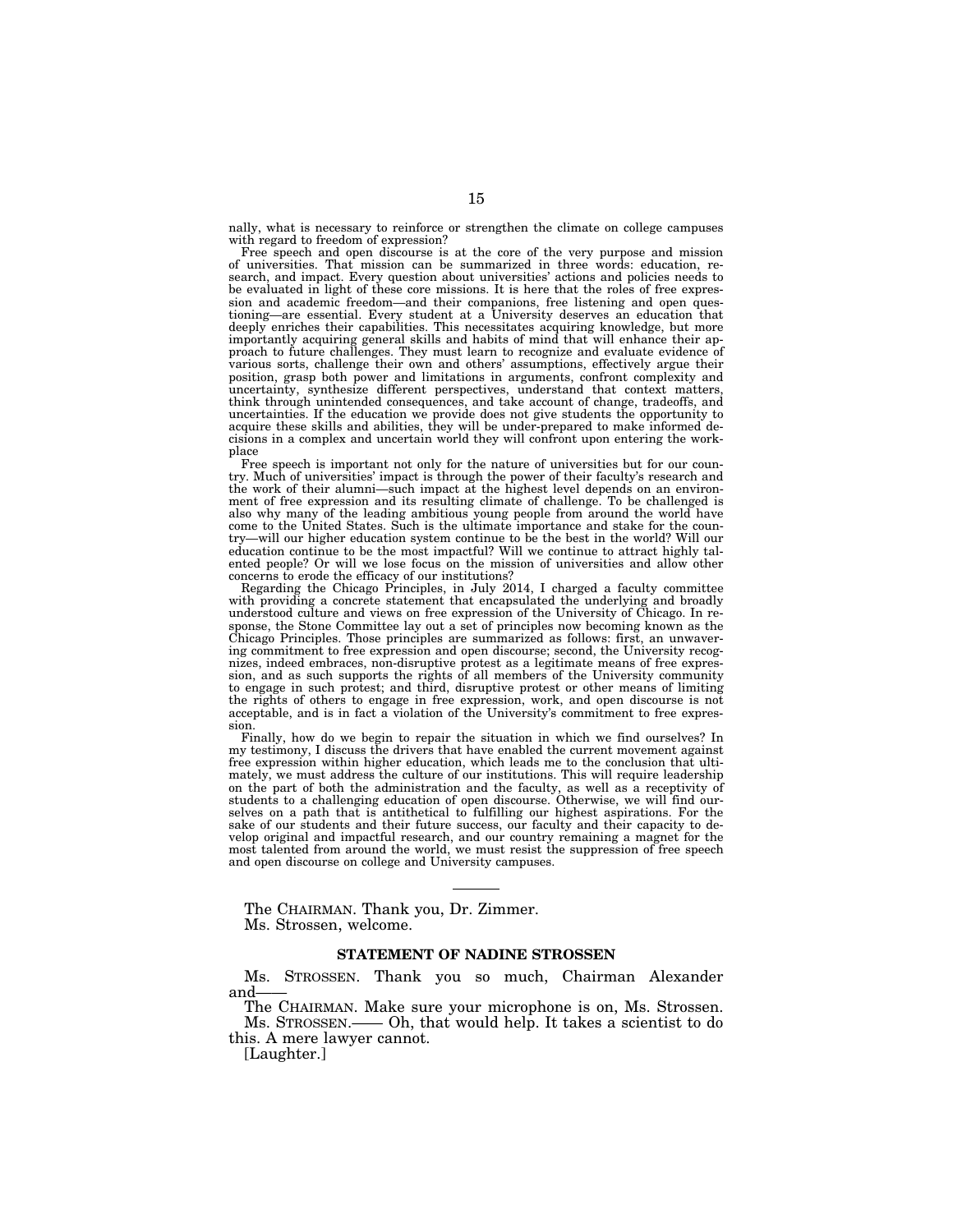nally, what is necessary to reinforce or strengthen the climate on college campuses with regard to freedom of expression?

Free speech and open discourse is at the core of the very purpose and mission of universities. That mission can be summarized in three words: education, research, and impact. Every question about universities' actions and policies needs to be evaluated in light of these core missions. It is here that the roles of free expression and academic freedom—and their companions, free listening and open questioning—are essential. Every student at a University deserves an education that deeply enriches their capabilities. This necessitates acquiring knowledge, but more importantly acquiring general skills and habits of mind that will enhance their approach to future challenges. They must learn to recognize and evaluate evidence of various sorts, challenge their own and others' assumptions, effectively argue their position, grasp both power and limitations in arguments, confront complexity and uncertainty, synthesize different perspectives, understand that context matters, think through unintended consequences, and take account of change, tradeoffs, and uncertainties. If the education we provide does not give students the opportunity to acquire these skills and abilities, they will be under-prepared to make informed decisions in a complex and uncertain world they will confront upon entering the workplace

Free speech is important not only for the nature of universities but for our country. Much of universities' impact is through the power of their faculty's research and the work of their alumni—such impact at the highest level depends on an environment of free expression and its resulting climate of challenge. To be challenged is also why many of the leading ambitious young people from around the world have come to the United States. Such is the ultimate importance and stake for the country—will our higher education system continue to be the best in the world? Will our education continue to be the most impactful? Will we continue to attract highly talented people? Or will we lose focus on the mission of universities and allow other concerns to erode the efficacy of our institutions?

Regarding the Chicago Principles, in July 2014, I charged a faculty committee with providing a concrete statement that encapsulated the underlying and broadly understood culture and views on free expression of the University of Chicago. In response, the Stone Committee lay out a set of principles now becoming known as the Chicago Principles. Those principles are summarized as follows: first, an unwavering commitment to free expression and open discourse; second, the University recognizes, indeed embraces, non-disruptive protest as a legitimate means of free expression, and as such supports the rights of all members of the University community to engage in such protest; and third, disruptive protest or other means of limiting the rights of others to engage in free expression, work, and open discourse is not acceptable, and is in fact a violation of the University's commitment to free expression.

Finally, how do we begin to repair the situation in which we find ourselves? In my testimony, I discuss the drivers that have enabled the current movement against free expression within higher education, which leads me to the conclusion that ultimately, we must address the culture of our institutions. This will require leadership on the part of both the administration and the faculty, as well as a receptivity of students to a challenging education of open discourse. Otherwise, we will find ourselves on a path that is antithetical to fulfilling our highest aspirations. For the sake of our students and their future success, our faculty and their capacity to develop original and impactful research, and our country remaining a magnet for the most talented from around the world, we must resist the suppression of free speech and open discourse on college and University campuses.

The CHAIRMAN. Thank you, Dr. Zimmer. Ms. Strossen, welcome.

# **STATEMENT OF NADINE STROSSEN**

Ms. STROSSEN. Thank you so much, Chairman Alexander and——

The CHAIRMAN. Make sure your microphone is on, Ms. Strossen. Ms. STROSSEN.—— Oh, that would help. It takes a scientist to do this. A mere lawyer cannot.

[Laughter.]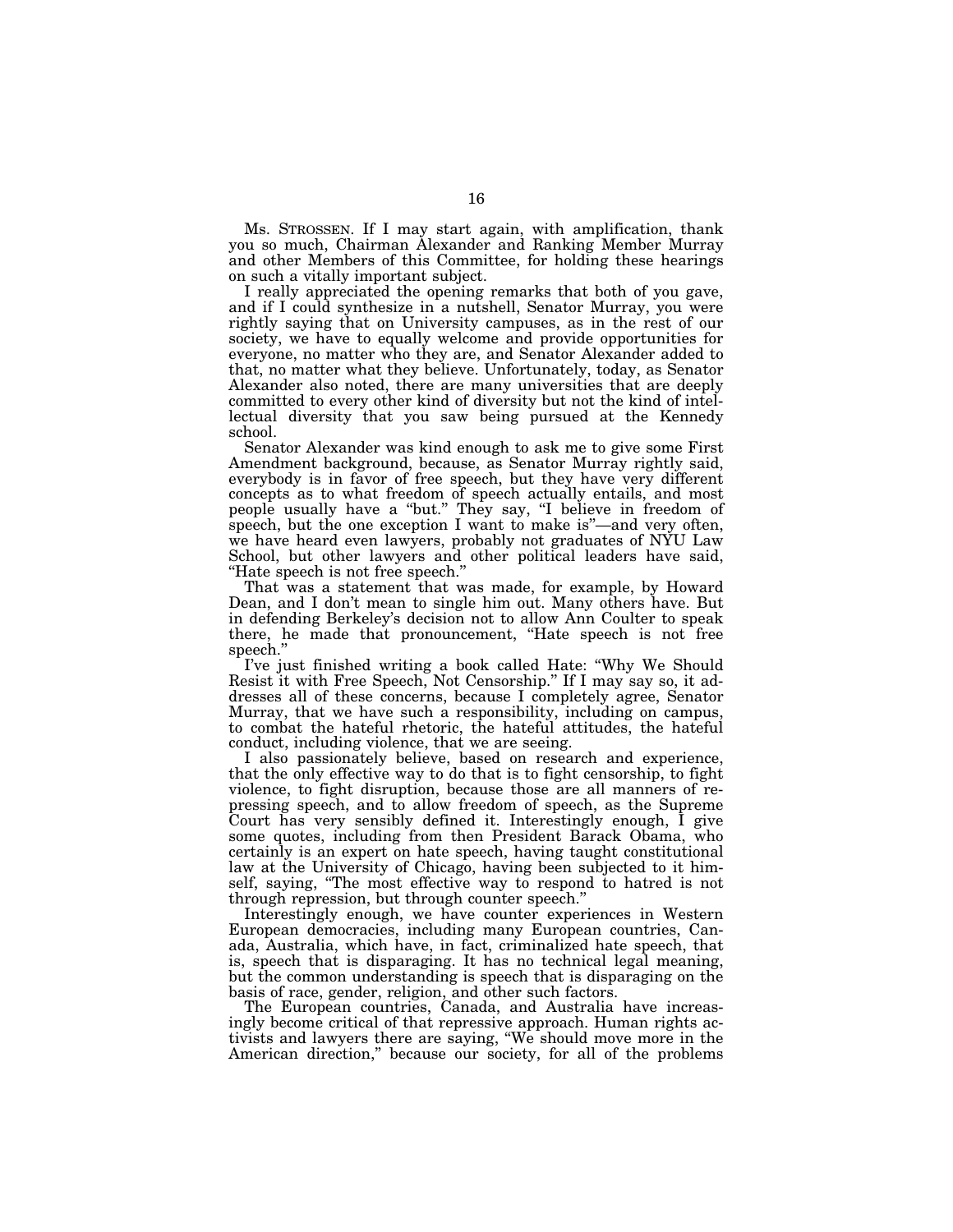Ms. STROSSEN. If I may start again, with amplification, thank you so much, Chairman Alexander and Ranking Member Murray and other Members of this Committee, for holding these hearings on such a vitally important subject.

I really appreciated the opening remarks that both of you gave, and if I could synthesize in a nutshell, Senator Murray, you were rightly saying that on University campuses, as in the rest of our society, we have to equally welcome and provide opportunities for everyone, no matter who they are, and Senator Alexander added to that, no matter what they believe. Unfortunately, today, as Senator Alexander also noted, there are many universities that are deeply committed to every other kind of diversity but not the kind of intellectual diversity that you saw being pursued at the Kennedy school.

Senator Alexander was kind enough to ask me to give some First Amendment background, because, as Senator Murray rightly said, everybody is in favor of free speech, but they have very different concepts as to what freedom of speech actually entails, and most people usually have a ''but.'' They say, ''I believe in freedom of speech, but the one exception I want to make is"—and very often, we have heard even lawyers, probably not graduates of NYU Law School, but other lawyers and other political leaders have said, ''Hate speech is not free speech.''

That was a statement that was made, for example, by Howard Dean, and I don't mean to single him out. Many others have. But in defending Berkeley's decision not to allow Ann Coulter to speak there, he made that pronouncement, "Hate speech is not free speech.''

I've just finished writing a book called Hate: ''Why We Should Resist it with Free Speech, Not Censorship.'' If I may say so, it addresses all of these concerns, because I completely agree, Senator Murray, that we have such a responsibility, including on campus, to combat the hateful rhetoric, the hateful attitudes, the hateful conduct, including violence, that we are seeing.

I also passionately believe, based on research and experience, that the only effective way to do that is to fight censorship, to fight violence, to fight disruption, because those are all manners of repressing speech, and to allow freedom of speech, as the Supreme Court has very sensibly defined it. Interestingly enough, I give some quotes, including from then President Barack Obama, who certainly is an expert on hate speech, having taught constitutional law at the University of Chicago, having been subjected to it himself, saying, ''The most effective way to respond to hatred is not through repression, but through counter speech.''

Interestingly enough, we have counter experiences in Western European democracies, including many European countries, Canada, Australia, which have, in fact, criminalized hate speech, that is, speech that is disparaging. It has no technical legal meaning, but the common understanding is speech that is disparaging on the basis of race, gender, religion, and other such factors.

The European countries, Canada, and Australia have increasingly become critical of that repressive approach. Human rights activists and lawyers there are saying, ''We should move more in the American direction,'' because our society, for all of the problems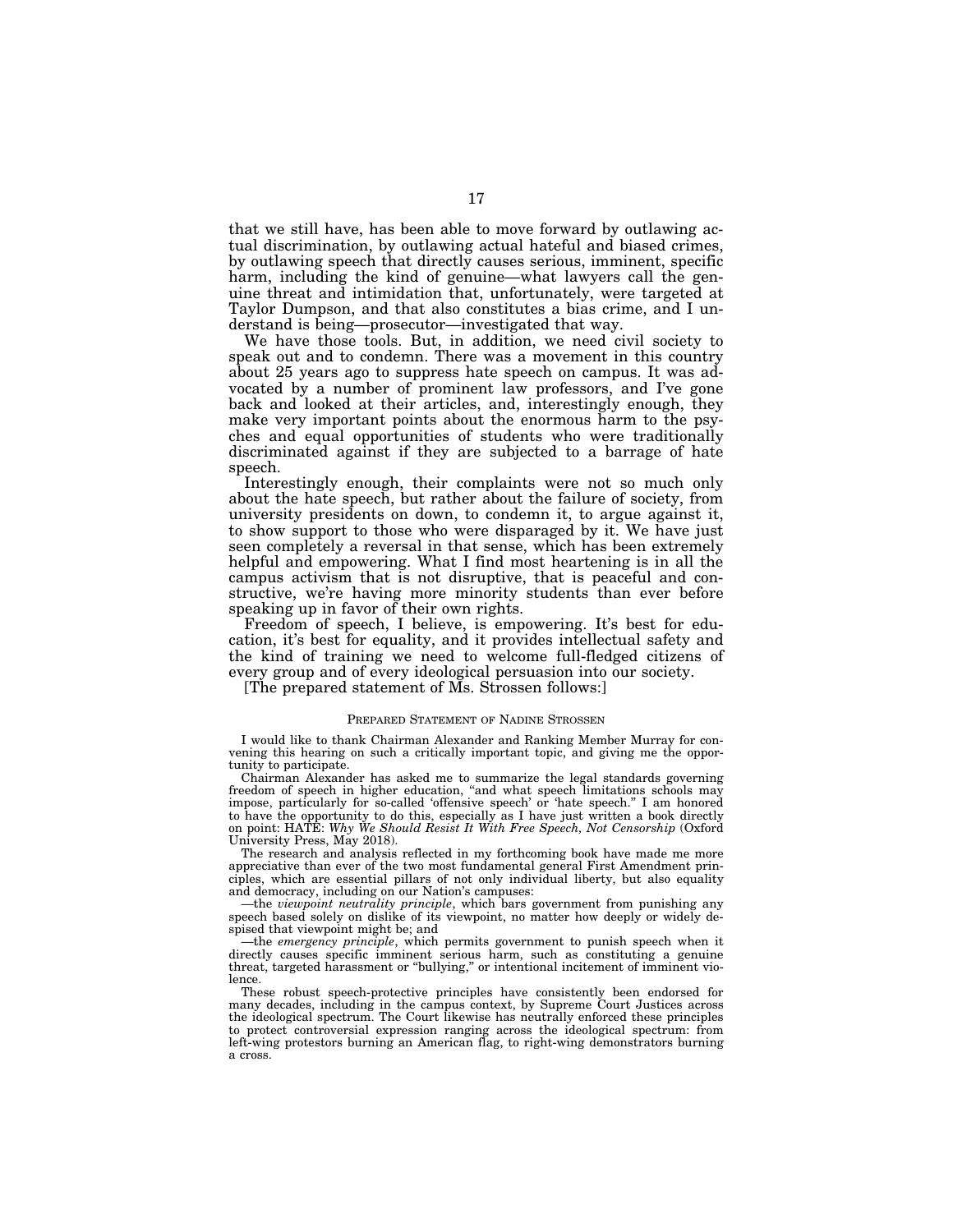that we still have, has been able to move forward by outlawing actual discrimination, by outlawing actual hateful and biased crimes, by outlawing speech that directly causes serious, imminent, specific harm, including the kind of genuine—what lawyers call the genuine threat and intimidation that, unfortunately, were targeted at Taylor Dumpson, and that also constitutes a bias crime, and I understand is being—prosecutor—investigated that way.

We have those tools. But, in addition, we need civil society to speak out and to condemn. There was a movement in this country about 25 years ago to suppress hate speech on campus. It was advocated by a number of prominent law professors, and I've gone back and looked at their articles, and, interestingly enough, they make very important points about the enormous harm to the psyches and equal opportunities of students who were traditionally discriminated against if they are subjected to a barrage of hate speech.

Interestingly enough, their complaints were not so much only about the hate speech, but rather about the failure of society, from university presidents on down, to condemn it, to argue against it, to show support to those who were disparaged by it. We have just seen completely a reversal in that sense, which has been extremely helpful and empowering. What I find most heartening is in all the campus activism that is not disruptive, that is peaceful and constructive, we're having more minority students than ever before speaking up in favor of their own rights.

Freedom of speech, I believe, is empowering. It's best for education, it's best for equality, and it provides intellectual safety and the kind of training we need to welcome full-fledged citizens of every group and of every ideological persuasion into our society.

[The prepared statement of Ms. Strossen follows:]

### PREPARED STATEMENT OF NADINE STROSSEN

I would like to thank Chairman Alexander and Ranking Member Murray for convening this hearing on such a critically important topic, and giving me the opportunity to participate.

Chairman Alexander has asked me to summarize the legal standards governing freedom of speech in higher education, ''and what speech limitations schools may impose, particularly for so-called 'offensive speech' or 'hate speech.'' I am honored to have the opportunity to do this, especially as I have just written a book directly on point: HATE: *Why We Should Resist It With Free Speech, Not Censorship* (Oxford University Press, May 2018).

The research and analysis reflected in my forthcoming book have made me more appreciative than ever of the two most fundamental general First Amendment principles, which are essential pillars of not only individual liberty, but also equality and democracy, including on our Nation's campuses:

—the *viewpoint neutrality principle*, which bars government from punishing any speech based solely on dislike of its viewpoint, no matter how deeply or widely despised that viewpoint might be; and

—the *emergency principle*, which permits government to punish speech when it directly causes specific imminent serious harm, such as constituting a genuine threat, targeted harassment or ''bullying,'' or intentional incitement of imminent violence.

These robust speech-protective principles have consistently been endorsed for many decades, including in the campus context, by Supreme Court Justices across the ideological spectrum. The Court likewise has neutrally enforced these principles to protect controversial expression ranging across the ideological spectrum: from left-wing protestors burning an American flag, to right-wing demonstrators burning a cross.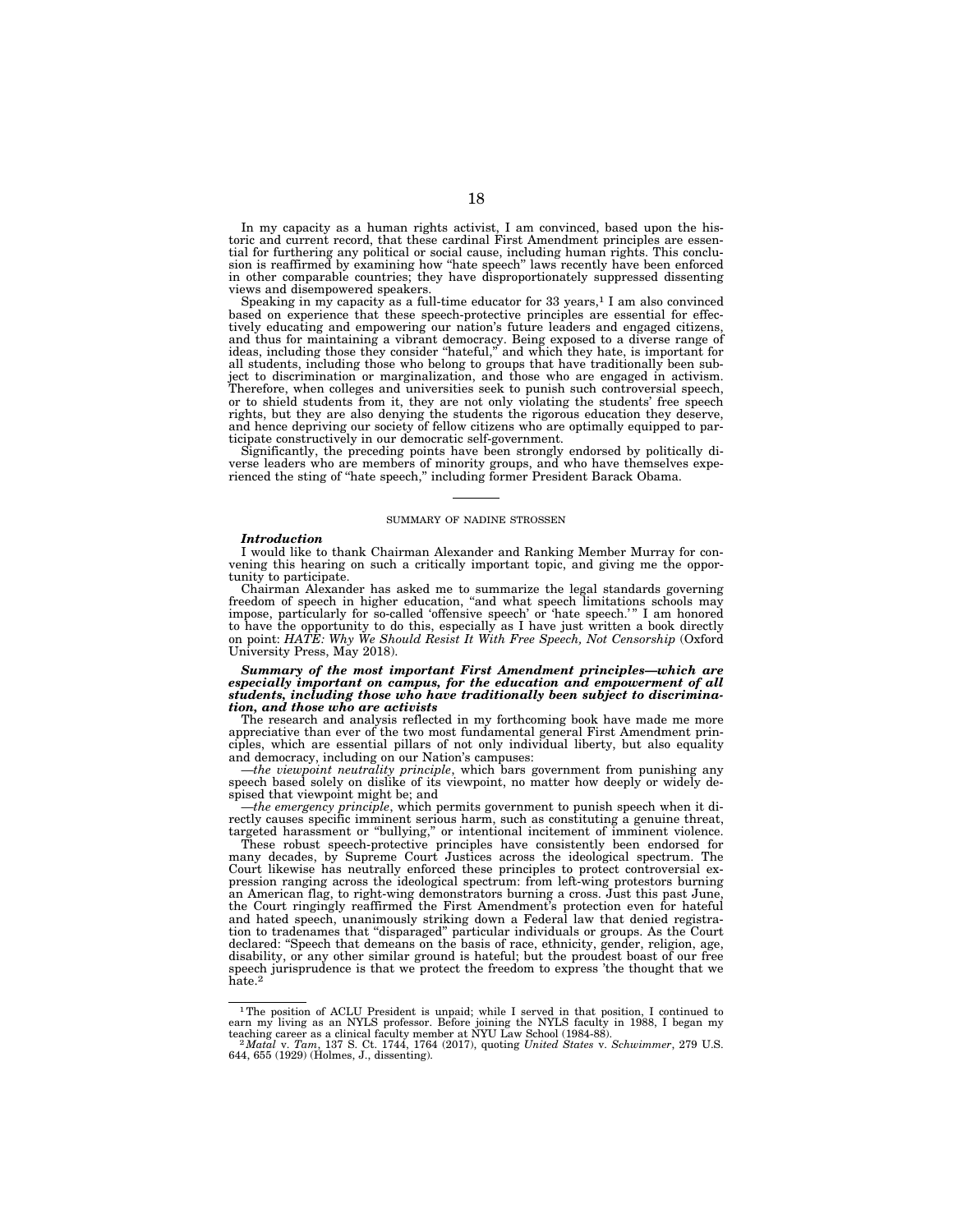In my capacity as a human rights activist, I am convinced, based upon the historic and current record, that these cardinal First Amendment principles are essential for furthering any political or social cause, including human rights. This conclusion is reaffirmed by examining how ''hate speech'' laws recently have been enforced in other comparable countries; they have disproportionately suppressed dissenting views and disempowered speakers.

Speaking in my capacity as a full-time educator for  $33 \text{ years}$ , I am also convinced based on experience that these speech-protective principles are essential for effectively educating and empowering our nation's future leaders and engaged citizens, and thus for maintaining a vibrant democracy. Being exposed to a diverse range of ideas, including those they consider ''hateful,'' and which they hate, is important for all students, including those who belong to groups that have traditionally been subject to discrimination or marginalization, and those who are engaged in activism. Therefore, when colleges and universities seek to punish such controversial speech, or to shield students from it, they are not only violating the students' free speech rights, but they are also denying the students the rigorous education they deserve, and hence depriving our society of fellow citizens who are optimally equipped to participate constructively in our democratic self-government.

Significantly, the preceding points have been strongly endorsed by politically diverse leaders who are members of minority groups, and who have themselves experienced the sting of ''hate speech,'' including former President Barack Obama.

### SUMMARY OF NADINE STROSSEN

### *Introduction*

I would like to thank Chairman Alexander and Ranking Member Murray for convening this hearing on such a critically important topic, and giving me the opportunity to participate.

Chairman Alexander has asked me to summarize the legal standards governing freedom of speech in higher education, ''and what speech limitations schools may impose, particularly for so-called 'offensive speech' or 'hate speech.' '' I am honored to have the opportunity to do this, especially as I have just written a book directly on point: *HATE: Why We Should Resist It With Free Speech, Not Censorship* (Oxford University Press, May 2018).

*Summary of the most important First Amendment principles—which are especially important on campus, for the education and empowerment of all students, including those who have traditionally been subject to discrimination, and those who are activists* 

The research and analysis reflected in my forthcoming book have made me more appreciative than ever of the two most fundamental general First Amendment principles, which are essential pillars of not only individual liberty, but also equality and democracy, including on our Nation's campuses:

—*the viewpoint neutrality principle*, which bars government from punishing any speech based solely on dislike of its viewpoint, no matter how deeply or widely despised that viewpoint might be; and

—*the emergency principle*, which permits government to punish speech when it directly causes specific imminent serious harm, such as constituting a genuine threat, targeted harassment or ''bullying,'' or intentional incitement of imminent violence.

These robust speech-protective principles have consistently been endorsed for many decades, by Supreme Court Justices across the ideological spectrum. The Court likewise has neutrally enforced these principles to protect controversial expression ranging across the ideological spectrum: from left-wing protestors burning an American flag, to right-wing demonstrators burning a cross. Just this past June, the Court ringingly reaffirmed the First Amendment's protection even for hateful and hated speech, unanimously striking down a Federal law that denied registration to tradenames that ''disparaged'' particular individuals or groups. As the Court declared: ''Speech that demeans on the basis of race, ethnicity, gender, religion, age, disability, or any other similar ground is hateful; but the proudest boast of our free speech jurisprudence is that we protect the freedom to express 'the thought that we hate.<sup>2</sup>

<sup>&</sup>lt;sup>1</sup>The position of ACLU President is unpaid; while I served in that position, I continued to earn my living as an NYLS professor. Before joining the NYLS faculty in 1988, I began my leteching career as a clinical faculty

<sup>&</sup>lt;sup>2</sup> Matal v. Tam, 137 S. Ct. 1744, 1764 (2017), quoting United States v. Schwimmer, 279 U.S. 644, 655 (1929) (Holmes, J., dissenting).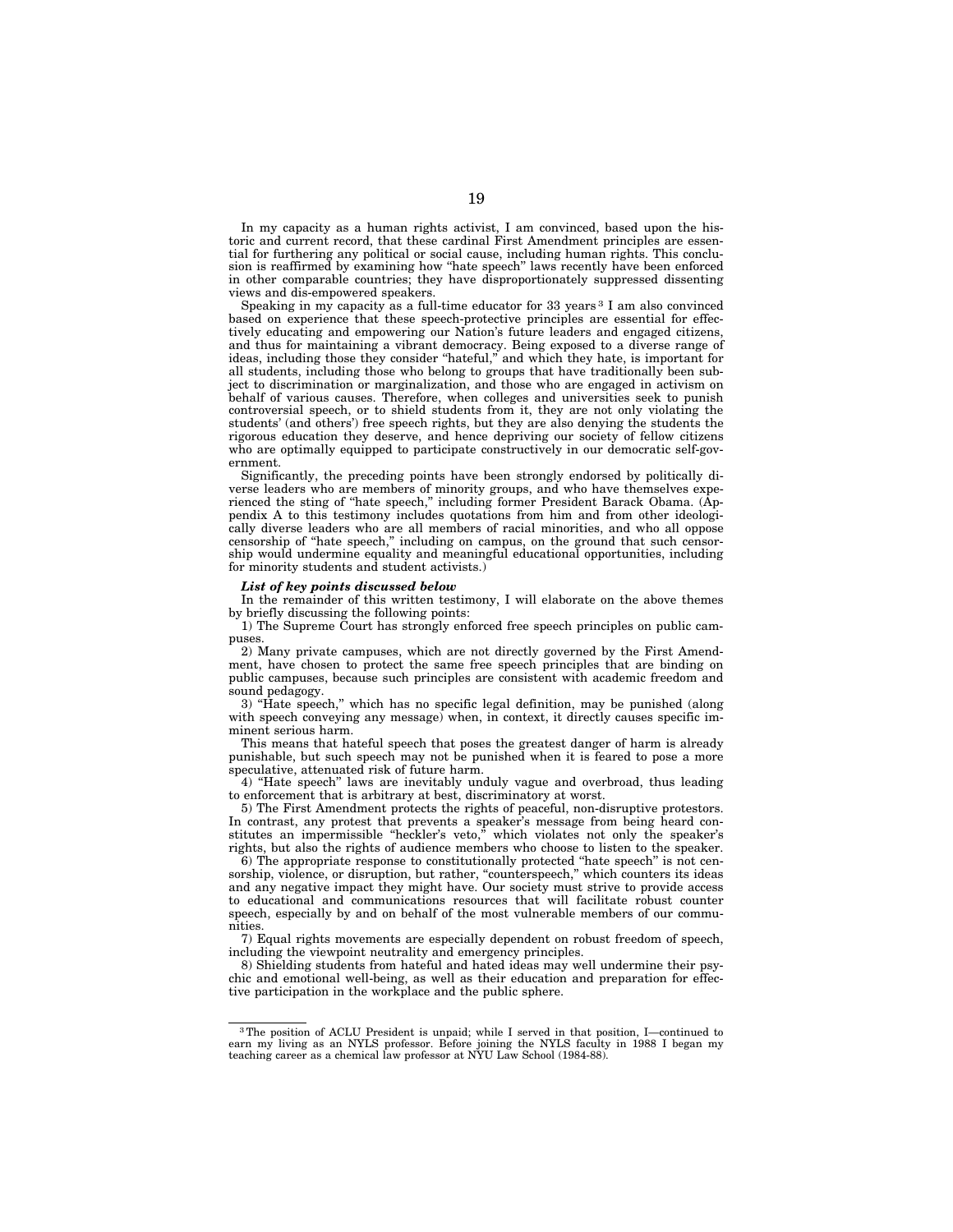In my capacity as a human rights activist, I am convinced, based upon the historic and current record, that these cardinal First Amendment principles are essential for furthering any political or social cause, including human rights. This conclusion is reaffirmed by examining how ''hate speech'' laws recently have been enforced in other comparable countries; they have disproportionately suppressed dissenting views and dis-empowered speakers.

Speaking in my capacity as a full-time educator for 33 years 3 I am also convinced based on experience that these speech-protective principles are essential for effectively educating and empowering our Nation's future leaders and engaged citizens, and thus for maintaining a vibrant democracy. Being exposed to a diverse range of ideas, including those they consider "hateful," and which they hate, is important for all students, including those who belong to groups that have traditionally been subject to discrimination or marginalization, and those who are engaged in activism on behalf of various causes. Therefore, when colleges and universities seek to punish controversial speech, or to shield students from it, they are not only violating the students' (and others') free speech rights, but they are also denying the students the rigorous education they deserve, and hence depriving our society of fellow citizens who are optimally equipped to participate constructively in our democratic self-government.

Significantly, the preceding points have been strongly endorsed by politically diverse leaders who are members of minority groups, and who have themselves experienced the sting of ''hate speech,'' including former President Barack Obama. (Appendix A to this testimony includes quotations from him and from other ideologically diverse leaders who are all members of racial minorities, and who all oppose censorship of ''hate speech,'' including on campus, on the ground that such censorship would undermine equality and meaningful educational opportunities, including for minority students and student activists.)

# *List of key points discussed below*

In the remainder of this written testimony, I will elaborate on the above themes by briefly discussing the following points:

1) The Supreme Court has strongly enforced free speech principles on public campuses

2) Many private campuses, which are not directly governed by the First Amendment, have chosen to protect the same free speech principles that are binding on public campuses, because such principles are consistent with academic freedom and sound pedagogy.

3) ''Hate speech,'' which has no specific legal definition, may be punished (along with speech conveying any message) when, in context, it directly causes specific imminent serious harm.

This means that hateful speech that poses the greatest danger of harm is already punishable, but such speech may not be punished when it is feared to pose a more speculative, attenuated risk of future harm.

4) ''Hate speech'' laws are inevitably unduly vague and overbroad, thus leading to enforcement that is arbitrary at best, discriminatory at worst.

5) The First Amendment protects the rights of peaceful, non-disruptive protestors. In contrast, any protest that prevents a speaker's message from being heard constitutes an impermissible ''heckler's veto,'' which violates not only the speaker's rights, but also the rights of audience members who choose to listen to the speaker.

6) The appropriate response to constitutionally protected ''hate speech'' is not censorship, violence, or disruption, but rather, "counterspeech," which counters its ideas and any negative impact they might have. Our society must strive to provide access to educational and communications resources that will facilitate robust counter speech, especially by and on behalf of the most vulnerable members of our communities.

7) Equal rights movements are especially dependent on robust freedom of speech, including the viewpoint neutrality and emergency principles.

8) Shielding students from hateful and hated ideas may well undermine their psychic and emotional well-being, as well as their education and preparation for effective participation in the workplace and the public sphere.

<sup>3</sup>The position of ACLU President is unpaid; while I served in that position, I—continued to earn my living as an NYLS professor. Before joining the NYLS faculty in 1988 I began my teaching career as a chemical law professor at NYU Law School (1984-88).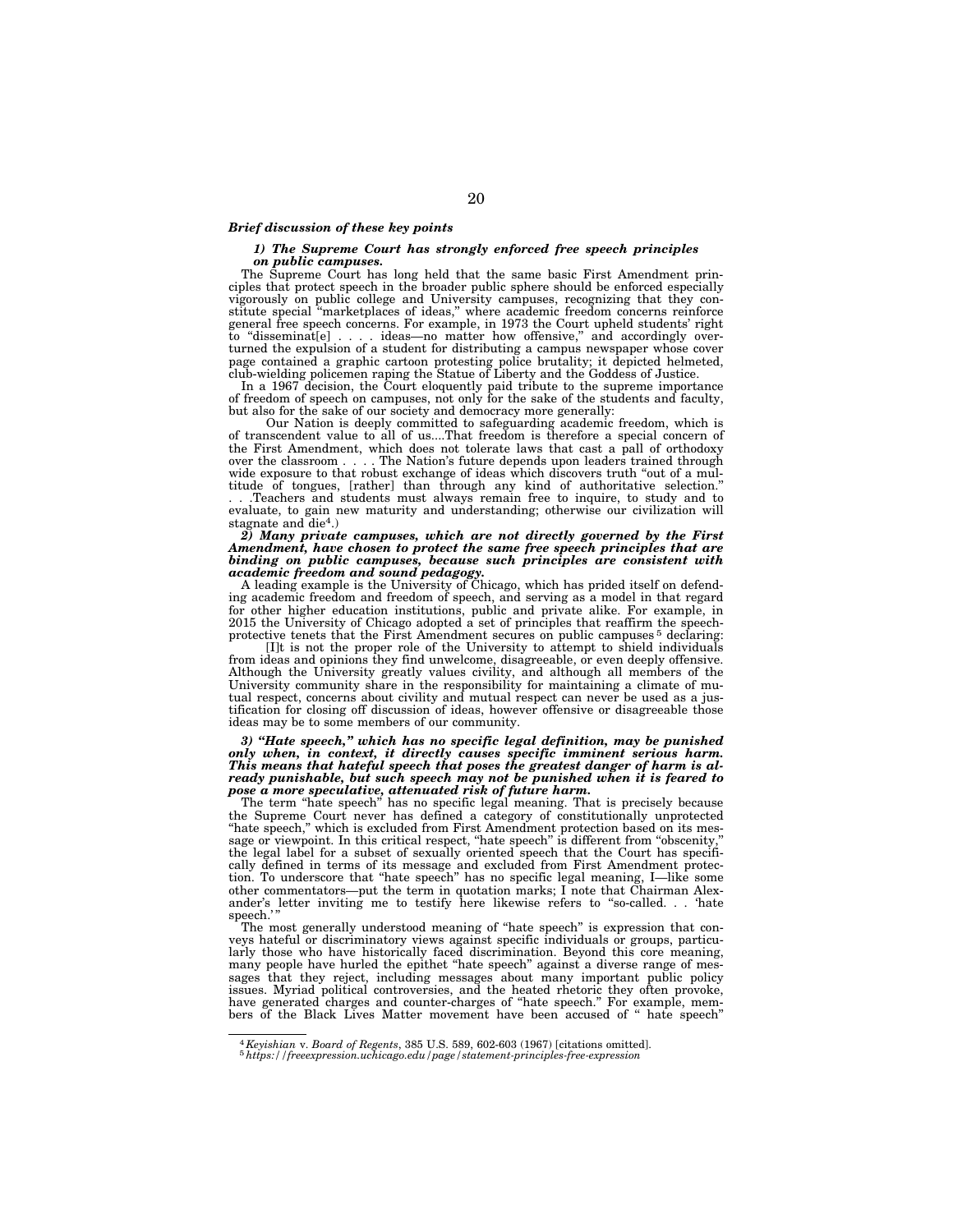### *Brief discussion of these key points*

### *1) The Supreme Court has strongly enforced free speech principles on public campuses.*

The Supreme Court has long held that the same basic First Amendment principles that protect speech in the broader public sphere should be enforced especially vigorously on public college and University campuses, recognizing that they constitute special ''marketplaces of ideas,'' where academic freedom concerns reinforce general free speech concerns. For example, in 1973 the Court upheld students' right to "disseminat[e]  $\ldots$  ideas—no matter how offensive," and accordingly overturned the expulsion of a student for distributing a campus newspaper whose cover page contained a graphic cartoon protesting police brutality; it depicted helmeted, club-wielding policemen raping the Statue of Liberty and the Goddess of Justice.

In a 1967 decision, the Court eloquently paid tribute to the supreme importance of freedom of speech on campuses, not only for the sake of the students and faculty, but also for the sake of our society and democracy more generally:

Our Nation is deeply committed to safeguarding academic freedom, which is of transcendent value to all of us....That freedom is therefore a special concern of the First Amendment, which does not tolerate laws that cast a pall of orthodoxy over the classroom . . . . The Nation's future depends upon leaders trained through wide exposure to that robust exchange of ideas which discovers truth "out of a multitude of tongues, [rather] than through any kind of authoritative selection.''

. . .Teachers and students must always remain free to inquire, to study and to evaluate, to gain new maturity and understanding; otherwise our civilization will stagnate and die4.)

*2) Many private campuses, which are not directly governed by the First Amendment, have chosen to protect the same free speech principles that are binding on public campuses, because such principles are consistent with academic freedom and sound pedagogy.* 

A leading example is the University of Chicago, which has prided itself on defending academic freedom and freedom of speech, and serving as a model in that regard for other higher education institutions, public and private alike. For example, in 2015 the University of Chicago adopted a set of principles that reaffirm the speechprotective tenets that the First Amendment secures on public campuses<sup>5</sup> declaring:

[I]t is not the proper role of the University to attempt to shield individuals from ideas and opinions they find unwelcome, disagreeable, or even deeply offensive. Although the University greatly values civility, and although all members of the University community share in the responsibility for maintaining a climate of mutual respect, concerns about civility and mutual respect can never be used as a justification for closing off discussion of ideas, however offensive or disagreeable those ideas may be to some members of our community.

### *3) ''Hate speech,'' which has no specific legal definition, may be punished only when, in context, it directly causes specific imminent serious harm. This means that hateful speech that poses the greatest danger of harm is already punishable, but such speech may not be punished when it is feared to pose a more speculative, attenuated risk of future harm.*

The term ''hate speech'' has no specific legal meaning. That is precisely because the Supreme Court never has defined a category of constitutionally unprotected ''hate speech,'' which is excluded from First Amendment protection based on its message or viewpoint. In this critical respect, "hate speech" is different from "obscenity, the legal label for a subset of sexually oriented speech that the Court has specifically defined in terms of its message and excluded from First Amendment protection. To underscore that ''hate speech'' has no specific legal meaning, I—like some other commentators—put the term in quotation marks; I note that Chairman Alexander's letter inviting me to testify here likewise refers to ''so-called. . . 'hate speech.'

The most generally understood meaning of ''hate speech'' is expression that conveys hateful or discriminatory views against specific individuals or groups, particularly those who have historically faced discrimination. Beyond this core meaning, many people have hurled the epithet ''hate speech'' against a diverse range of messages that they reject, including messages about many important public policy issues. Myriad political controversies, and the heated rhetoric they often provoke, have generated charges and counter-charges of ''hate speech.'' For example, members of the Black Lives Matter movement have been accused of '' hate speech''

<sup>4</sup> *Keyishian* v. *Board of Regents*, 385 U.S. 589, 602-603 (1967) [citations omitted]. 5*https://freeexpression.uchicago.edu/page/statement-principles-free-expression*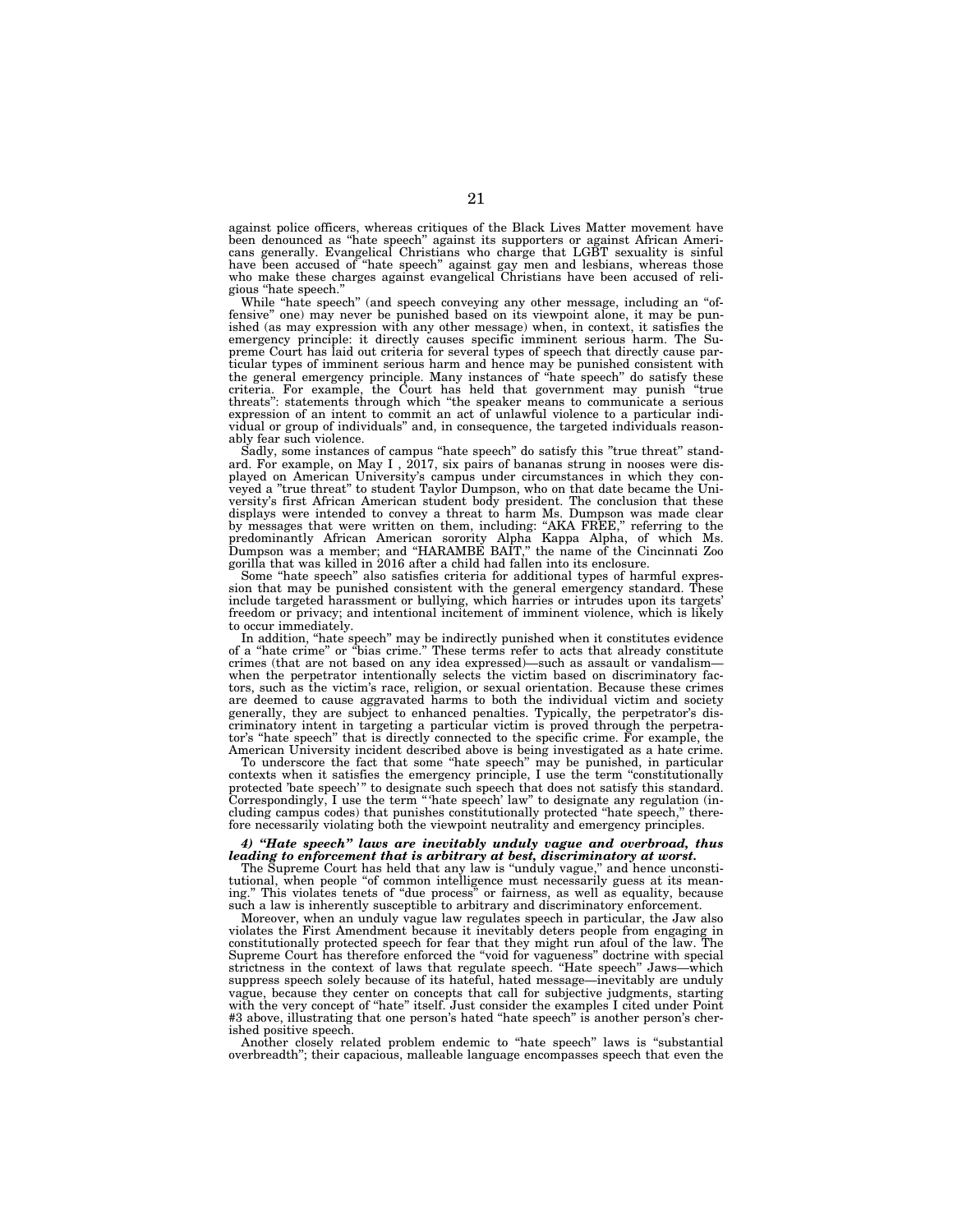against police officers, whereas critiques of the Black Lives Matter movement have been denounced as ''hate speech'' against its supporters or against African Americans generally. Evangelical Christians who charge that LGBT sexuality is sinful have been accused of ''hate speech'' against gay men and lesbians, whereas those who make these charges against evangelical Christians have been accused of religious ''hate speech.''

While "hate speech" (and speech conveying any other message, including an "offensive'' one) may never be punished based on its viewpoint alone, it may be punished (as may expression with any other message) when, in context, it satisfies the emergency principle: it directly causes specific imminent serious harm. The Supreme Court has laid out criteria for several types of speech that directly cause particular types of imminent serious harm and hence may be punished consistent with the general emergency principle. Many instances of ''hate speech'' do satisfy these criteria. For example, the Court has held that government may punish ''true threats'': statements through which ''the speaker means to communicate a serious expression of an intent to commit an act of unlawful violence to a particular individual or group of individuals'' and, in consequence, the targeted individuals reasonably fear such violence.

Sadly, some instances of campus ''hate speech'' do satisfy this ''true threat'' standard. For example, on May I , 2017, six pairs of bananas strung in nooses were displayed on American University's campus under circumstances in which they conveyed a ''true threat'' to student Taylor Dumpson, who on that date became the University's first African American student body president. The conclusion that these displays were intended to convey a threat to harm Ms. Dumpson was made clear by messages that were written on them, including: "AKA FREE," referring to the predominantly African American sorority Alpha Kappa Alpha, of which Ms. Dumpson was a member; and ''HARAMBE BAIT,'' the name of the Cincinnati Zoo gorilla that was killed in 2016 after a child had fallen into its enclosure.

Some ''hate speech'' also satisfies criteria for additional types of harmful expression that may be punished consistent with the general emergency standard. These include targeted harassment or bullying, which harries or intrudes upon its targets' freedom or privacy; and intentional incitement of imminent violence, which is likely to occur immediately.

In addition, ''hate speech'' may be indirectly punished when it constitutes evidence of a ''hate crime'' or ''bias crime.'' These terms refer to acts that already constitute crimes (that are not based on any idea expressed)—such as assault or vandalism when the perpetrator intentionally selects the victim based on discriminatory factors, such as the victim's race, religion, or sexual orientation. Because these crimes are deemed to cause aggravated harms to both the individual victim and society generally, they are subject to enhanced penalties. Typically, the perpetrator's discriminatory intent in targeting a particular victim is proved through the perpetrator's ''hate speech'' that is directly connected to the specific crime. For example, the American University incident described above is being investigated as a hate crime.

To underscore the fact that some ''hate speech'' may be punished, in particular contexts when it satisfies the emergency principle, I use the term ''constitutionally protected 'bate speech' '' to designate such speech that does not satisfy this standard. Correspondingly, I use the term "hate speech' law" to designate any regulation (including campus codes) that punishes constitutionally protected ''hate speech,'' therefore necessarily violating both the viewpoint neutrality and emergency principles.

### *4) ''Hate speech'' laws are inevitably unduly vague and overbroad, thus leading to enforcement that is arbitrary at best, discriminatory at worst.*

The Supreme Court has held that any law is ''unduly vague,'' and hence unconstitutional, when people ''of common intelligence must necessarily guess at its meaning.'' This violates tenets of ''due process'' or fairness, as well as equality, because such a law is inherently susceptible to arbitrary and discriminatory enforcement.

Moreover, when an unduly vague law regulates speech in particular, the Jaw also violates the First Amendment because it inevitably deters people from engaging in constitutionally protected speech for fear that they might run afoul of the law. The Supreme Court has therefore enforced the ''void for vagueness'' doctrine with special strictness in the context of laws that regulate speech. ''Hate speech'' Jaws—which suppress speech solely because of its hateful, hated message—inevitably are unduly vague, because they center on concepts that call for subjective judgments, starting with the very concept of "hate" itself. Just consider the examples I cited under Point #3 above, illustrating that one person's hated "hate speech" is another person's cherished positive speech.

Another closely related problem endemic to ''hate speech'' laws is ''substantial overbreadth''; their capacious, malleable language encompasses speech that even the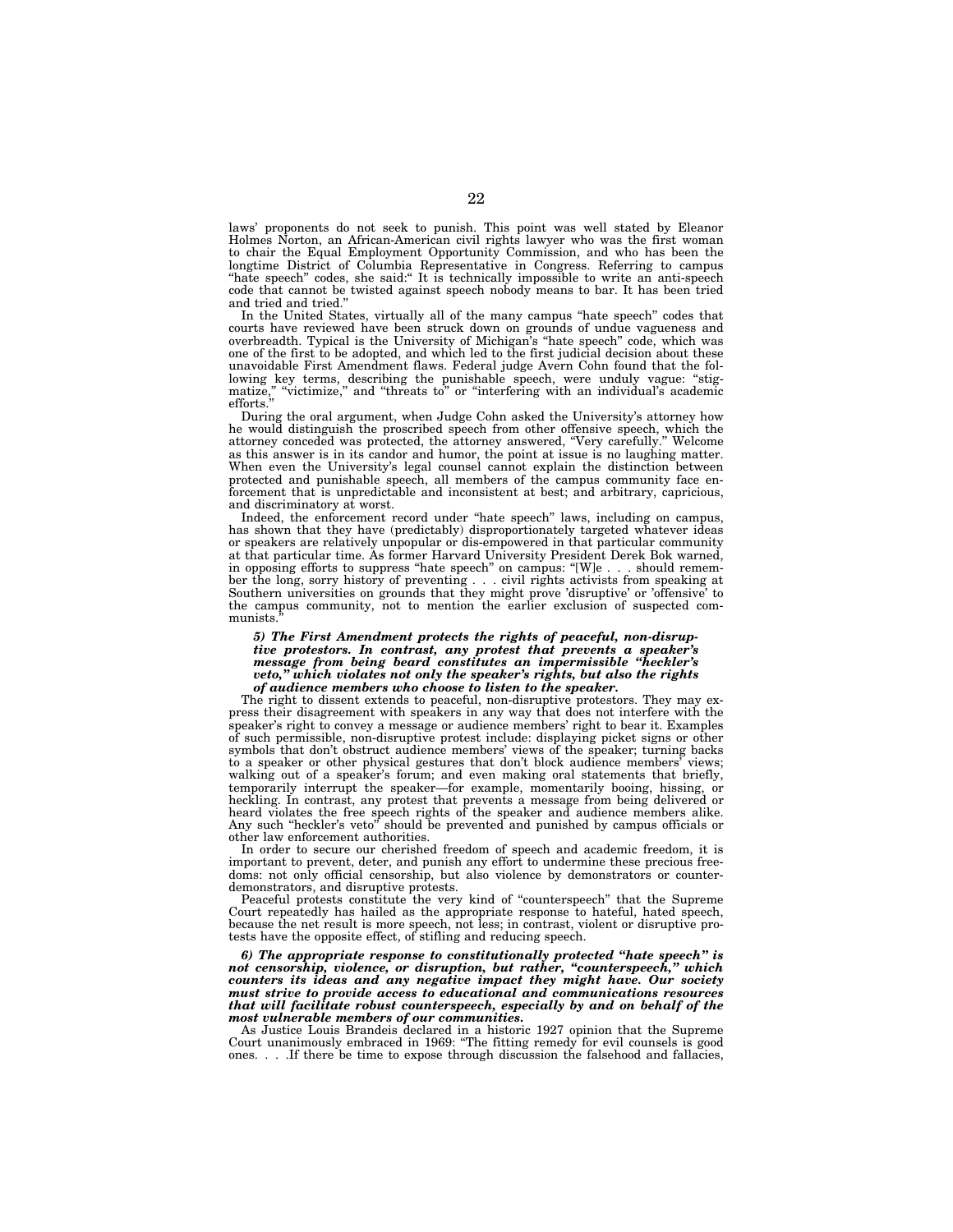laws' proponents do not seek to punish. This point was well stated by Eleanor Holmes Norton, an African-American civil rights lawyer who was the first woman to chair the Equal Employment Opportunity Commission, and who has been the longtime District of Columbia Representative in Congress. Referring to campus "hate speech" codes, she said: It is technically impossible to write an anti-speech code that cannot be twisted against speech nobody means to bar. It has been tried and tried and tried.

In the United States, virtually all of the many campus ''hate speech'' codes that courts have reviewed have been struck down on grounds of undue vagueness and overbreadth. Typical is the University of Michigan's ''hate speech'' code, which was one of the first to be adopted, and which led to the first judicial decision about these unavoidable First Amendment flaws. Federal judge Avern Cohn found that the following key terms, describing the punishable speech, were unduly vague: "stigmatize," "victimize," and "threats to" or "interfering with an individual's academic efforts.''

During the oral argument, when Judge Cohn asked the University's attorney how he would distinguish the proscribed speech from other offensive speech, which the attorney conceded was protected, the attorney answered, ''Very carefully.'' Welcome as this answer is in its candor and humor, the point at issue is no laughing matter. When even the University's legal counsel cannot explain the distinction between protected and punishable speech, all members of the campus community face enforcement that is unpredictable and inconsistent at best; and arbitrary, capricious, and discriminatory at worst.

Indeed, the enforcement record under ''hate speech'' laws, including on campus, has shown that they have (predictably) disproportionately targeted whatever ideas or speakers are relatively unpopular or dis-empowered in that particular community at that particular time. As former Harvard University President Derek Bok warned, in opposing efforts to suppress "hate speech" on campus: "[W]e . . . should remember the long, sorry history of preventing . . . civil rights activists from speaking at Southern universities on grounds that they might prove 'disruptive' or 'offensive' to the campus community, not to mention the earlier exclusion of suspected communists.

### *5) The First Amendment protects the rights of peaceful, non-disruptive protestors. In contrast, any protest that prevents a speaker's message from being beard constitutes an impermissible ''heckler's veto,'' which violates not only the speaker's rights, but also the rights of audience members who choose to listen to the speaker.*

The right to dissent extends to peaceful, non-disruptive protestors. They may express their disagreement with speakers in any way that does not interfere with the speaker's right to convey a message or audience members' right to bear it. Examples of such permissible, non-disruptive protest include: displaying picket signs or other symbols that don't obstruct audience members' views of the speaker; turning backs to a speaker or other physical gestures that don't block audience members' views; walking out of a speaker's forum; and even making oral statements that briefly, temporarily interrupt the speaker—for example, momentarily booing, hissing, or heckling. In contrast, any protest that prevents a message from being delivered or heard violates the free speech rights of the speaker and audience members alike. Any such ''heckler's veto'' should be prevented and punished by campus officials or other law enforcement authorities.

In order to secure our cherished freedom of speech and academic freedom, it is important to prevent, deter, and punish any effort to undermine these precious freedoms: not only official censorship, but also violence by demonstrators or counterdemonstrators, and disruptive protests.

Peaceful protests constitute the very kind of "counterspeech" that the Supreme Court repeatedly has hailed as the appropriate response to hateful, hated speech, because the net result is more speech, not less; in contrast, violent or disruptive protests have the opposite effect, of stifling and reducing speech.

*6) The appropriate response to constitutionally protected ''hate speech'' is not censorship, violence, or disruption, but rather, ''counterspeech,'' which counters its ideas and any negative impact they might have. Our society must strive to provide access to educational and communications resources that will facilitate robust counterspeech, especially by and on behalf of the most vulnerable members of our communities.* 

As Justice Louis Brandeis declared in a historic 1927 opinion that the Supreme Court unanimously embraced in 1969: ''The fitting remedy for evil counsels is good ones. . . .If there be time to expose through discussion the falsehood and fallacies,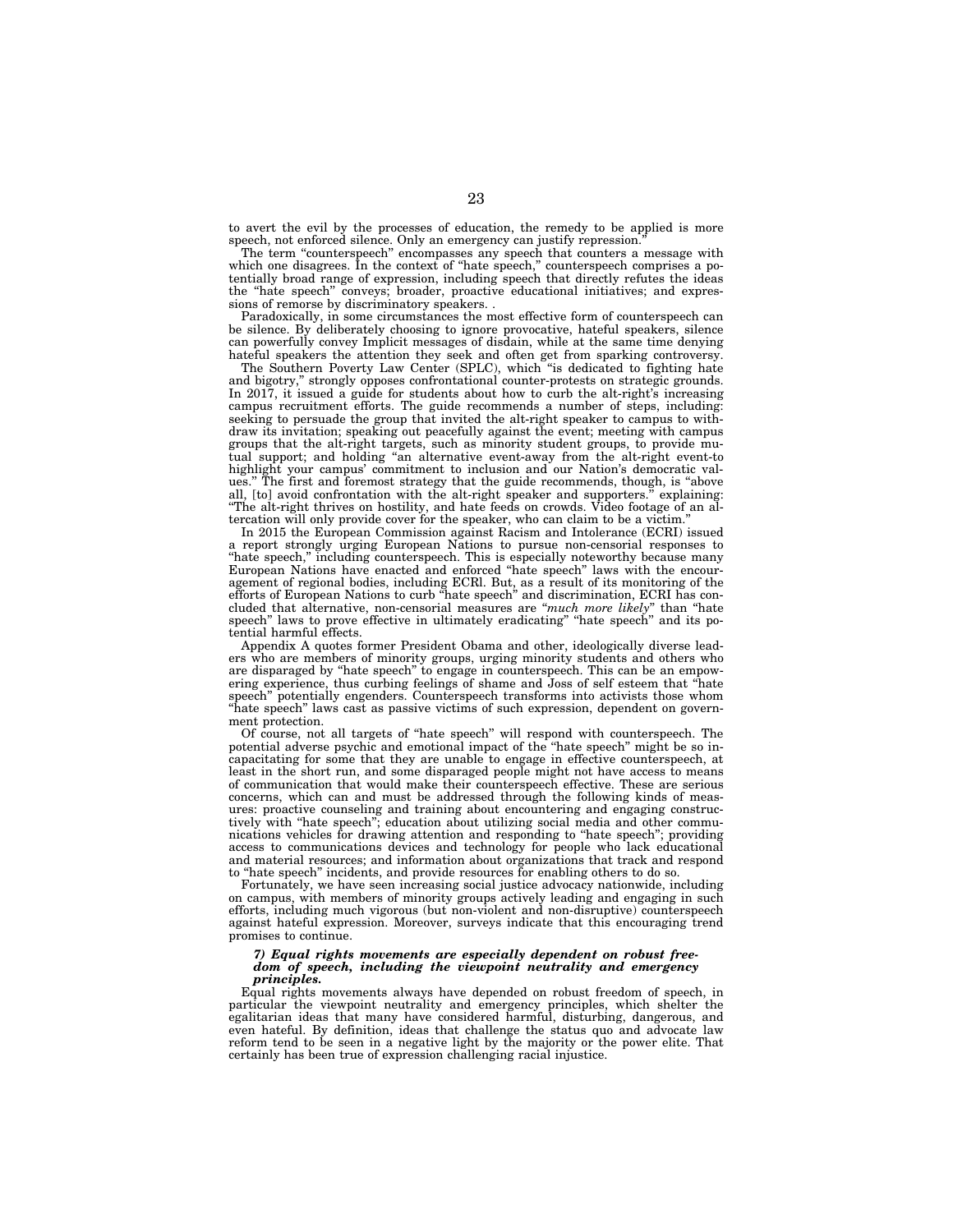to avert the evil by the processes of education, the remedy to be applied is more speech, not enforced silence. Only an emergency can justify repression.''

The term "counterspeech" encompasses any speech that counters a message with which one disagrees. In the context of ''hate speech,'' counterspeech comprises a potentially broad range of expression, including speech that directly refutes the ideas the ''hate speech'' conveys; broader, proactive educational initiatives; and expressions of remorse by discriminatory speakers. .

Paradoxically, in some circumstances the most effective form of counterspeech can be silence. By deliberately choosing to ignore provocative, hateful speakers, silence can powerfully convey Implicit messages of disdain, while at the same time denying hateful speakers the attention they seek and often get from sparking controversy.

The Southern Poverty Law Center (SPLC), which ''is dedicated to fighting hate and bigotry,'' strongly opposes confrontational counter-protests on strategic grounds. In 2017, it issued a guide for students about how to curb the alt-right's increasing campus recruitment efforts. The guide recommends a number of steps, including: seeking to persuade the group that invited the alt-right speaker to campus to withdraw its invitation; speaking out peacefully against the event; meeting with campus groups that the alt-right targets, such as minority student groups, to provide mutual support; and holding ''an alternative event-away from the alt-right event-to highlight your campus' commitment to inclusion and our Nation's democratic values.'' The first and foremost strategy that the guide recommends, though, is ''above all, [to] avoid confrontation with the alt-right speaker and supporters.'' explaining: ''The alt-right thrives on hostility, and hate feeds on crowds. Video footage of an altercation will only provide cover for the speaker, who can claim to be a victim.''

In 2015 the European Commission against Racism and Intolerance (ECRI) issued a report strongly urging European Nations to pursue non-censorial responses to "hate speech," including counterspeech. This is especially noteworthy because many European Nations have enacted and enforced "hate speech" laws with the encouragement of regional bodies, including ECRl. But, as a result of its monitoring of the efforts of European Nations to curb ''hate speech'' and discrimination, ECRI has concluded that alternative, non-censorial measures are ''*much more likely*'' than ''hate speech'' laws to prove effective in ultimately eradicating'' ''hate speech'' and its potential harmful effects.

Appendix A quotes former President Obama and other, ideologically diverse leaders who are members of minority groups, urging minority students and others who are disparaged by ''hate speech'' to engage in counterspeech. This can be an empowering experience, thus curbing feelings of shame and Joss of self esteem that ''hate speech'' potentially engenders. Counterspeech transforms into activists those whom ''hate speech'' laws cast as passive victims of such expression, dependent on government protection.

Of course, not all targets of ''hate speech'' will respond with counterspeech. The potential adverse psychic and emotional impact of the ''hate speech'' might be so incapacitating for some that they are unable to engage in effective counterspeech, at least in the short run, and some disparaged people might not have access to means of communication that would make their counterspeech effective. These are serious concerns, which can and must be addressed through the following kinds of measures: proactive counseling and training about encountering and engaging constructively with ''hate speech''; education about utilizing social media and other communications vehicles for drawing attention and responding to "hate speech"; providing access to communications devices and technology for people who lack educational and material resources; and information about organizations that track and respond to "hate speech" incidents, and provide resources for enabling others to do so.

Fortunately, we have seen increasing social justice advocacy nationwide, including on campus, with members of minority groups actively leading and engaging in such efforts, including much vigorous (but non-violent and non-disruptive) counterspeech against hateful expression. Moreover, surveys indicate that this encouraging trend promises to continue.

### *7) Equal rights movements are especially dependent on robust freedom of speech, including the viewpoint neutrality and emergency principles.*

Equal rights movements always have depended on robust freedom of speech, in particular the viewpoint neutrality and emergency principles, which shelter the egalitarian ideas that many have considered harmful, disturbing, dangerous, and even hateful. By definition, ideas that challenge the status quo and advocate law reform tend to be seen in a negative light by the majority or the power elite. That certainly has been true of expression challenging racial injustice.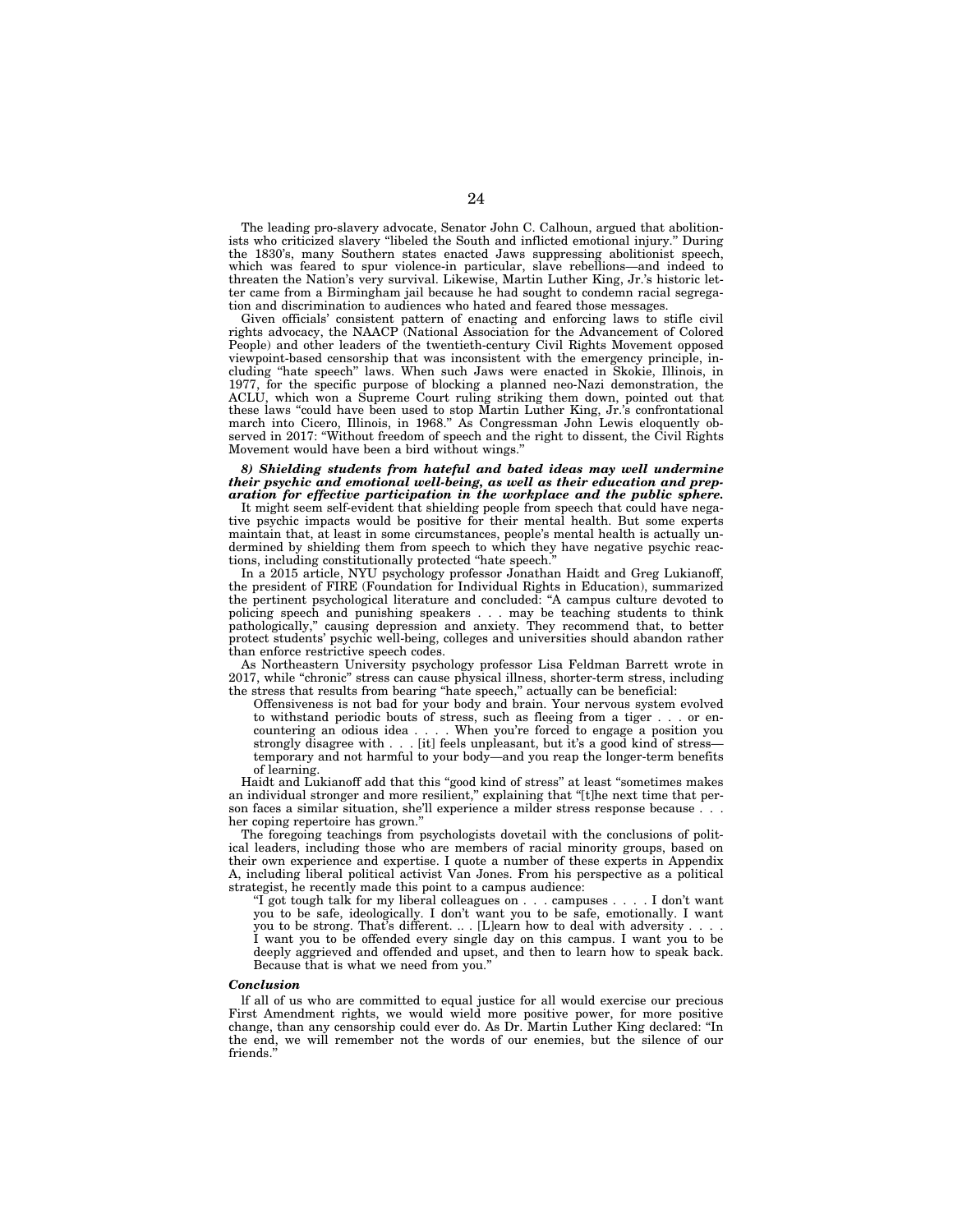The leading pro-slavery advocate, Senator John C. Calhoun, argued that abolitionists who criticized slavery ''libeled the South and inflicted emotional injury.'' During the 1830's, many Southern states enacted Jaws suppressing abolitionist speech, which was feared to spur violence-in particular, slave rebellions—and indeed to threaten the Nation's very survival. Likewise, Martin Luther King, Jr.'s historic letter came from a Birmingham jail because he had sought to condemn racial segregation and discrimination to audiences who hated and feared those messages.

Given officials' consistent pattern of enacting and enforcing laws to stifle civil rights advocacy, the NAACP (National Association for the Advancement of Colored People) and other leaders of the twentieth-century Civil Rights Movement opposed viewpoint-based censorship that was inconsistent with the emergency principle, including ''hate speech'' laws. When such Jaws were enacted in Skokie, Illinois, in 1977, for the specific purpose of blocking a planned neo-Nazi demonstration, the ACLU, which won a Supreme Court ruling striking them down, pointed out that these laws ''could have been used to stop Martin Luther King, Jr.'s confrontational march into Cicero, Illinois, in 1968." As Congressman John Lewis eloquently observed in 2017: ''Without freedom of speech and the right to dissent, the Civil Rights Movement would have been a bird without wings.''

### *8) Shielding students from hateful and bated ideas may well undermine their psychic and emotional well-being, as well as their education and preparation for effective participation in the workplace and the public sphere.*

It might seem self-evident that shielding people from speech that could have negative psychic impacts would be positive for their mental health. But some experts maintain that, at least in some circumstances, people's mental health is actually undermined by shielding them from speech to which they have negative psychic reactions, including constitutionally protected ''hate speech.''

In a 2015 article, NYU psychology professor Jonathan Haidt and Greg Lukianoff, the president of FIRE (Foundation for Individual Rights in Education), summarized the pertinent psychological literature and concluded: ''A campus culture devoted to policing speech and punishing speakers . . . may be teaching students to think pathologically,'' causing depression and anxiety. They recommend that, to better protect students' psychic well-being, colleges and universities should abandon rather than enforce restrictive speech codes.

As Northeastern University psychology professor Lisa Feldman Barrett wrote in 2017, while ''chronic'' stress can cause physical illness, shorter-term stress, including the stress that results from bearing ''hate speech,'' actually can be beneficial:

Offensiveness is not bad for your body and brain. Your nervous system evolved to withstand periodic bouts of stress, such as fleeing from a tiger . . . or encountering an odious idea . . . . When you're forced to engage a position you strongly disagree with . . . [it] feels unpleasant, but it's a good kind of stress temporary and not harmful to your body—and you reap the longer-term benefits of learning.

Haidt and Lukianoff add that this ''good kind of stress'' at least ''sometimes makes an individual stronger and more resilient," explaining that "[t]he next time that person faces a similar situation, she'll experience a milder stress response because . . . her coping repertoire has grown.''

The foregoing teachings from psychologists dovetail with the conclusions of political leaders, including those who are members of racial minority groups, based on their own experience and expertise. I quote a number of these experts in Appendix A, including liberal political activist Van Jones. From his perspective as a political strategist, he recently made this point to a campus audience:

''I got tough talk for my liberal colleagues on . . . campuses . . . . I don't want you to be safe, ideologically. I don't want you to be safe, emotionally. I want you to be strong. That's different. .. . [L]earn how to deal with adversity . . . . I want you to be offended every single day on this campus. I want you to be deeply aggrieved and offended and upset, and then to learn how to speak back. Because that is what we need from you.''

*Conclusion* 

lf all of us who are committed to equal justice for all would exercise our precious First Amendment rights, we would wield more positive power, for more positive change, than any censorship could ever do. As Dr. Martin Luther King declared: ''In the end, we will remember not the words of our enemies, but the silence of our friends.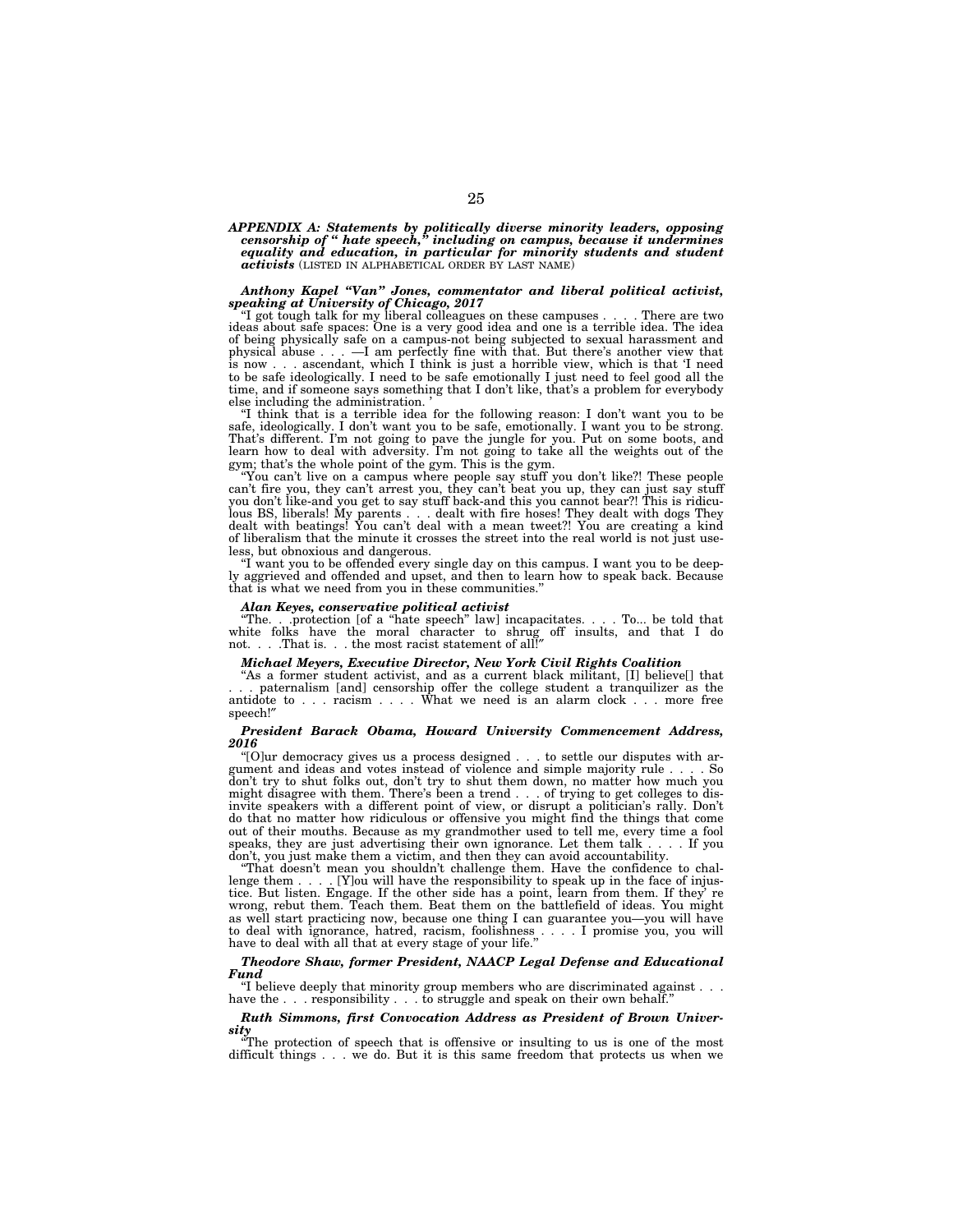# *APPENDIX A: Statements by politically diverse minority leaders, opposing censorship of '' hate speech,'' including on campus, because it undermines equality and education, in particular for minority students and student activists* (LISTED IN ALPHABETICAL ORDER BY LAST NAME)

### *Anthony Kapel ''Van'' Jones, commentator and liberal political activist, speaking at University of Chicago, 2017*

''I got tough talk for my liberal colleagues on these campuses . . . . There are two ideas about safe spaces: One is a very good idea and one is a terrible idea. The idea of being physically safe on a campus-not being subjected to sexual harassment and physical abuse . . . —I am perfectly fine with that. But there's another view that is now . . . ascendant, which I think is just a horrible view, which is that 'I need to be safe ideologically. I need to be safe emotionally I just need to feel good all the time, and if someone says something that I don't like, that's a problem for everybody else including the administration. '

''I think that is a terrible idea for the following reason: I don't want you to be safe, ideologically. I don't want you to be safe, emotionally. I want you to be strong. That's different. I'm not going to pave the jungle for you. Put on some boots, and learn how to deal with adversity. I'm not going to take all the weights out of the gym; that's the whole point of the gym. This is the gym.

"You can't live on a campus where people say stuff you don't like?! These people can't fire you, they can't arrest you, they can't beat you up, they can just say stuff you don't like-and you get to say stuff back-and this you cannot bear?! This is ridiculous BS, liberals! My parents . . . dealt with fire hoses! They dealt with dogs They dealt with beatings! You can't deal with a mean tweet?! You are creating a kind of liberalism that the minute it crosses the street into the real world is not just useless, but obnoxious and dangerous.

'I want you to be offended every single day on this campus. I want you to be deeply aggrieved and offended and upset, and then to learn how to speak back. Because that is what we need from you in these communities.''

### *Alan Keyes, conservative political activist*

''The. . .protection [of a ''hate speech'' law] incapacitates. . . . To... be told that white folks have the moral character to shrug off insults, and that I do not. . . .That is. . . the most racist statement of all!″

# *Michael Meyers, Executive Director, New York Civil Rights Coalition*

"As a former student activist, and as a current black militant, [I] believe[] that . . . paternalism [and] censorship offer the college student a tranquilizer as the antidote to . . . racism . . . . What we need is an alarm clock . . . more free speech!″

### *President Barack Obama, Howard University Commencement Address, 2016*

''[O]ur democracy gives us a process designed . . . to settle our disputes with argument and ideas and votes instead of violence and simple majority rule . . . . So don't try to shut folks out, don't try to shut them down, no matter how much you might disagree with them. There's been a trend . . . of trying to get colleges to disinvite speakers with a different point of view, or disrupt a politician's rally. Don't do that no matter how ridiculous or offensive you might find the things that come out of their mouths. Because as my grandmother used to tell me, every time a fool speaks, they are just advertising their own ignorance. Let them talk don't, you just make them a victim, and then they can avoid accountability.

''That doesn't mean you shouldn't challenge them. Have the confidence to challenge them . . . . [Y] ou will have the responsibility to speak up in the face of injustice. But listen. Engage. If the other side has a point, learn from them. If they' re wrong, rebut them. Teach them. Beat them on the battlefield of ideas. You might as well start practicing now, because one thing I can guarantee you—you will have to deal with ignorance, hatred, racism, foolishness . . . . I promise you, you will have to deal with all that at every stage of your life.''

### *Theodore Shaw, former President, NAACP Legal Defense and Educational Fund*

''I believe deeply that minority group members who are discriminated against . . . have the . . . responsibility . . . to struggle and speak on their own behalf.'

# *Ruth Simmons, first Convocation Address as President of Brown Univer-*

*sity*  ''The protection of speech that is offensive or insulting to us is one of the most difficult things . . . we do. But it is this same freedom that protects us when we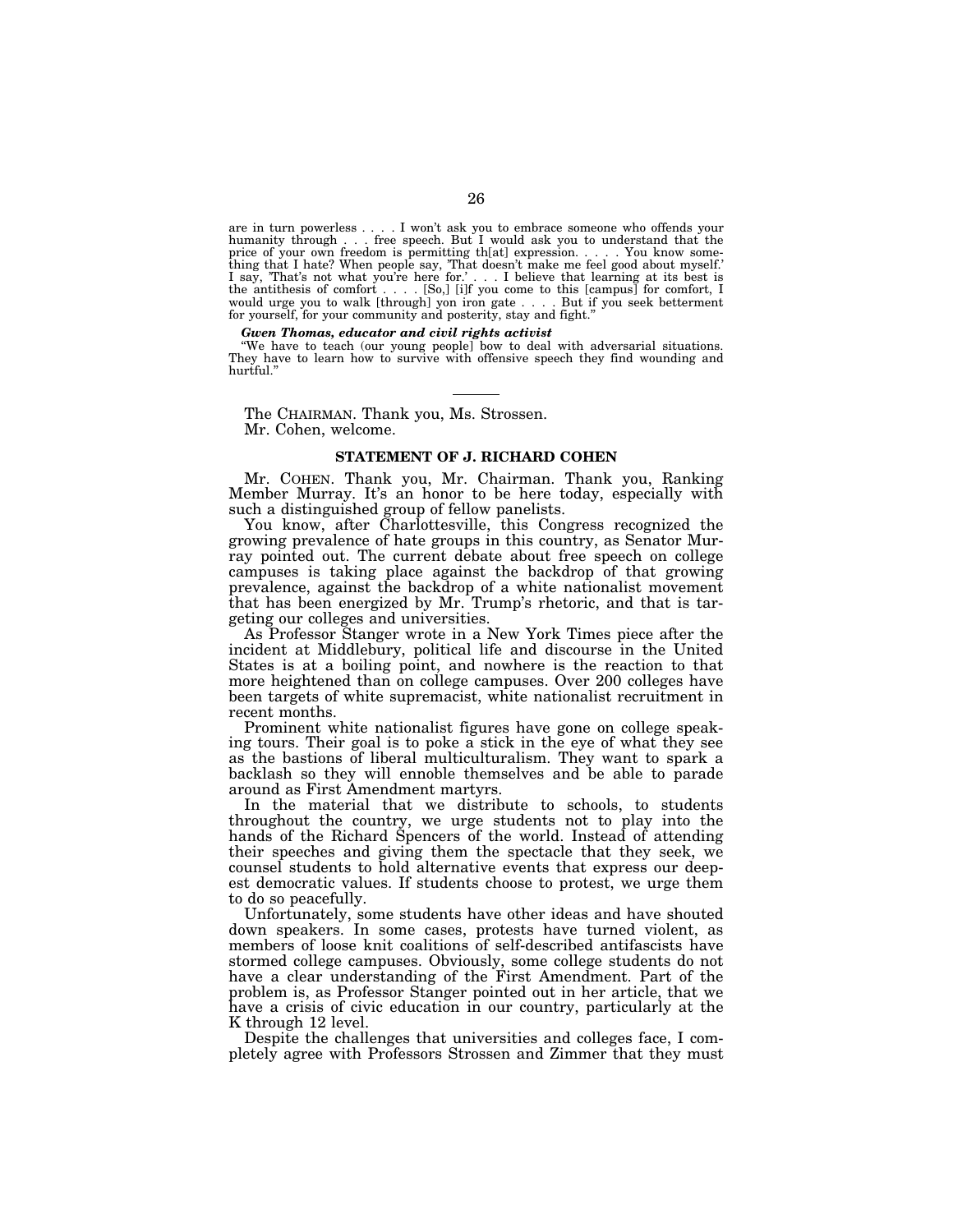are in turn powerless . . . . I won't ask you to embrace someone who offends your humanity through . . . free speech. But I would ask you to understand that the price of your own freedom is permitting th[at] expression. . . . . You know something that I hate? When people say, 'That doesn't make me feel good about myself.' I say, 'That's not what you're here for.' . . . I believe that learning at its best is the antithesis of comfort . . . . [So,] [i]f you come to this [campus] for comfort, I would urge you to walk [through] yon iron gate . . . . But if you seek betterment for yourself, for your community and posterity, stay and fight.''

### *Gwen Thomas, educator and civil rights activist*

We have to teach (our young people) bow to deal with adversarial situations. They have to learn how to survive with offensive speech they find wounding and hurtful.''

The CHAIRMAN. Thank you, Ms. Strossen. Mr. Cohen, welcome.

## **STATEMENT OF J. RICHARD COHEN**

Mr. COHEN. Thank you, Mr. Chairman. Thank you, Ranking Member Murray. It's an honor to be here today, especially with such a distinguished group of fellow panelists.

You know, after Charlottesville, this Congress recognized the growing prevalence of hate groups in this country, as Senator Murray pointed out. The current debate about free speech on college campuses is taking place against the backdrop of that growing prevalence, against the backdrop of a white nationalist movement that has been energized by Mr. Trump's rhetoric, and that is targeting our colleges and universities.

As Professor Stanger wrote in a New York Times piece after the incident at Middlebury, political life and discourse in the United States is at a boiling point, and nowhere is the reaction to that more heightened than on college campuses. Over 200 colleges have been targets of white supremacist, white nationalist recruitment in recent months.

Prominent white nationalist figures have gone on college speaking tours. Their goal is to poke a stick in the eye of what they see as the bastions of liberal multiculturalism. They want to spark a backlash so they will ennoble themselves and be able to parade around as First Amendment martyrs.

In the material that we distribute to schools, to students throughout the country, we urge students not to play into the hands of the Richard Spencers of the world. Instead of attending their speeches and giving them the spectacle that they seek, we counsel students to hold alternative events that express our deepest democratic values. If students choose to protest, we urge them to do so peacefully.

Unfortunately, some students have other ideas and have shouted down speakers. In some cases, protests have turned violent, as members of loose knit coalitions of self-described antifascists have stormed college campuses. Obviously, some college students do not have a clear understanding of the First Amendment. Part of the problem is, as Professor Stanger pointed out in her article, that we have a crisis of civic education in our country, particularly at the K through 12 level.

Despite the challenges that universities and colleges face, I completely agree with Professors Strossen and Zimmer that they must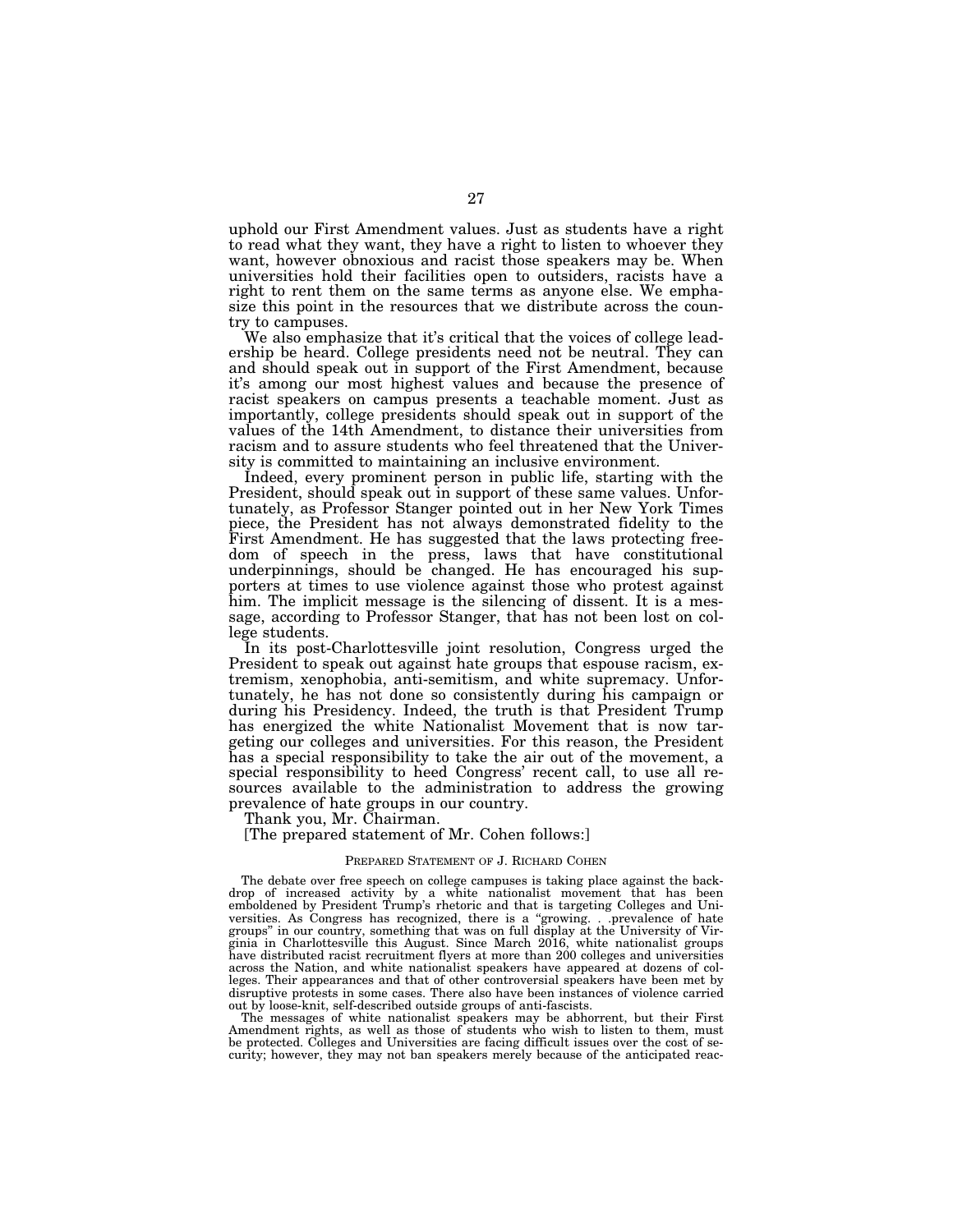uphold our First Amendment values. Just as students have a right to read what they want, they have a right to listen to whoever they want, however obnoxious and racist those speakers may be. When universities hold their facilities open to outsiders, racists have a right to rent them on the same terms as anyone else. We emphasize this point in the resources that we distribute across the country to campuses.

We also emphasize that it's critical that the voices of college leadership be heard. College presidents need not be neutral. They can and should speak out in support of the First Amendment, because it's among our most highest values and because the presence of racist speakers on campus presents a teachable moment. Just as importantly, college presidents should speak out in support of the values of the 14th Amendment, to distance their universities from racism and to assure students who feel threatened that the University is committed to maintaining an inclusive environment.

Indeed, every prominent person in public life, starting with the President, should speak out in support of these same values. Unfortunately, as Professor Stanger pointed out in her New York Times piece, the President has not always demonstrated fidelity to the First Amendment. He has suggested that the laws protecting freedom of speech in the press, laws that have constitutional underpinnings, should be changed. He has encouraged his supporters at times to use violence against those who protest against him. The implicit message is the silencing of dissent. It is a message, according to Professor Stanger, that has not been lost on college students.

In its post-Charlottesville joint resolution, Congress urged the President to speak out against hate groups that espouse racism, extremism, xenophobia, anti-semitism, and white supremacy. Unfortunately, he has not done so consistently during his campaign or during his Presidency. Indeed, the truth is that President Trump has energized the white Nationalist Movement that is now targeting our colleges and universities. For this reason, the President has a special responsibility to take the air out of the movement, a special responsibility to heed Congress' recent call, to use all resources available to the administration to address the growing prevalence of hate groups in our country.

Thank you, Mr. Chairman.

[The prepared statement of Mr. Cohen follows:]

### PREPARED STATEMENT OF J. RICHARD COHEN

The debate over free speech on college campuses is taking place against the backdrop of increased activity by a white nationalist movement that has been emboldened by President Trump's rhetoric and that is targeting Colleges and Universities. As Congress has recognized, there is a ''growing. . .prevalence of hate groups'' in our country, something that was on full display at the University of Virginia in Charlottesville this August. Since March 2016, white nationalist groups have distributed racist recruitment flyers at more than 200 colleges and universities across the Nation, and white nationalist speakers have appeared at dozens of colleges. Their appearances and that of other controversial speakers have been met by disruptive protests in some cases. There also have been instances of violence carried out by loose-knit, self-described outside groups of anti-fascists.

The messages of white nationalist speakers may be abhorrent, but their First Amendment rights, as well as those of students who wish to listen to them, must be protected. Colleges and Universities are facing difficult issues over the cost of security; however, they may not ban speakers merely because of the anticipated reac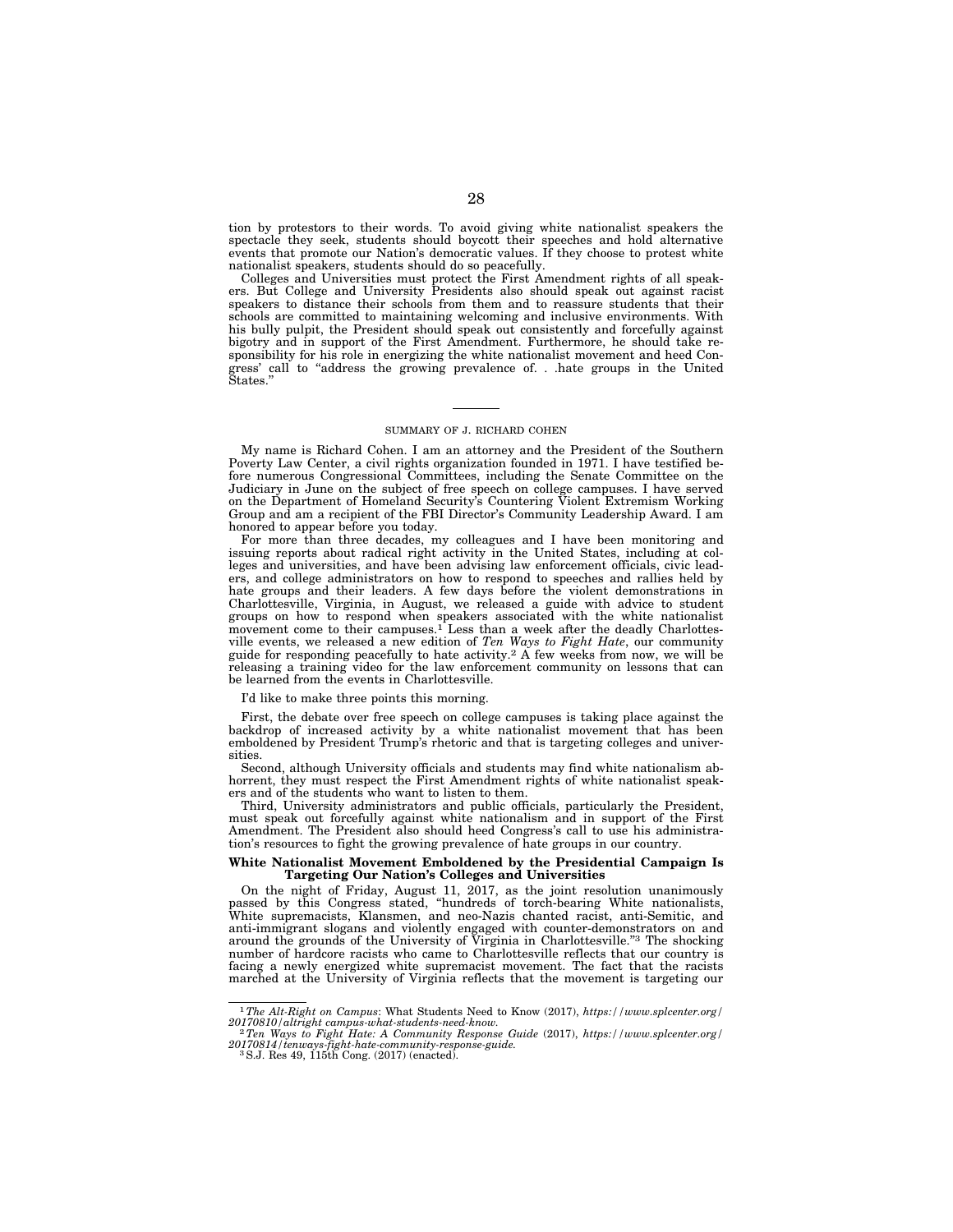tion by protestors to their words. To avoid giving white nationalist speakers the spectacle they seek, students should boycott their speeches and hold alternative events that promote our Nation's democratic values. If they choose to protest white nationalist speakers, students should do so peacefully.

Colleges and Universities must protect the First Amendment rights of all speakers. But College and University Presidents also should speak out against racist speakers to distance their schools from them and to reassure students that their schools are committed to maintaining welcoming and inclusive environments. With his bully pulpit, the President should speak out consistently and forcefully against bigotry and in support of the First Amendment. Furthermore, he should take responsibility for his role in energizing the white nationalist movement and heed Congress' call to ''address the growing prevalence of. . .hate groups in the United States.''

### SUMMARY OF J. RICHARD COHEN

My name is Richard Cohen. I am an attorney and the President of the Southern Poverty Law Center, a civil rights organization founded in 1971. I have testified before numerous Congressional Committees, including the Senate Committee on the Judiciary in June on the subject of free speech on college campuses. I have served on the Department of Homeland Security's Countering Violent Extremism Working Group and am a recipient of the FBI Director's Community Leadership Award. I am honored to appear before you today.

For more than three decades, my colleagues and I have been monitoring and issuing reports about radical right activity in the United States, including at colleges and universities, and have been advising law enforcement officials, civic leaders, and college administrators on how to respond to speeches and rallies held by hate groups and their leaders. A few days before the violent demonstrations in Charlottesville, Virginia, in August, we released a guide with advice to student groups on how to respond when speakers associated with the white nationalist movement come to their campuses.1 Less than a week after the deadly Charlottesville events, we released a new edition of *Ten Ways to Fight Hate*, our community guide for responding peacefully to hate activity.2 A few weeks from now, we will be releasing a training video for the law enforcement community on lessons that can be learned from the events in Charlottesville.

I'd like to make three points this morning.

First, the debate over free speech on college campuses is taking place against the backdrop of increased activity by a white nationalist movement that has been emboldened by President Trump's rhetoric and that is targeting colleges and universities.

Second, although University officials and students may find white nationalism abhorrent, they must respect the First Amendment rights of white nationalist speakers and of the students who want to listen to them.

Third, University administrators and public officials, particularly the President, must speak out forcefully against white nationalism and in support of the First Amendment. The President also should heed Congress's call to use his administration's resources to fight the growing prevalence of hate groups in our country.

### **White Nationalist Movement Emboldened by the Presidential Campaign Is Targeting Our Nation's Colleges and Universities**

On the night of Friday, August 11, 2017, as the joint resolution unanimously passed by this Congress stated, ''hundreds of torch-bearing White nationalists, White supremacists, Klansmen, and neo-Nazis chanted racist, anti-Semitic, and anti-immigrant slogans and violently engaged with counter-demonstrators on and around the grounds of the University of Virginia in Charlottesville.''3 The shocking number of hardcore racists who came to Charlottesville reflects that our country is facing a newly energized white supremacist movement. The fact that the racists marched at the University of Virginia reflects that the movement is targeting our

<sup>1</sup>*The Alt-Right on Campus*: What Students Need to Know (2017), *https://www.splcenter.org/* 

*<sup>20170810/</sup>altright campus-what-students-need-know.* 2*Ten Ways to Fight Hate: A Community Response Guide* (2017), *https://www.splcenter.org/ 20170814/tenways-fight-hate-community-response-guide.* 3S.J. Res 49, 115th Cong. (2017) (enacted).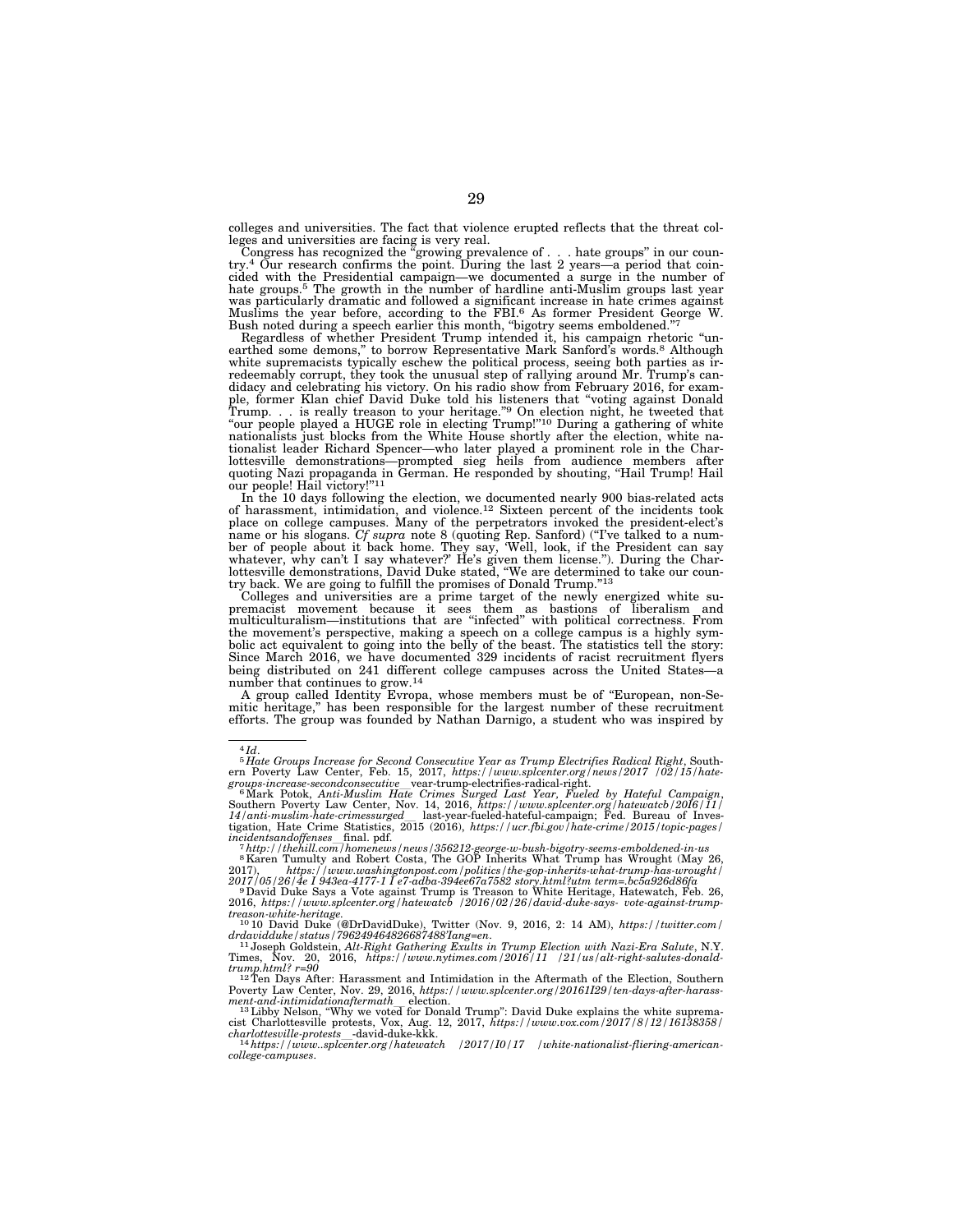colleges and universities. The fact that violence erupted reflects that the threat col-

leges and universities are facing is very real. Congress has recognized the ''growing prevalence of . . . hate groups'' in our coun-try.4 Our research confirms the point. During the last 2 years—a period that coincided with the Presidential campaign—we documented a surge in the number of hate groups.<sup>5</sup> The growth in the number of hardline anti-Muslim groups last year was particularly dramatic and followed a significant increase in Muslims the year before, according to the FBI.6 As former President George W. Bush noted during a speech earlier this month, "bigotry seems emboldened."

Regardless of whether President Trump intended it, his campaign rhetoric "unearthed some demons," to borrow Representative Mark Sanford's words.<sup>8</sup> Although white supremacists typically eschew the political process, seeing both parties as ir-redeemably corrupt, they took the unusual step of rallying around Mr. Trump's candidacy and celebrating his victory. On his radio show from February 2016, for exam-ple, former Klan chief David Duke told his listeners that ''voting against Donald Trump. . . is really treason to your heritage."<sup>9</sup> On election night, he tweeted that "our people played a HUGE role in electing Trump!"<sup>10</sup> During a gathering of white nationalists just blocks from the White House shortly after the election, white na-tionalist leader Richard Spencer—who later played a prominent role in the Charlottesville demonstrations—prompted sieg heils from audience members after quoting Nazi propaganda in German. He responded by shouting, ''Hail Trump! Hail our people! Hail victory!"<sup>11</sup>

In the 10 days following the election, we documented nearly 900 bias-related acts of harassment, intimidation, and violence.12 Sixteen percent of the incidents took place on college campuses. Many of the perpetrators invoked the president-elect's name or his slogans. *Cf supra* note 8 (quoting Rep. Sanford) ("I've talked to a number of people about it back home. They say, 'Well, look, if the President can say whatever, why can't I say whatever?' He's given them li

Colleges and universities are a prime target of the newly energized white supremacist movement because it sees them as bastions of liberalism and multiculturalism—institutions that are "infected" with political correctness the movement's perspective, making a speech on a college campus is a highly symbolic act equivalent to going into the belly of the beast. The statistics tell the story:<br>Since March 2016, we have documented 329 incidents of being distributed on 241 different college campuses across the United Statesnumber that continues to grow.14

A group called Identity Evropa, whose members must be of ''European, non-Semitic heritage,'' has been responsible for the largest number of these recruitment efforts. The group was founded by Nathan Darnigo, a student who was inspired by

<sup>4</sup> *Id*. 5 *Hate Groups Increase for Second Consecutive Year as Trump Electrifies Radical Right*, South-ern Poverty Law Center, Feb. 15, 2017, *https://www.splcenter.org/news/2017 /02/15/hate-*

 $groups-increase-second consecutive \textit{\_} \textit{weak} \textit{in} \textit{Haar-trump-electrifies-radical-right}. $$ \textit{intra} \textit{Houks}, \textit{Intra} \textit{in} \textit{Hauks} \textit{in} \textit{Hauks} \textit{in} \textit{Hauks} \textit{in} \textit{Hauks} \textit{in} \textit{Hauks} \textit{in} \textit{Intra} \textit{in} \textit{Intra} \textit{in} \textit{Intra} \textit{in} \textit{Intra} \textit{in} \textit{Intra} \textit{in} \textit{Intra} \textit{in} \text$ 

 $\frac{7 \text{ http://thehill.com/homenews/news/new8}}{7 \text{http://the hill.com/homenews/news/new8}}$  8E6212-george-w-bush-bigotry-seems-emboldened-in-us<br>8 Karen Tumulty and Robert Costa, The GOP Inherits What Trump has Wrought (May 26,<br>1017), https://www.washingtonpost.com/polit

<sup>2017),</sup> https://www.washingtonpost.com/politics/the-gop-inherits-what-trump-has-wrought/<br>2017/05/26/4e I 943ea-4177-1 I e7-adba-394ee67a7582 story.html?utm term=.bc5a926d86fa<br>9 David Duke Says a Vote against 'Trump is Treas

*treason-white-heritage.*<br>
<sup>10</sup> 10 David Duke (@DrDavidDuke), Twitter (Nov. 9, 2016, 2: 14 AM), *https://twitter.com/*<br> *drdavidduke/status/796249464826687488'Iang=en.* 

 $\label{t:2} \emph{dradavid duke/status/7962494648266874887} \emph{language-status/7962494648266874887} \emph{language-stuts in Trump Electronic British-fault. This, Now. 20, 2016, [https://www.nytimes.com/2016/11/21/us/alt-right-salutes-donal-dtrump.html? r=90} \emph{queryty Law Center, Harassment and Intimidation in the Aftermath of the Electronic Powerty Law Center, Nov. 29, 2016, <a href="</math>](https://www.nytimes.com/2016/11/21/us/alt-right-salutes-donal-dtrump.html? r=90)$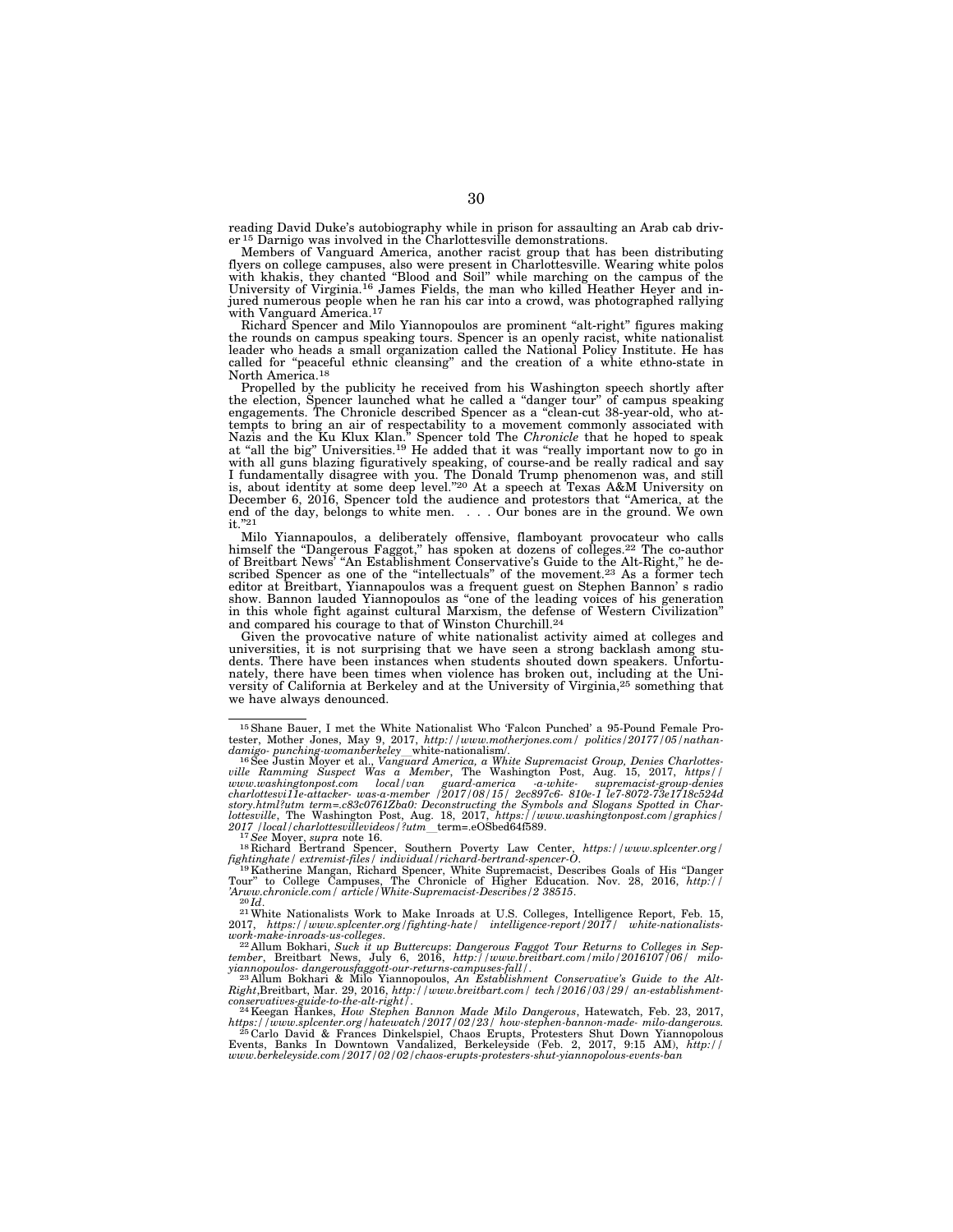reading David Duke's autobiography while in prison for assaulting an Arab cab driver 15 Darnigo was involved in the Charlottesville demonstrations.

Members of Vanguard America, another racist group that has been distributing flyers on college campuses, also were present in Charlottesville. Wearing white polos<br>with khakis, they chanted "Blood and Soil" while marching on the campus of the<br>University of Virginia.<sup>16</sup> James Fields, the man who kil jured numerous people when he ran his car into a crowd, was photographed rallying with Vanguard America.<sup>17</sup>

Richard Spencer and Milo Yiannopoulos are prominent ''alt-right'' figures making the rounds on campus speaking tours. Spencer is an openly racist, white nationalist leader who heads a small organization called the National Policy Institute. He has called for "peaceful ethnic cleansing" and the creation of a white ethno-state in<br>North America.<sup>18</sup>

Propelled by the publicity he received from his Washington speech shortly after the election, Spencer launched what he called a ''danger tour'' of campus speaking engagements. The Chronicle described Spencer as a ''clean-cut 38-year-old, who attempts to bring an air of respectability to a movement commonly associated with Nazis and the Ku Klux Klan." Spencer told The *Chronicle* that he hoped to speak<br>at "all the big" Universities.<sup>19</sup> He added that it was "really important now to go in with all guns blazing figuratively speaking, of course-and be really radical and say I fundamentally disagree with you. The Donald Trump phenomenon was, and still is, about identity at some deep level.''20 At a speech at Texas A&M University on December 6, 2016, Spencer told the audience and protestors that ''America, at the end of the day, belongs to white men. . . . Our bones are in the ground. We own  $it.$ "21

Milo Yiannapoulos, a deliberately offensive, flamboyant provocateur who calls himself the "Dangerous Faggot," has spoken at dozens of colleges.<sup>22</sup> The co-author of Breitbart News' ''An Establishment Conservative's Guide to the Alt-Right,'' he described Spencer as one of the "intellectuals" of the movement.<sup>23</sup> As a former tech editor at Breitbart, Yiannapoulos was a frequent guest on Stephen Bannon' s radio show. Bannon lauded Yiannopoulos as ''one of the leading voices of his generation in this whole fight against cultural Marxism, the defense of Western Civilization'' and compared his courage to that of Winston Churchill.24

Given the provocative nature of white nationalist activity aimed at colleges and universities, it is not surprising that we have seen a strong backlash among students. There have been instances when students shouted down speakers. Unfortunately, there have been times when violence has broken out, including at the University of California at Berkeley and at the University of Virginia,<sup>25</sup> something that we have always denounced.

<sup>&</sup>lt;sup>15</sup> Shane Bauer, I met the White Nationalist Who 'Falcon Punched' a 95-Pound Female Protester, Mother Jones, May 9, 2017, *http://www.motherjones.com/ politics/20177/05/nathan-*

*damigo- punching-womanberkeley*lwhite-nationalism/. 16See Justin Moyer et al., *Vanguard America, a White Supremacist Group, Denies Charlottes-ville Ramming Suspect Was a Member*, The Washington Post, Aug. 15, 2017, *https// www.washingtonpost.com local/van guard-america -a-white- supremacist-group-denies charlottesvi11e-attacker- was-a-member /2017/08/15/ 2ec897c6- 810e-1 le7-8072-73e1718c524d story.html?utm term=.c83c0761Zba0: Deconstructing the Symbols and Slogans Spotted in Char-lottesville*, The Washington Post, Aug. 18, 2017, *https://www.washingtonpost.com/graphics/ 2017 /local/charlottesvillevideos/?utm*lterm=.eOSbed64f589. 17*See* Moyer, *supra* note 16. 18 Richard Bertrand Spencer, Southern Poverty Law Center, *https://www.splcenter.org/* 

*fightinghate/ extremist-files/ individual/richard-bertrand-spencer-O.*<br> *fightinghate/ extremist-files/ individual/richard-bertrand-spencer-O.*<br>
<sup>19</sup>Katherine Mangan, Richard Spencer, White Supremacist, Describes Goals of

Tour'' to College Campuses, The Chronicle of Higher Education. Nov. 28, 2016, *http://* 

 $\label{c:22} \begin{array}{l} \textit{Arww.chronicle.com/article/White-Supremacist-Describes/2~38515.}\\ \textit{201d.}\\ \textit{218d.}\\ \textit{227d.}\\ \textit{238d.}\\ \textit{238d.}\\ \textit{248d.}\\ \textit{258d.}\\ \textit{268d.}\\ \textit{27d.}\\ \textit{28d.}\\ \textit{28d.}\\ \textit{29d.}\\ \textit{2017, }\textit{https://www.spleenter.org/fighting-hate/} \textit{intelligence-report/2017/} \textit{white-nationalists-} \\ \textit{$ 

*conservatives-guide-to-the-alt-right/*. 24Keegan Hankes, *How Stephen Bannon Made Milo Dangerous*, Hatewatch, Feb. 23, 2017,

*https://www.splcenter.org/hatewatch/2017/02/23/ how-stephen-bannon-made- milo-dangerous.* <sup>25</sup> Carlo David & Frances Dinkelspiel, Chaos Erupts, Protesters Shut Down Yiannopolous

Events, Banks In Downtown Vandalized, Berkeleyside (Feb. 2, 2017, 9:15 AM), *http:// www.berkeleyside.com/2017/02/02/chaos-erupts-protesters-shut-yiannopolous-events-ban*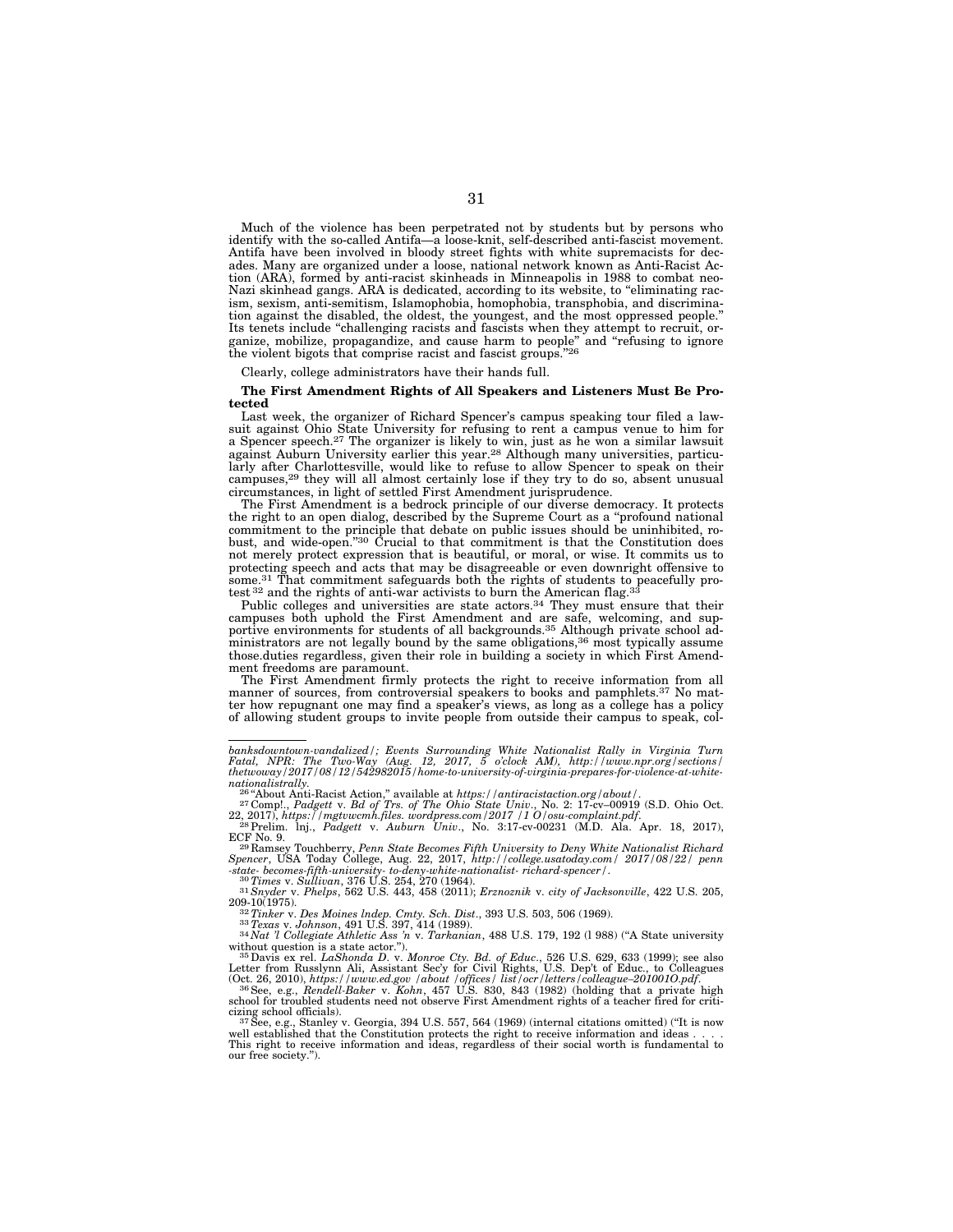Much of the violence has been perpetrated not by students but by persons who identify with the so-called Antifa—a loose-knit, self-described anti-fascist movement. Antifa have been involved in bloody street fights with white supremacists for decades. Many are organized under a loose, national network known as Anti-Racist Action (ARA), formed by anti-racist skinheads in Minneapolis in 1988 to combat neo-Nazi skinhead gangs. ARA is dedicated, according to its website, to "eliminating racism, sexism, anti-semitism, Islamophobia, homophobia, transphobia, and discrimination against the disabled, the oldest, the youngest, and the most oppressed people.'' Its tenets include ''challenging racists and fascists when they attempt to recruit, organize, mobilize, propagandize, and cause harm to people'' and ''refusing to ignore the violent bigots that comprise racist and fascist groups.''26

Clearly, college administrators have their hands full.

### **The First Amendment Rights of All Speakers and Listeners Must Be Protected**

Last week, the organizer of Richard Spencer's campus speaking tour filed a lawsuit against Ohio State University for refusing to rent a campus venue to him for a Spencer speech.27 The organizer is likely to win, just as he won a similar lawsuit against Auburn University earlier this year.28 Although many universities, particularly after Charlottesville, would like to refuse to allow Spencer to speak on their campuses,29 they will all almost certainly lose if they try to do so, absent unusual circumstances, in light of settled First Amendment jurisprudence.

The First Amendment is a bedrock principle of our diverse democracy. It protects the right to an open dialog, described by the Supreme Court as a ''profound national commitment to the principle that debate on public issues should be uninhibited, robust, and wide-open."30 Crucial to that commitment is that the Constitution does not merely protect expression that is beautiful, or moral, or wise. It commits us to protecting speech and acts that may be disagreeable or even downright offensive to some.<sup>31</sup> That commitment safeguards both the rights of students to peacefully protest<sup>32</sup> and the rights of anti-war activists to burn the American flag.<sup>33</sup>

Public colleges and universities are state actors.<sup>34</sup> They must ensure that their campuses both uphold the First Amendment and are safe, welcoming, and sup-portive environments for students of all backgrounds.35 Although private school administrators are not legally bound by the same obligations,36 most typically assume those.duties regardless, given their role in building a society in which First Amendment freedoms are paramount.

The First Amendment firmly protects the right to receive information from all manner of sources, from controversial speakers to books and pamphlets.<sup>37</sup> No matter how repugnant one may find a speaker's views, as long as a college has a policy of allowing student groups to invite people from outside their campus to speak, col-

ECF No. 9.<br><sup>29</sup> Ramsey Touchberry, *Penn State Becomes Fifth University to Deny White Nationalist Richard*<br>*Spencer*, USA Today College, Aug. 22, 2017, *http://college.usatoday.com/* 2017/08/22/ penn<br>*-state- becomes-fift* 

banksdowntown-vandalized | ; Events Surrounding White Nationalist Rally in Virginia Turn<br>Fatal, NPR: The Two-Way (Aug. 12, 2017, 5 o'clock AM), http: | www.npr.org|sections|<br>thetwoway|2017|08|12|542982015|home-to-universit

*nationalistrally.* <sup>26</sup> ''About Anti-Racist Action,'' available at *https://antiracistaction.org/about/*. 27 Comp!., *Padgett* v. *Bd of Trs. of The Ohio State Univ*., No. 2: 17-cv–00919 (S.D. Ohio Oct.

<sup>22, 2017),</sup> *https://mgtvwcmh.files. wordpress.com/2017 /1 O/osu-complaint.pdf*. 28Prelim. lnj., *Padgett* v. *Auburn Univ*., No. 3:17-cv-00231 (M.D. Ala. Apr. 18, 2017),

<sup>209-10(1975).&</sup>lt;br><sup>32</sup>Tinker v. Des Moines Indep. Cmty. Sch. Dist., 393 U.S. 503, 506 (1969).<br><sup>33</sup>Texas v. Johnson, 491 U.S. 397, 414 (1989).<br><sup>34</sup>Nat 'l Collegiate Athletic Ass 'n v. Tarkanian, 488 U.S. 179, 192 (1 988) ("A S

without question is a state actor.").<br>
<sup>35</sup> Davis ex rel. LaShonda D. v. Monroe Cty. Bd. of Educ., 526 U.S. 629, 633 (1999); see also<br>
Letter from Russlynn Ali, Assistant Sec'y for Civil Rights, U.S. Dep't of Educ., to Co

cizing school officials).<br><sup>37</sup>See, e.g., Stanley v. Georgia, 394 U.S. 557, 564 (1969) (internal citations omitted) ("It is now<br>well established that the Constitution protects the right to receive information and ideas . . This right to receive information and ideas, regardless of their social worth is fundamental to our free society.'').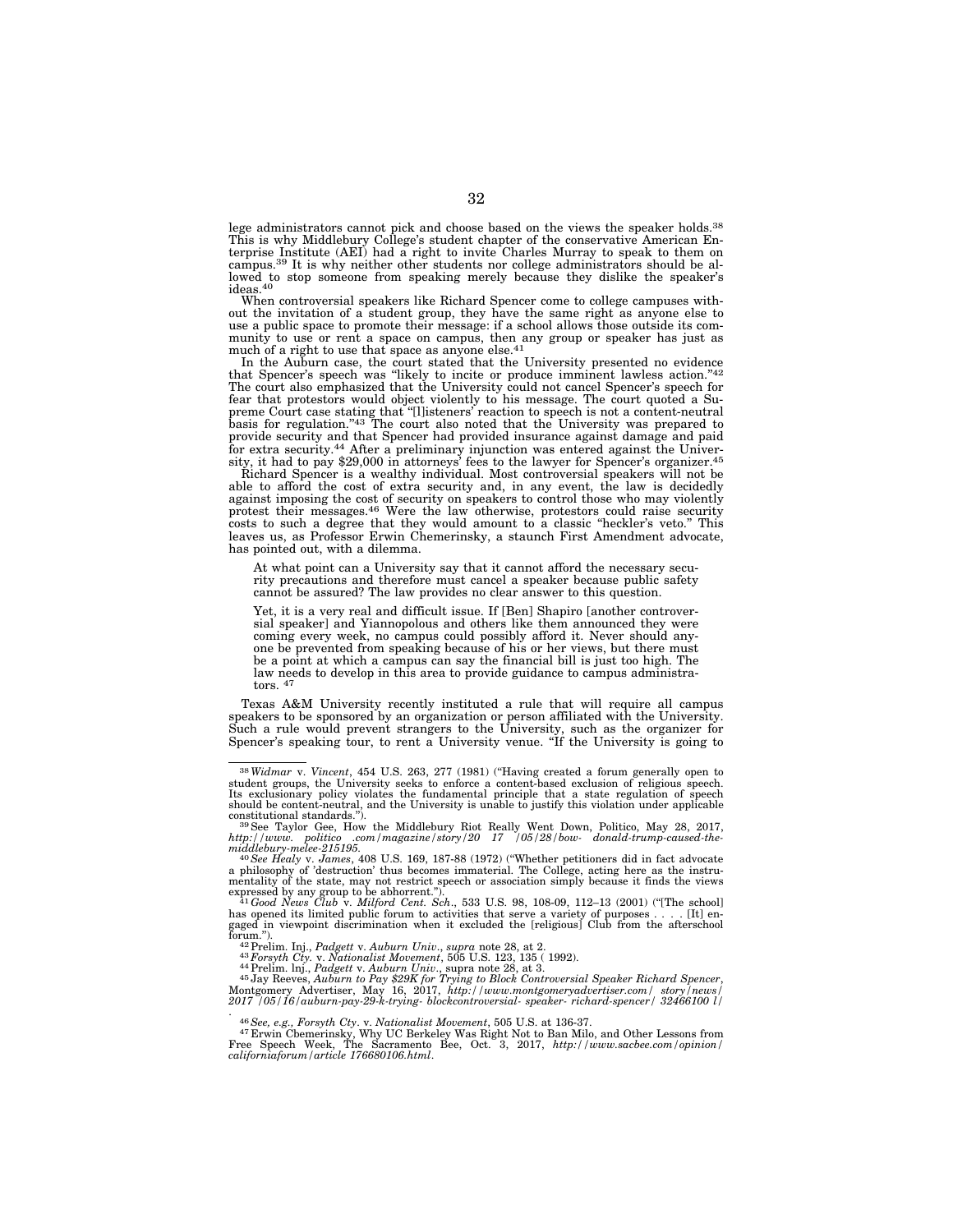lege administrators cannot pick and choose based on the views the speaker holds.<sup>38</sup><br>This is why Middlebury College's student chapter of the conservative American Enterprise Institute (AEI) had a right to invite Charles Mu campus.39 It is why neither other students nor college administrators should be allowed to stop someone from speaking merely because they dislike the speaker's ideas<sup>4</sup>

When controversial speakers like Richard Spencer come to college campuses without the invitation of a student group, they have the same right as anyone else to use a public space to promote their message: if a school allows those outside its community to use or rent a space on campus, then any group or speaker has just as much of a right to use that space as anyone else.<sup>41</sup>

In the Auburn case, the court stated that the University presented no evidence that Spencer's speech was "likely to incite or produce imminent lawless action."<sup>42</sup> The court also emphasized that the University could not cancel Spencer's speech for fear that protestors would object violently to his message. The court quoted a Supreme Court case stating that "[l]isteners' reaction to speech is not a content-neutral basis for regulation."<sup>43</sup> The court also noted that the University was prepared to provide security and that Spencer had provided insurance against damage and paid for extra security.<sup>44</sup> After a preliminary injunction was entered against the University, it had to pay \$29,000 in attorneys' fees to the lawyer for Spencer's organizer.<sup>45</sup>

Richard Spencer is a wealthy individual. Most controversial speakers will not be able to afford the cost of extra security and, in any event, the law is decidedly against imposing the cost of security on speakers to control those who may violently<br>protest their messages.<sup>46</sup> Were the law otherwise, protestors could raise security<br>costs to such a degree that they would amount to a cl leaves us, as Professor Erwin Chemerinsky, a staunch First Amendment advocate, has pointed out, with a dilemma.

At what point can a University say that it cannot afford the necessary security precautions and therefore must cancel a speaker because public safety cannot be assured? The law provides no clear answer to this question.

Yet, it is a very real and difficult issue. If [Ben] Shapiro [another controversial speaker] and Yiannopolous and others like them announced they were coming every week, no campus could possibly afford it. Never should anyone be prevented from speaking because of his or her views, but there must be a point at which a campus can say the financial bill is just too high. The law needs to develop in this area to provide guidance to campus administrators. 47

Texas A&M University recently instituted a rule that will require all campus speakers to be sponsored by an organization or person affiliated with the University. Such a rule would prevent strangers to the University, such as the organizer for Spencer's speaking tour, to rent a University venue. ''If the University is going to

forum.").<br>
<sup>42</sup> Prelim. Inj., *Padgett v. Auburn Univ.*, *supra* note 28, at 2.<br>
<sup>42</sup> Forsyth Cty. v. Nationalist Movement, 505 U.S. 123, 135 ( 1992).<br>
<sup>44</sup> Prelim. Inj., *Padgett v. Auburn Univ.*, supra note 28, at 3.<br>
<sup>4</sup>

<sup>38</sup>*Widmar* v. *Vincent*, 454 U.S. 263, 277 (1981) (''Having created a forum generally open to student groups, the University seeks to enforce a content-based exclusion of religious speech.<br>Its exclusionary policy violates the fundamental principle that a state regulation of speech<br>should be content-neutral, and the

constitutional standards.").<br><sup>39</sup>See Taylor Gee, How the Middlebury Riot Really Went Down, Politico, May 28, 2017,<br>http://www. politico .com/magazine/story/20 17 /05/28/bow- donald-trump-caused-the-

middlebury-melee-215195.<br>"<sup>40</sup> See Healy v. James, 408 U.S. 169, 187-88 (1972) ("Whether petitioners did in fact advocate<br>a philosophy of 'destruction' thus becomes immaterial. The College, acting here as the instrumentality of the state, may not restrict speech or association simply because it finds the views expressed by any group to be abhorrent.").<br> $^{41}$ Good News Club v. Milford Cent. Sch., 533 U.S. 98, 108-09, 112–13 (2001) ("

has opened its limited public forum to activities that serve a variety of purposes . . . . [It] en-gaged in viewpoint discrimination when it excluded the [religious] Club from the afterschool

<sup>. 46</sup>*See, e.g., Forsyth Cty*. v. *Nationalist Movement*, 505 U.S. at 136-37. 47 Erwin Cbemerinsky, Why UC Berkeley Was Right Not to Ban Milo, and Other Lessons from Free Speech Week, The Sacramento Bee, Oct. 3, 2017, *http://www.sacbee.com/opinion/ californiaforum/article 176680106.html*.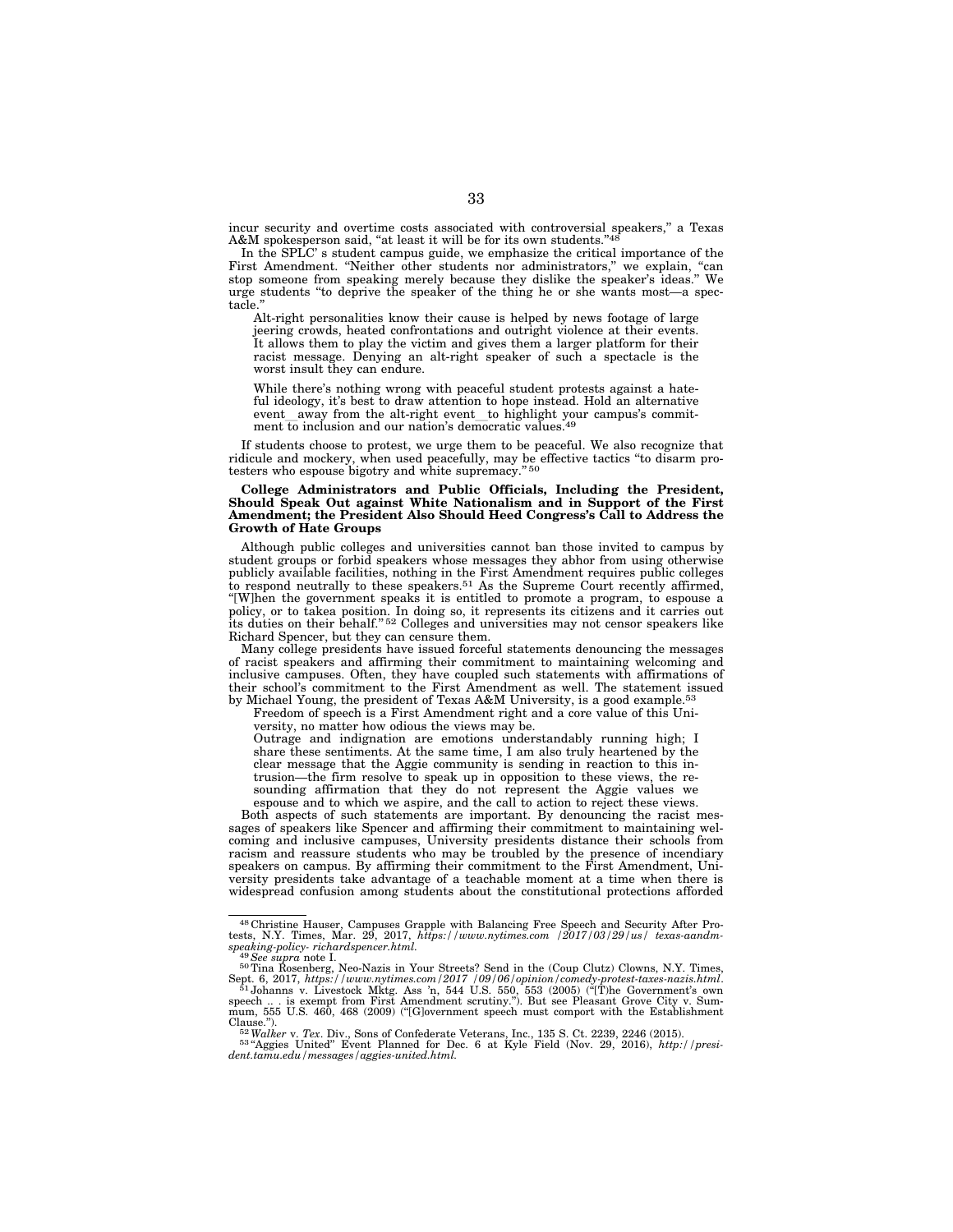incur security and overtime costs associated with controversial speakers,'' a Texas A&M spokesperson said, "at least it will be for its own students."<sup>44</sup>

In the SPLC' s student campus guide, we emphasize the critical importance of the First Amendment. ''Neither other students nor administrators,'' we explain, ''can stop someone from speaking merely because they dislike the speaker's ideas.'' We urge students ''to deprive the speaker of the thing he or she wants most—a spectacle.''

Alt-right personalities know their cause is helped by news footage of large jeering crowds, heated confrontations and outright violence at their events. It allows them to play the victim and gives them a larger platform for their racist message. Denying an alt-right speaker of such a spectacle is the worst insult they can endure.

While there's nothing wrong with peaceful student protests against a hateful ideology, it's best to draw attention to hope instead. Hold an alternative event away from the alt-right event to highlight your campus's commitment to inclusion and our nation's democratic values.<sup>49</sup>

If students choose to protest, we urge them to be peaceful. We also recognize that ridicule and mockery, when used peacefully, may be effective tactics ''to disarm protesters who espouse bigotry and white supremacy." 50

### **College Administrators and Public Officials, Including the President, Should Speak Out against White Nationalism and in Support of the First Amendment; the President Also Should Heed Congress's Call to Address the Growth of Hate Groups**

Although public colleges and universities cannot ban those invited to campus by student groups or forbid speakers whose messages they abhor from using otherwise publicly available facilities, nothing in the First Amendment requires public colleges to respond neutrally to these speakers.<sup>51</sup> As the Supreme Court recently affirmed, ''[W]hen the government speaks it is entitled to promote a program, to espouse a policy, or to takea position. In doing so, it represents its citizens and it carries out its duties on their behalf."<sup>52</sup> Colleges and universities may not censor speakers like Richard Spencer, but they can censure them.

Many college presidents have issued forceful statements denouncing the messages of racist speakers and affirming their commitment to maintaining welcoming and inclusive campuses. Often, they have coupled such statements with affirmations of their school's commitment to the First Amendment as well. The statement issued by Michael Young, the president of Texas A&M University, is a good example.<sup>53</sup>

Freedom of speech is a First Amendment right and a core value of this University, no matter how odious the views may be.

Outrage and indignation are emotions understandably running high; I share these sentiments. At the same time, I am also truly heartened by the clear message that the Aggie community is sending in reaction to this intrusion—the firm resolve to speak up in opposition to these views, the resounding affirmation that they do not represent the Aggie values we espouse and to which we aspire, and the call to action to reject these views.

Both aspects of such statements are important. By denouncing the racist messages of speakers like Spencer and affirming their commitment to maintaining welcoming and inclusive campuses, University presidents distance their schools from racism and reassure students who may be troubled by the presence of incendiary speakers on campus. By affirming their commitment to the First Amendment, University presidents take advantage of a teachable moment at a time when there is widespread confusion among students about the constitutional protections afforded

Sept. 6, 2017, https://www.nytimes.com/2017 /09/06/opinion/comedy-protest-taxes-nazis.html.<br><sup>51</sup>Johanns v. Livestock Mktg. Ass 'n, 544 U.S. 550, 553 (2005) ("[The Government's own<br>speech ... is exempt from First Amendment Clause.").<br>
<sup>52</sup>Walker v. *Tex*. Div., Sons of Confederate Veterans, Inc., 135 S. Ct. 2239, 2246 (2015).<br>
<sup>53</sup> "Aggies United" Event Planned for Dec. 6 at Kyle Field (Nov. 29, 2016), *http://presi-*

*dent.tamu.edu/messages/aggies-united.html.* 

<sup>48</sup> Christine Hauser, Campuses Grapple with Balancing Free Speech and Security After Pro-tests, N.Y. Times, Mar. 29, 2017, *https://www.nytimes.com /2017/03/29/us/ texas-aandmspeaking-policy- richardspencer.html.* **1998**<br>
<sup>49</sup>See supra note I. 50Tina Rosenberg, Neo-Nazis in Your Streets? Send in the (Coup Clutz) Clowns, N.Y. Times,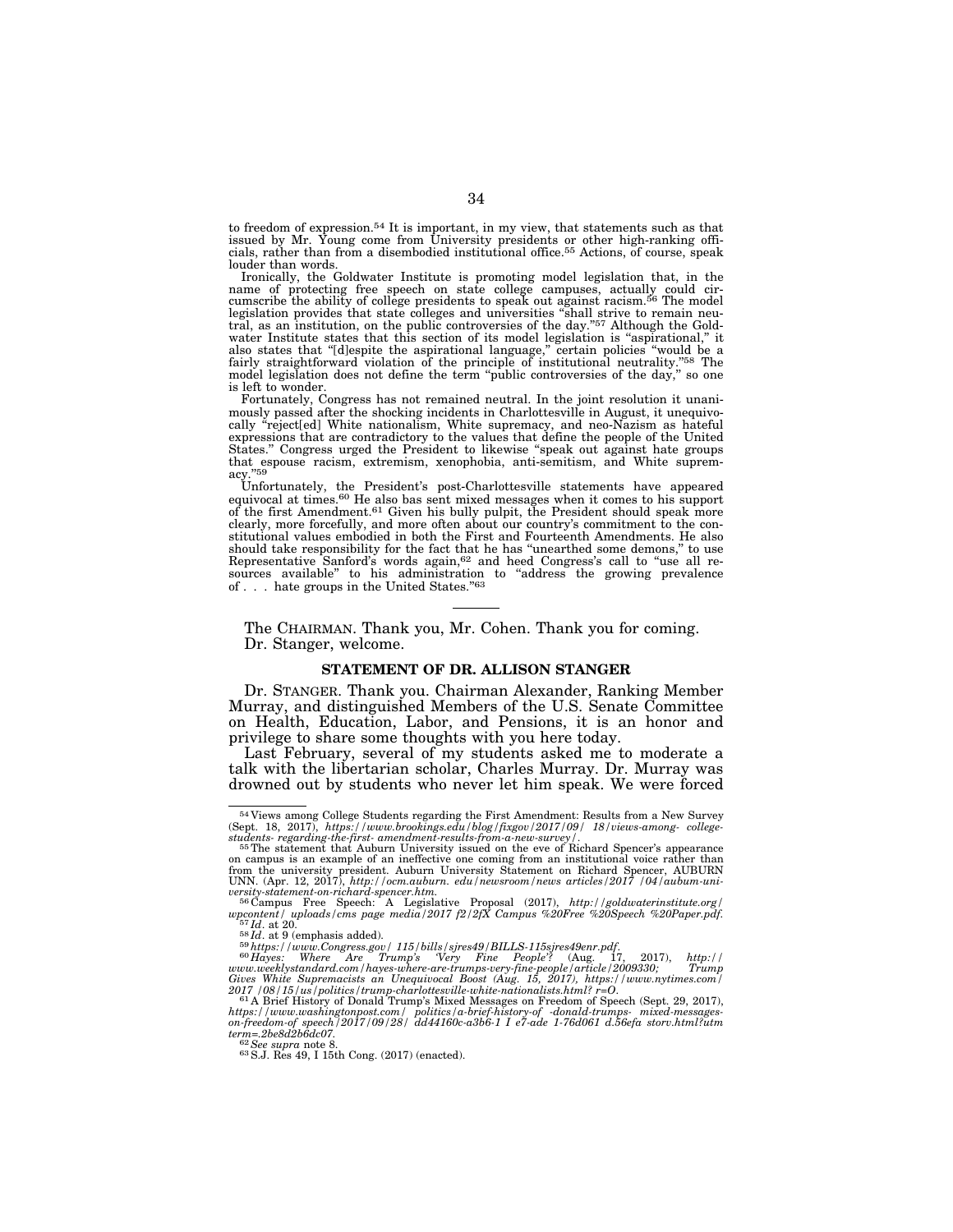to freedom of expression.54 It is important, in my view, that statements such as that issued by Mr. Young come from University presidents or other high-ranking offi-cials, rather than from a disembodied institutional office.55 Actions, of course, speak louder than words.

Ironically, the Goldwater Institute is promoting model legislation that, in the name of protecting free speech on state college campuses, actually could cir-<br>cumscribe the ability of college presidents to speak out against racism.<sup>56</sup> The model legislation provides that state colleges and universities "shall strive to remain neu-<br>tral, as an institution, on the public controversies of the day."<sup>57</sup> Although the Goldwater Institute states that this section of its model legislation is ''aspirational,'' it also states that ''[d]espite the aspirational language,'' certain policies ''would be a fairly straightforward violation of the principle of institutional neutrality."<sup>58</sup> The model legislation does not define the term "public controversies of the day," so one is left to wonder.

Fortunately, Congress has not remained neutral. In the joint resolution it unanimously passed after the shocking incidents in Charlottesville in August, it unequivocally ''reject[ed] White nationalism, White supremacy, and neo-Nazism as hateful expressions that are contradictory to the values that define the people of the United States.'' Congress urged the President to likewise ''speak out against hate groups that espouse racism, extremism, xenophobia, anti-semitism, and White supremacy.

Unfortunately, the President's post-Charlottesville statements have appeared equivocal at times.60 He also bas sent mixed messages when it comes to his support of the first Amendment.61 Given his bully pulpit, the President should speak more clearly, more forcefully, and more often about our country's commitment to the constitutional values embodied in both the First and Fourteenth Amendments. He also should take responsibility for the fact that he has ''unearthed some demons,'' to use Representative Sanford's words again,62 and heed Congress's call to ''use all resources available'' to his administration to ''address the growing prevalence of . . . hate groups in the United States."63

The CHAIRMAN. Thank you, Mr. Cohen. Thank you for coming. Dr. Stanger, welcome.

### **STATEMENT OF DR. ALLISON STANGER**

Dr. STANGER. Thank you. Chairman Alexander, Ranking Member Murray, and distinguished Members of the U.S. Senate Committee on Health, Education, Labor, and Pensions, it is an honor and privilege to share some thoughts with you here today.

Last February, several of my students asked me to moderate a talk with the libertarian scholar, Charles Murray. Dr. Murray was drowned out by students who never let him speak. We were forced

<sup>54</sup> Views among College Students regarding the First Amendment: Results from a New Survey (Sept. 18, 2017), *https://www.brookings.edu/blog/fixgov/2017/09/ 18/views-among- college-*

students-regarding-the-first- amendment-results-from-a-new-survey /<br>  $^{55}$  The statement that Auburn University issued on the eve of Richard Spencer's appearance<br>
on campus is an example of an ineffective one coming from

 $wpcontent / \ uploads/cms$  page media/2017  $f2/2fX$  Campus %20Free %20Speech %20Paper.pdf.<br>  $^{57}Id.$  at 20.<br>  $^{58}Htps://www.Congress.gov/115/bills/sjres49/BILLS-115sjres49enr.pdf.$ <br>  $^{69}Htps://www.Congress.gov/115/bills/sjres49/BILLS-115sjres49enr.pdf.$ <br>  $^{60}Hayes: Where-Are- Yrump's - Very - Fine - People?$ (Aug. 17, 20

Gives White Supremacists an Unequivocal Boost (Aug. 15, 2017), https://www.nytimes.com/<br>2017 /08/15/us/politics/trump-charlottesville-white-nationalists.html? r=0.<br>- <sup>61</sup>A Brief History of Donald Trump's Mixed Messages on

https://www.washingtonpost.com/ politics/a-brief-history-of -donald-trumps- mixed-messages-<br>on-freedom-of speech/2017/09/28/ dd44160c-a3b6-1 I e7-ade 1-76d061 d.56efa storv.html?utm<br>term=.2be8d2b6dc07.<br>
<sup>62</sup>See supra note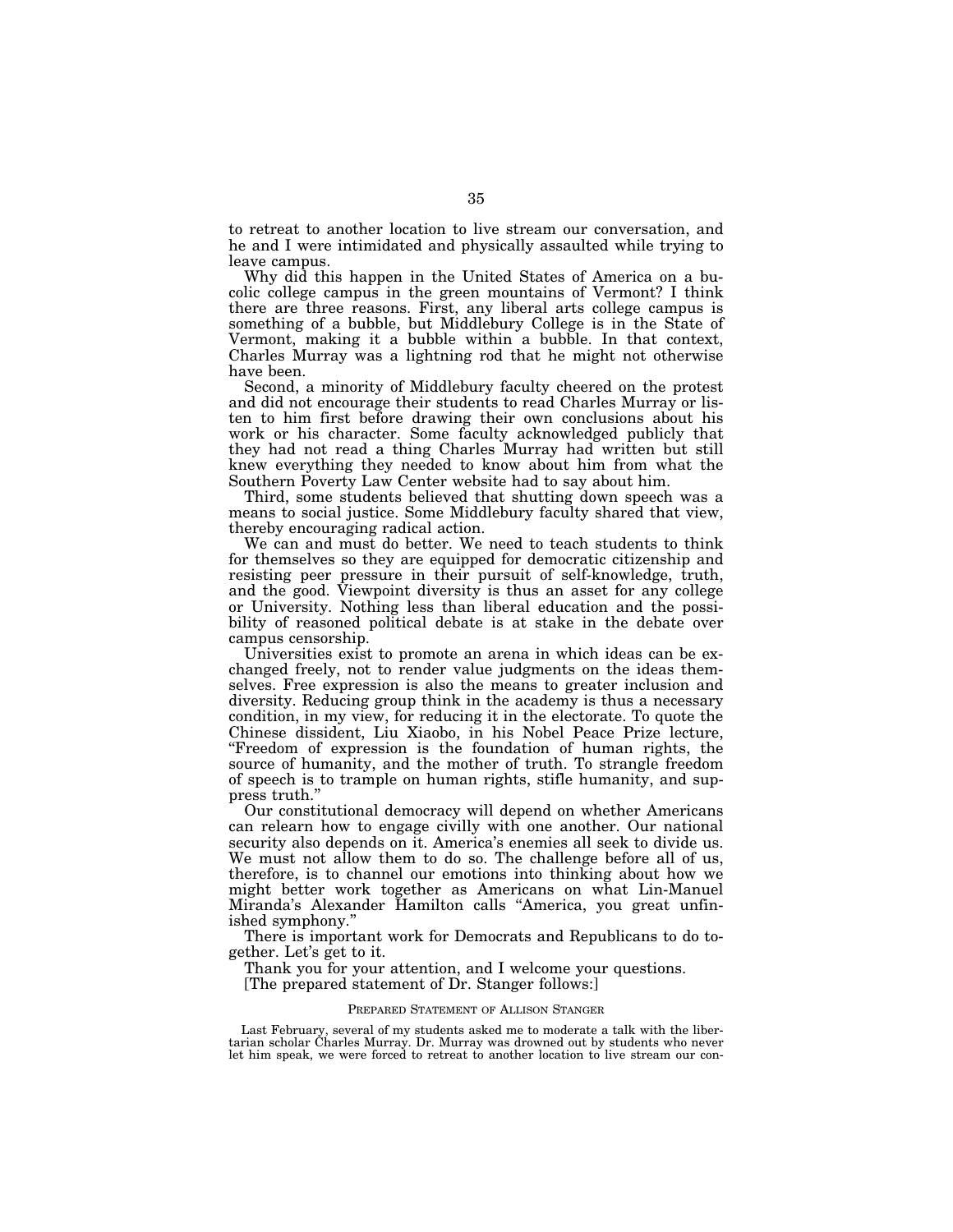to retreat to another location to live stream our conversation, and he and I were intimidated and physically assaulted while trying to leave campus.

Why did this happen in the United States of America on a bucolic college campus in the green mountains of Vermont? I think there are three reasons. First, any liberal arts college campus is something of a bubble, but Middlebury College is in the State of Vermont, making it a bubble within a bubble. In that context, Charles Murray was a lightning rod that he might not otherwise have been.

Second, a minority of Middlebury faculty cheered on the protest and did not encourage their students to read Charles Murray or listen to him first before drawing their own conclusions about his work or his character. Some faculty acknowledged publicly that they had not read a thing Charles Murray had written but still knew everything they needed to know about him from what the Southern Poverty Law Center website had to say about him.

Third, some students believed that shutting down speech was a means to social justice. Some Middlebury faculty shared that view, thereby encouraging radical action.

We can and must do better. We need to teach students to think for themselves so they are equipped for democratic citizenship and resisting peer pressure in their pursuit of self-knowledge, truth, and the good. Viewpoint diversity is thus an asset for any college or University. Nothing less than liberal education and the possibility of reasoned political debate is at stake in the debate over campus censorship.

Universities exist to promote an arena in which ideas can be exchanged freely, not to render value judgments on the ideas themselves. Free expression is also the means to greater inclusion and diversity. Reducing group think in the academy is thus a necessary condition, in my view, for reducing it in the electorate. To quote the Chinese dissident, Liu Xiaobo, in his Nobel Peace Prize lecture, ''Freedom of expression is the foundation of human rights, the source of humanity, and the mother of truth. To strangle freedom of speech is to trample on human rights, stifle humanity, and suppress truth.''

Our constitutional democracy will depend on whether Americans can relearn how to engage civilly with one another. Our national security also depends on it. America's enemies all seek to divide us. We must not allow them to do so. The challenge before all of us, therefore, is to channel our emotions into thinking about how we might better work together as Americans on what Lin-Manuel Miranda's Alexander Hamilton calls ''America, you great unfinished symphony.''

There is important work for Democrats and Republicans to do together. Let's get to it.

Thank you for your attention, and I welcome your questions.

[The prepared statement of Dr. Stanger follows:]

### PREPARED STATEMENT OF ALLISON STANGER

Last February, several of my students asked me to moderate a talk with the libertarian scholar Charles Murray. Dr. Murray was drowned out by students who never let him speak, we were forced to retreat to another location to live stream our con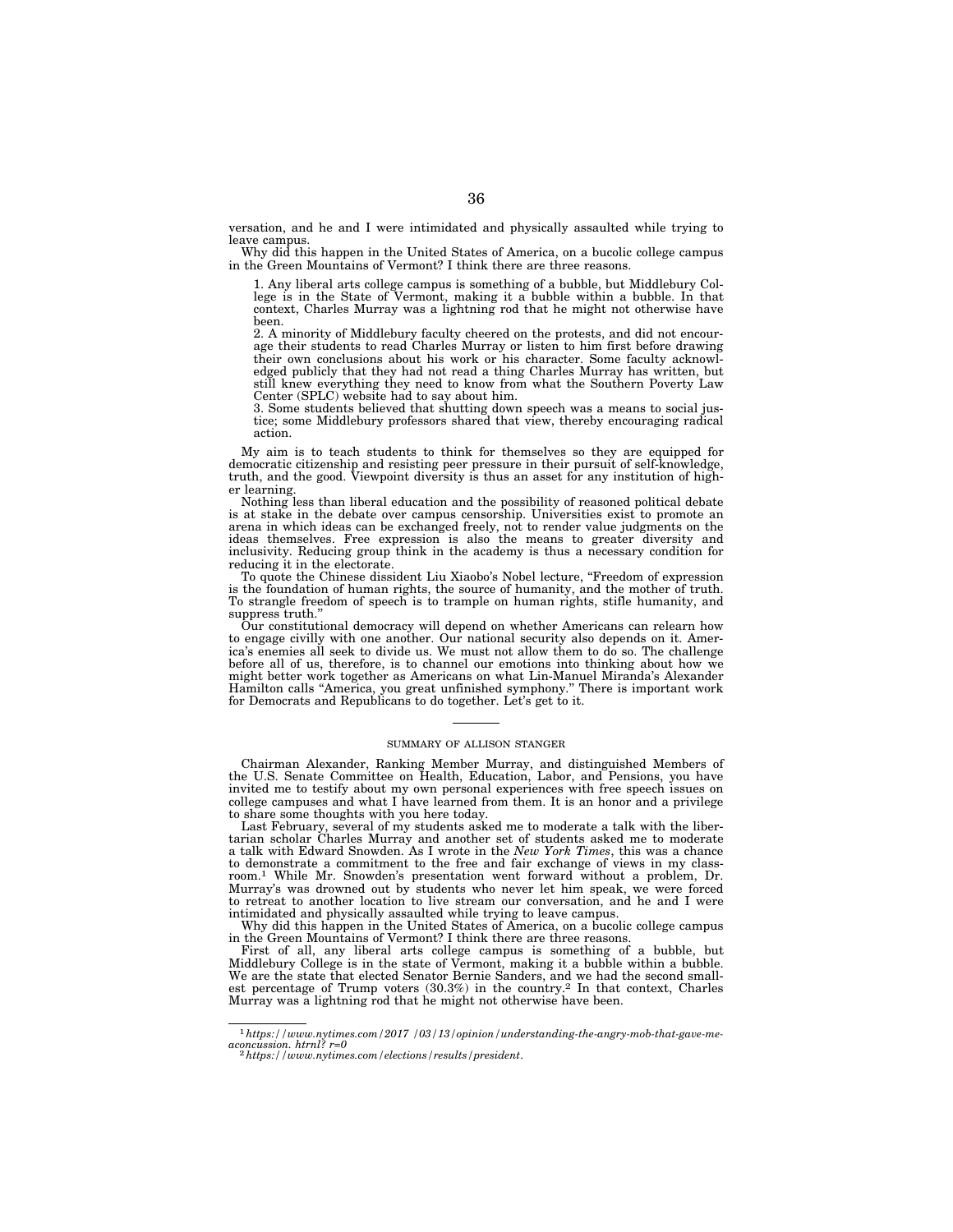versation, and he and I were intimidated and physically assaulted while trying to leave campus.

Why did this happen in the United States of America, on a bucolic college campus in the Green Mountains of Vermont? I think there are three reasons.

1. Any liberal arts college campus is something of a bubble, but Middlebury College is in the State of Vermont, making it a bubble within a bubble. In that context, Charles Murray was a lightning rod that he might not otherwise have been.

2. A minority of Middlebury faculty cheered on the protests, and did not encourage their students to read Charles Murray or listen to him first before drawing their own conclusions about his work or his character. Some faculty acknowledged publicly that they had not read a thing Charles Murray has written, but still knew everything they need to know from what the Southern Poverty Law Center (SPLC) website had to say about him.

3. Some students believed that shutting down speech was a means to social justice; some Middlebury professors shared that view, thereby encouraging radical action.

My aim is to teach students to think for themselves so they are equipped for democratic citizenship and resisting peer pressure in their pursuit of self-knowledge, truth, and the good. Viewpoint diversity is thus an asset for any institution of higher learning.

Nothing less than liberal education and the possibility of reasoned political debate is at stake in the debate over campus censorship. Universities exist to promote an arena in which ideas can be exchanged freely, not to render value judgments on the ideas themselves. Free expression is also the means to greater diversity and inclusivity. Reducing group think in the academy is thus a necessary condition for reducing it in the electorate.

To quote the Chinese dissident Liu Xiaobo's Nobel lecture, ''Freedom of expression is the foundation of human rights, the source of humanity, and the mother of truth. To strangle freedom of speech is to trample on human rights, stifle humanity, and suppress truth.''

Our constitutional democracy will depend on whether Americans can relearn how to engage civilly with one another. Our national security also depends on it. America's enemies all seek to divide us. We must not allow them to do so. The challenge before all of us, therefore, is to channel our emotions into thinking about how we might better work together as Americans on what Lin-Manuel Miranda's Alexander Hamilton calls ''America, you great unfinished symphony.'' There is important work for Democrats and Republicans to do together. Let's get to it.

### SUMMARY OF ALLISON STANGER

Chairman Alexander, Ranking Member Murray, and distinguished Members of the U.S. Senate Committee on Health, Education, Labor, and Pensions, you have invited me to testify about my own personal experiences with free speech issues on college campuses and what I have learned from them. It is an honor and a privilege to share some thoughts with you here today.

Last February, several of my students asked me to moderate a talk with the libertarian scholar Charles Murray and another set of students asked me to moderate a talk with Edward Snowden. As I wrote in the *New York Times*, this was a chance to demonstrate a commitment to the free and fair exchange of views in my classroom.1 While Mr. Snowden's presentation went forward without a problem, Dr. Murray's was drowned out by students who never let him speak, we were forced to retreat to another location to live stream our conversation, and he and I were intimidated and physically assaulted while trying to leave campus.

Why did this happen in the United States of America, on a bucolic college campus in the Green Mountains of Vermont? I think there are three reasons.

First of all, any liberal arts college campus is something of a bubble, but Middlebury College is in the state of Vermont, making it a bubble within a bubble. We are the state that elected Senator Bernie Sanders, and we had the second smallest percentage of Trump voters (30.3%) in the country.2 In that context, Charles Murray was a lightning rod that he might not otherwise have been.

<sup>1</sup>*https://www.nytimes.com/2017 /03/13/opinion/understanding-the-angry-mob-that-gave-meaconcussion. htrnl? r=0* 2*https://www.nytimes.com/elections/results/president*.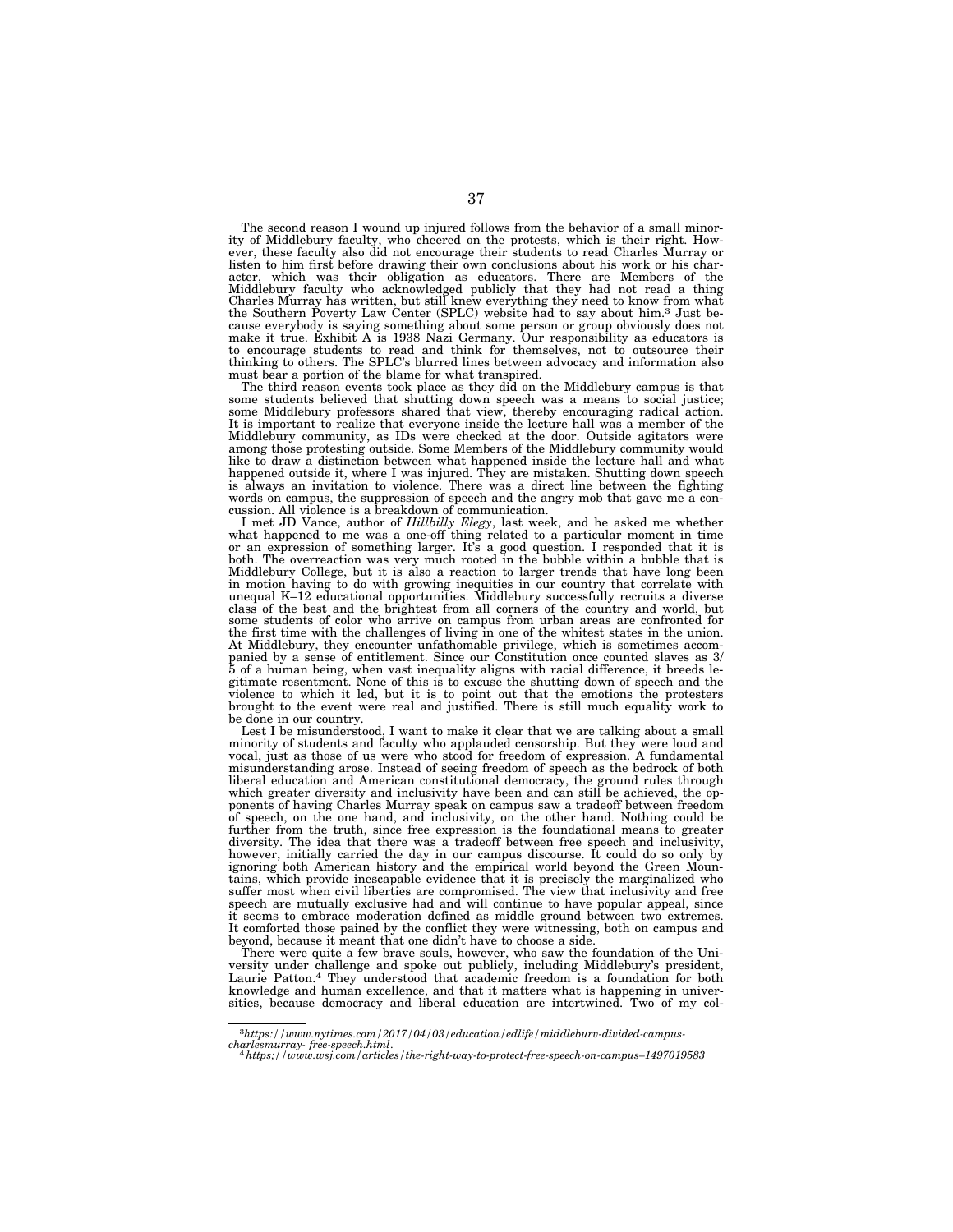The second reason I wound up injured follows from the behavior of a small minority of Middlebury faculty, who cheered on the protests, which is their right. How-ever, these faculty also did not encourage their students to read Charles Murray or listen to him first before drawing their own conclusions about his work or his character, which was their obligation as educators. There are Members of the Middlebury faculty who acknowledged publicly that they had not read a thing Charles Murray has written, but still knew everything they need to know f cause everybody is saying something about some person or group obviously does not make it true. Exhibit A is 1938 Nazi Germany. Our responsibility as educators is to encourage students to read and think for themselves, not thinking to others. The SPLC's blurred lines between advocacy and information also must bear a portion of the blame for what transpired.

The third reason events took place as they did on the Middlebury campus is that some students believed that shutting down speech was a means to social justice; some Middlebury professors shared that view, thereby encouraging radical action. It is important to realize that everyone inside the lecture hall was a member of the Middlebury community, as IDs were checked at the door. Outside agitators were among those protesting outside. Some Members of the Middlebury community would like to draw a distinction between what happened inside the lecture hall and what happened outside it, where I was injured. They are mistaken. Shutting down speech is always an invitation to violence. There was a direct line between the fighting words on campus, the suppression of speech and the angry mob that gave me a con-

cussion. All violence is a breakdown of communication. I met JD Vance, author of *Hillbilly Elegy*, last week, and he asked me whether what happened to me was a one-off thing related to a particular moment in time or an expression of something larger. It's a good question. I responded that it is both. The overreaction was very much rooted in the bubble within a bubble that is Middlebury College, but it is also a reaction to larger trends that have long been in motion having to do with growing inequities in our country that correlate with unequal K–12 educational opportunities. Middlebury successfully recruits a diverse class of the best and the brightest from all corners of the country and world, but some students of color who arrive on campus from urban areas are confronted for the first time with the challenges of living in one of the whitest states in the union. At Middlebury, they encounter unfathomable privilege, which is sometimes accompanied by a sense of entitlement. Since our Constitution once counted slaves as 3/<br>5 of a human being, when vast inequality aligns with racial d gitimate resentment. None of this is to excuse the shutting down of speech and the violence to which it led, but it is to point out that the emotions the protesters brought to the event were real and justified. There is still much equality work to be done in our country.

Lest I be misunderstood, I want to make it clear that we are talking about a small minority of students and faculty who applauded censorship. But they were loud and vocal, just as those of us were who stood for freedom of expression. A fundamental misunderstanding arose. Instead of seeing freedom of speech as the bedrock of both liberal education and American constitutional democracy, the ground rules through which greater diversity and inclusivity have been and can still be achieved, the opponents of having Charles Murray speak on campus saw a tradeoff between freedom of speech, on the one hand, and inclusivity, on the other hand. Nothing could be further from the truth, since free expression is the foundational means to greater diversity. The idea that there was a tradeoff between free speech and inclusivity, however, initially carried the day in our campus discourse. It could do so only by ignoring both American history and the empirical world beyond the Green Mountains, which provide inescapable evidence that it is precisely the marginalized who suffer most when civil liberties are compromised. The view that inclusivity and free speech are mutually exclusive had and will continue to have popular appeal, since it seems to embrace moderation defined as middle ground between two extremes. It comforted those pained by the conflict they were witnessing, both on campus and beyond, because it meant that one didn't have to choose a side.

There were quite a few brave souls, however, who saw the foundation of the University under challenge and spoke out publicly, including Middlebury's president, Laurie Patton.4 They understood that academic freedom is a foundation for both knowledge and human excellence, and that it matters what is happening in universities, because democracy and liberal education are intertwined. Two of my col-

<sup>3</sup>*https://www.nytimes.com/2017/04/03/education/edlife/middleburv-divided-campus-*

*charlesmurray- free-speech.html*. 4*https;//www.wsj.com/articles/the-right-way-to-protect-free-speech-on-campus–1497019583*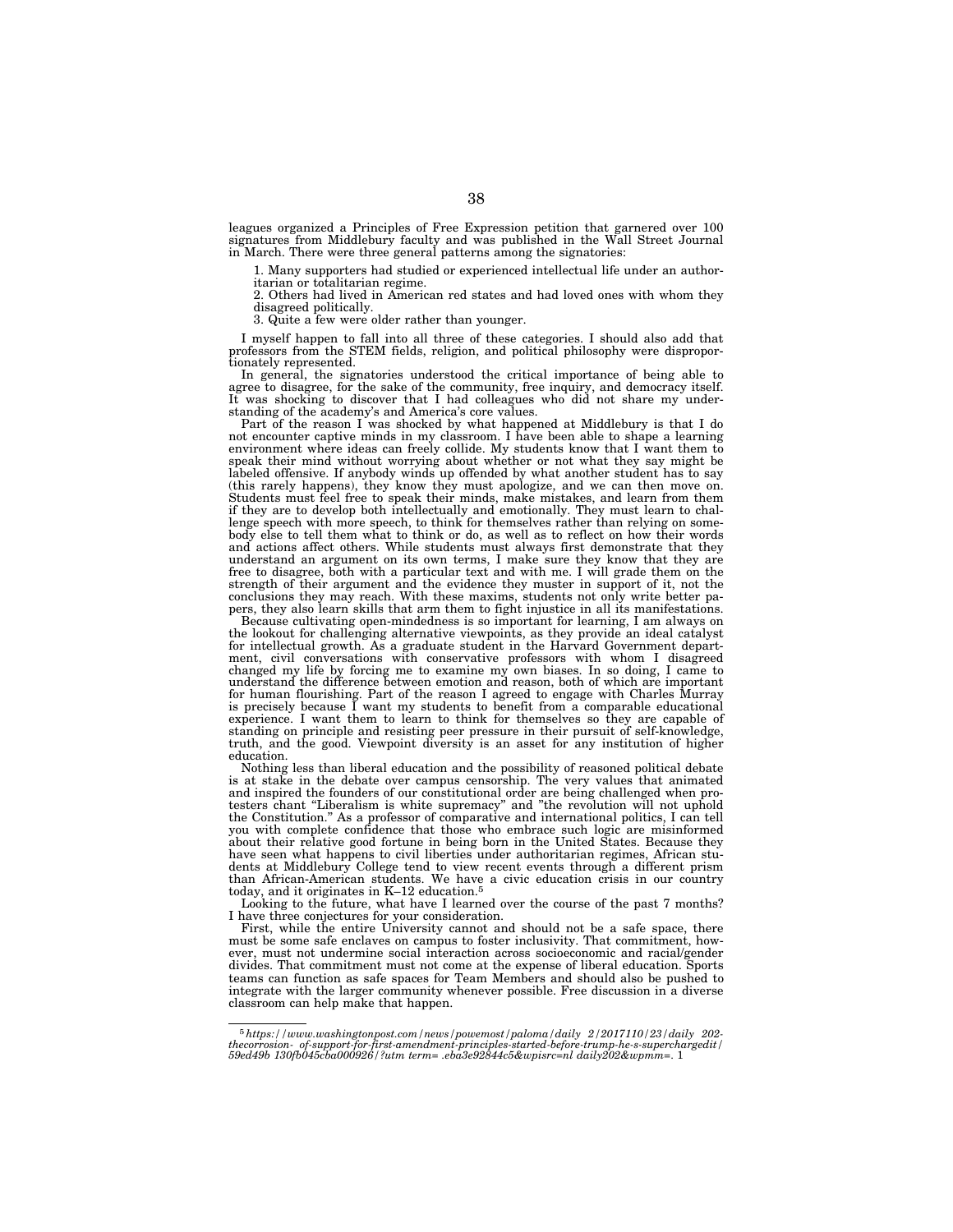leagues organized a Principles of Free Expression petition that garnered over 100 signatures from Middlebury faculty and was published in the Wall Street Journal in March. There were three general patterns among the signatories:

1. Many supporters had studied or experienced intellectual life under an authoritarian or totalitarian regime.

2. Others had lived in American red states and had loved ones with whom they disagreed politically.

3. Quite a few were older rather than younger.

I myself happen to fall into all three of these categories. I should also add that professors from the STEM fields, religion, and political philosophy were disproportionately represented.

In general, the signatories understood the critical importance of being able to agree to disagree, for the sake of the community, free inquiry, and democracy itself. It was shocking to discover that I had colleagues who did not share my understanding of the academy's and America's core values.

Part of the reason I was shocked by what happened at Middlebury is that I do not encounter captive minds in my classroom. I have been able to shape a learning environment where ideas can freely collide. My students know that I want them to speak their mind without worrying about whether or not what they say might be labeled offensive. If anybody winds up offended by what another student has to say (this rarely happens), they know they must apologize, and we can then move on. Students must feel free to speak their minds, make mistakes, and learn from them if they are to develop both intellectually and emotionally. They must learn to chal-lenge speech with more speech, to think for themselves rather than relying on somebody else to tell them what to think or do, as well as to reflect on how their words and actions affect others. While students must always first demonstrate that they understand an argument on its own terms, I make sure they know that they are understand an argument on its own terms, I make sure they know that they are the free to disagree, both with a particular text and with me. I will grade them on the strength of their argument and the evidence they muster in support of it, not the conclusions they may reach. With these maxims, students not only write better papers, they also learn skills that arm them to fight injustice in all its manifestations.

Because cultivating open-mindedness is so important for learning, I am always on the lookout for challenging alternative viewpoints, as they provide an ideal catalyst<br>for intellectual growth. As a graduate student in the Harvard Government depart-<br>ment, civil conversations with conservative professors understand the difference between emotion and reason, both of which are important for human flourishing. Part of the reason I agreed to engage with Charles Murray is precisely because I want my students to benefit from a comparable educational experience. I want them to learn to think for themselves so they are capable of standing on principle and resisting peer pressure in their pursuit of self-knowledge, truth, and the good. Viewpoint diversity is an asset for any institution of higher education.

Nothing less than liberal education and the possibility of reasoned political debate is at stake in the debate over campus censorship. The very values that animated and inspired the founders of our constitutional order are being challenged when protesters chant ''Liberalism is white supremacy'' and ''the revolution will not uphold the Constitution.'' As a professor of comparative and international politics, I can tell you with complete confidence that those who embrace such logic are misinformed about their relative good fortune in being born in the United States. Because they have seen what happens to civil liberties under authoritarian regimes, African students at Middlebury College tend to view recent events through a different prism than African-American students. We have a civic education crisis in our country today, and it originates in K–12 education.5

Looking to the future, what have I learned over the course of the past 7 months? I have three conjectures for your consideration.

First, while the entire University cannot and should not be a safe space, there must be some safe enclaves on campus to foster inclusivity. That commitment, however, must not undermine social interaction across socioeconomic and racial/gender divides. That commitment must not come at the expense of liberal education. Sports teams can function as safe spaces for Team Members and should also be pushed to integrate with the larger community whenever possible. Free discussion in a diverse classroom can help make that happen.

<sup>5</sup>*https://www.washingtonpost.com/news/powemost/paloma/daily 2/2017110/23/daily 202 thecorrosion- of-support-for-first-amendment-principles-started-before-trump-he-s-superchargedit/ 59ed49b 130fb045cba000926/?utm term= .eba3e92844c5&wpisrc=nl daily202&wpmm=*. 1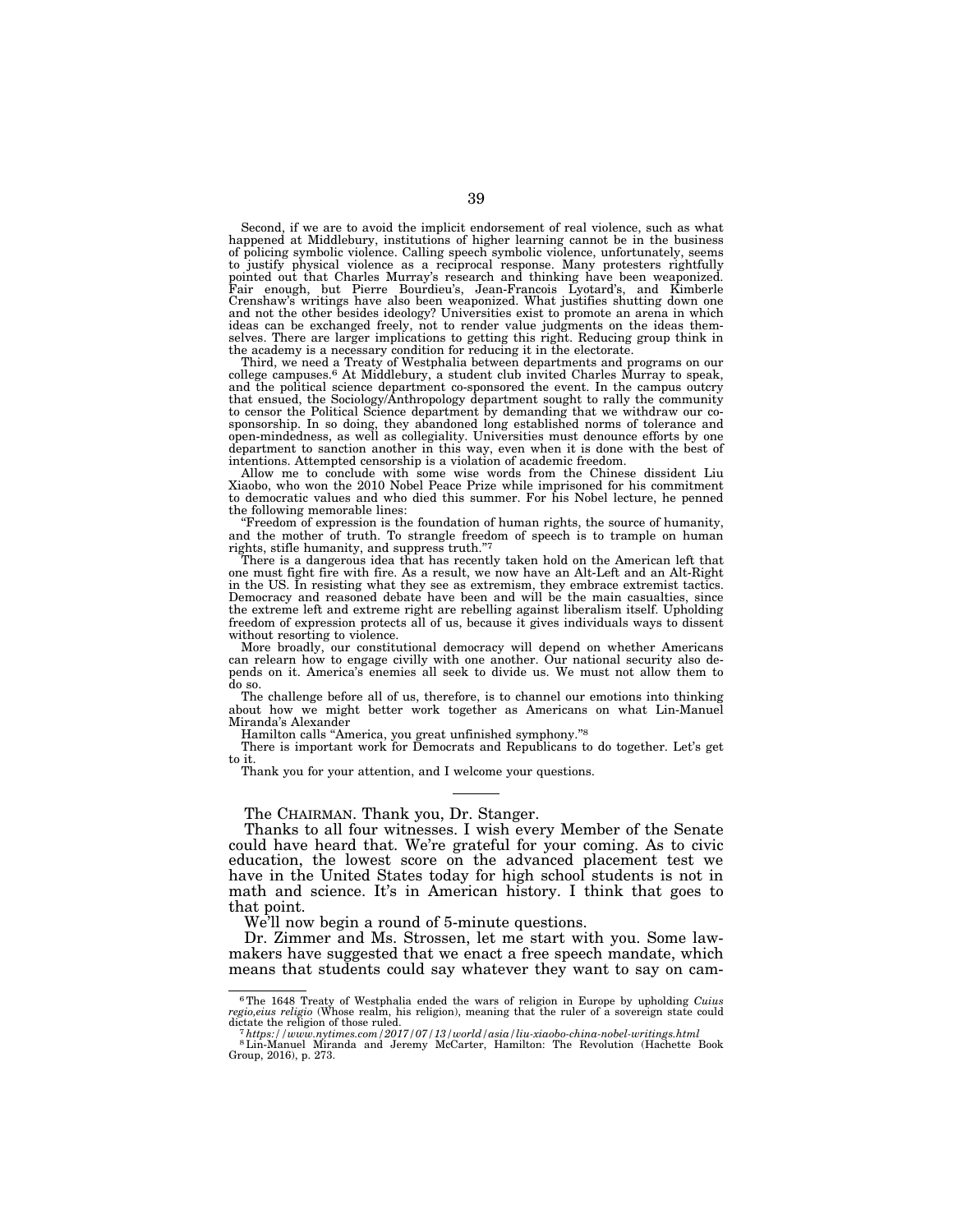Second, if we are to avoid the implicit endorsement of real violence, such as what happened at Middlebury, institutions of higher learning cannot be in the business of policing symbolic violence. Calling speech symbolic violence, unfortunately, seems to justify physical violence as a reciprocal response. Many protesters rightfully pointed out that Charles Murray's research and thinking have been weaponized. Fair enough, but Pierre Bourdieu's, Jean-Francois Lyotard's, and Kimberle Crenshaw's writings have also been weaponized. What justifies shutting down one and not the other besides ideology? Universities exist to promote an arena in which ideas can be exchanged freely, not to render value judgments on the ideas themselves. There are larger implications to getting this right. Reducing group think in the academy is a necessary condition for reducing it in the electorate.

Third, we need a Treaty of Westphalia between departments and programs on our college campuses.6 At Middlebury, a student club invited Charles Murray to speak, and the political science department co-sponsored the event. In the campus outcry that ensued, the Sociology/Anthropology department sought to rally the community to censor the Political Science department by demanding that we withdraw our co-<br>sponsorship. In so doing, they abandoned long established norms of tolerance and<br>open-mindedness, as well as collegiality. Universities must intentions. Attempted censorship is a violation of academic freedom.

Allow me to conclude with some wise words from the Chinese dissident Liu Xiaobo, who won the 2010 Nobel Peace Prize while imprisoned for his commitment to democratic values and who died this summer. For his Nobel lecture, he penned the following memorable lines:

''Freedom of expression is the foundation of human rights, the source of humanity, and the mother of truth. To strangle freedom of speech is to trample on human rights, stifle humanity, and suppress truth.''7

There is a dangerous idea that has recently taken hold on the American left that one must fight fire with fire. As a result, we now have an Alt-Left and an Alt-Right in the US. In resisting what they see as extremism, they embrace extremist tactics. Democracy and reasoned debate have been and will be the main casualties, since the extreme left and extreme right are rebelling against liberalism itself. Upholding freedom of expression protects all of us, because it gives individuals ways to dissent without resorting to violence.

More broadly, our constitutional democracy will depend on whether Americans can relearn how to engage civilly with one another. Our national security also depends on it. America's enemies all seek to divide us. We must not allow them to do so.

The challenge before all of us, therefore, is to channel our emotions into thinking about how we might better work together as Americans on what Lin-Manuel Miranda's Alexander

Hamilton calls "America, you great unfinished symphony."<sup>8</sup>

There is important work for Democrats and Republicans to do together. Let's get to it.

Thank you for your attention, and I welcome your questions.

# The CHAIRMAN. Thank you, Dr. Stanger.

Thanks to all four witnesses. I wish every Member of the Senate could have heard that. We're grateful for your coming. As to civic education, the lowest score on the advanced placement test we have in the United States today for high school students is not in math and science. It's in American history. I think that goes to that point.

We'll now begin a round of 5-minute questions.

Dr. Zimmer and Ms. Strossen, let me start with you. Some lawmakers have suggested that we enact a free speech mandate, which means that students could say whatever they want to say on cam-

<sup>6</sup>The 1648 Treaty of Westphalia ended the wars of religion in Europe by upholding *Cuius regio,eius religio* (Whose realm, his religion), meaning that the ruler of a sovereign state could dictate the religion of those ruled.

dictate the religion of those ruled. 7*https://www.nytimes.com/2017/07/13/world/asia/liu-xiaobo-china-nobel-writings.html* 

<sup>8</sup>Lin-Manuel Miranda and Jeremy McCarter, Hamilton: The Revolution (Hachette Book Group, 2016), p. 273.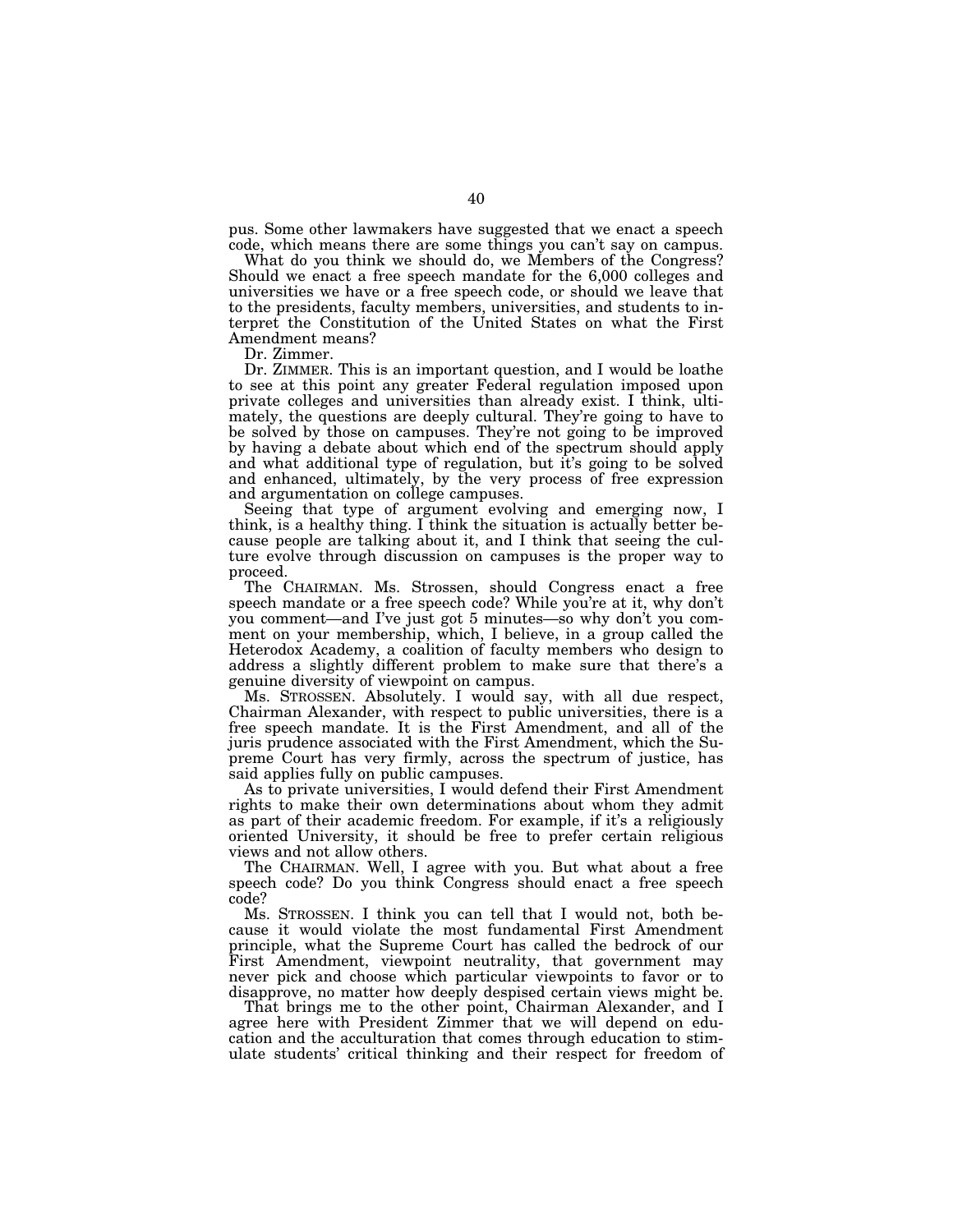pus. Some other lawmakers have suggested that we enact a speech code, which means there are some things you can't say on campus.

What do you think we should do, we Members of the Congress? Should we enact a free speech mandate for the 6,000 colleges and universities we have or a free speech code, or should we leave that to the presidents, faculty members, universities, and students to interpret the Constitution of the United States on what the First Amendment means?

Dr. Zimmer.

Dr. ZIMMER. This is an important question, and I would be loathe to see at this point any greater Federal regulation imposed upon private colleges and universities than already exist. I think, ultimately, the questions are deeply cultural. They're going to have to be solved by those on campuses. They're not going to be improved by having a debate about which end of the spectrum should apply and what additional type of regulation, but it's going to be solved and enhanced, ultimately, by the very process of free expression and argumentation on college campuses.

Seeing that type of argument evolving and emerging now, I think, is a healthy thing. I think the situation is actually better because people are talking about it, and I think that seeing the culture evolve through discussion on campuses is the proper way to proceed.

The CHAIRMAN. Ms. Strossen, should Congress enact a free speech mandate or a free speech code? While you're at it, why don't you comment—and I've just got 5 minutes—so why don't you comment on your membership, which, I believe, in a group called the Heterodox Academy, a coalition of faculty members who design to address a slightly different problem to make sure that there's a genuine diversity of viewpoint on campus.

Ms. STROSSEN. Absolutely. I would say, with all due respect, Chairman Alexander, with respect to public universities, there is a free speech mandate. It is the First Amendment, and all of the juris prudence associated with the First Amendment, which the Supreme Court has very firmly, across the spectrum of justice, has said applies fully on public campuses.

As to private universities, I would defend their First Amendment rights to make their own determinations about whom they admit as part of their academic freedom. For example, if it's a religiously oriented University, it should be free to prefer certain religious views and not allow others.

The CHAIRMAN. Well, I agree with you. But what about a free speech code? Do you think Congress should enact a free speech code?

Ms. STROSSEN. I think you can tell that I would not, both because it would violate the most fundamental First Amendment principle, what the Supreme Court has called the bedrock of our First Amendment, viewpoint neutrality, that government may never pick and choose which particular viewpoints to favor or to disapprove, no matter how deeply despised certain views might be.

That brings me to the other point, Chairman Alexander, and I agree here with President Zimmer that we will depend on education and the acculturation that comes through education to stimulate students' critical thinking and their respect for freedom of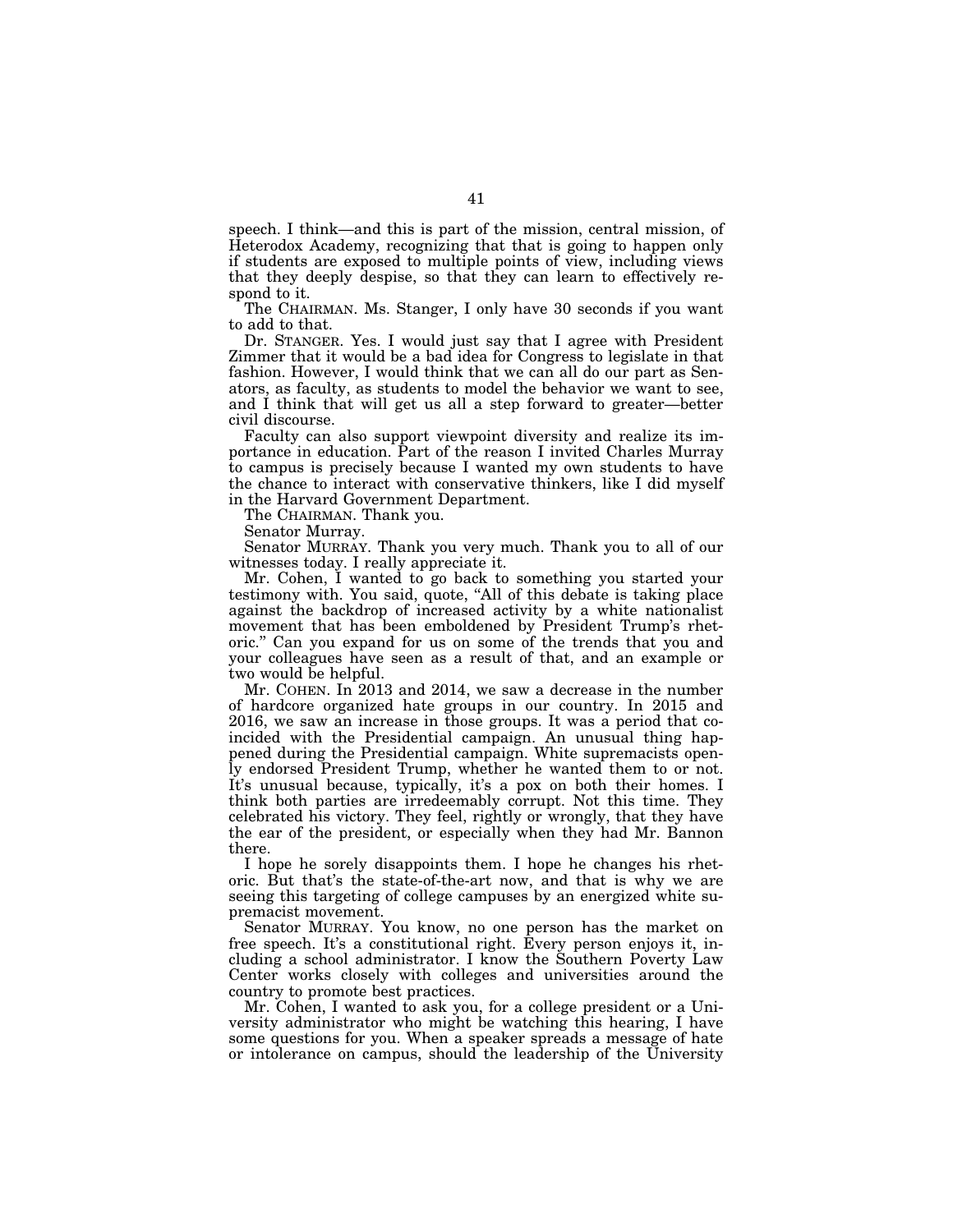speech. I think—and this is part of the mission, central mission, of Heterodox Academy, recognizing that that is going to happen only if students are exposed to multiple points of view, including views that they deeply despise, so that they can learn to effectively respond to it.

The CHAIRMAN. Ms. Stanger, I only have 30 seconds if you want to add to that.

Dr. STANGER. Yes. I would just say that I agree with President Zimmer that it would be a bad idea for Congress to legislate in that fashion. However, I would think that we can all do our part as Senators, as faculty, as students to model the behavior we want to see, and I think that will get us all a step forward to greater—better civil discourse.

Faculty can also support viewpoint diversity and realize its importance in education. Part of the reason I invited Charles Murray to campus is precisely because I wanted my own students to have the chance to interact with conservative thinkers, like I did myself in the Harvard Government Department.

The CHAIRMAN. Thank you.

Senator Murray.

Senator MURRAY. Thank you very much. Thank you to all of our witnesses today. I really appreciate it.

Mr. Cohen, I wanted to go back to something you started your testimony with. You said, quote, ''All of this debate is taking place against the backdrop of increased activity by a white nationalist movement that has been emboldened by President Trump's rhetoric.'' Can you expand for us on some of the trends that you and your colleagues have seen as a result of that, and an example or two would be helpful.

Mr. COHEN. In 2013 and 2014, we saw a decrease in the number of hardcore organized hate groups in our country. In 2015 and 2016, we saw an increase in those groups. It was a period that coincided with the Presidential campaign. An unusual thing happened during the Presidential campaign. White supremacists openly endorsed President Trump, whether he wanted them to or not. It's unusual because, typically, it's a pox on both their homes. I think both parties are irredeemably corrupt. Not this time. They celebrated his victory. They feel, rightly or wrongly, that they have the ear of the president, or especially when they had Mr. Bannon there.

I hope he sorely disappoints them. I hope he changes his rhetoric. But that's the state-of-the-art now, and that is why we are seeing this targeting of college campuses by an energized white supremacist movement.

Senator MURRAY. You know, no one person has the market on free speech. It's a constitutional right. Every person enjoys it, including a school administrator. I know the Southern Poverty Law Center works closely with colleges and universities around the country to promote best practices.

Mr. Cohen, I wanted to ask you, for a college president or a University administrator who might be watching this hearing, I have some questions for you. When a speaker spreads a message of hate or intolerance on campus, should the leadership of the University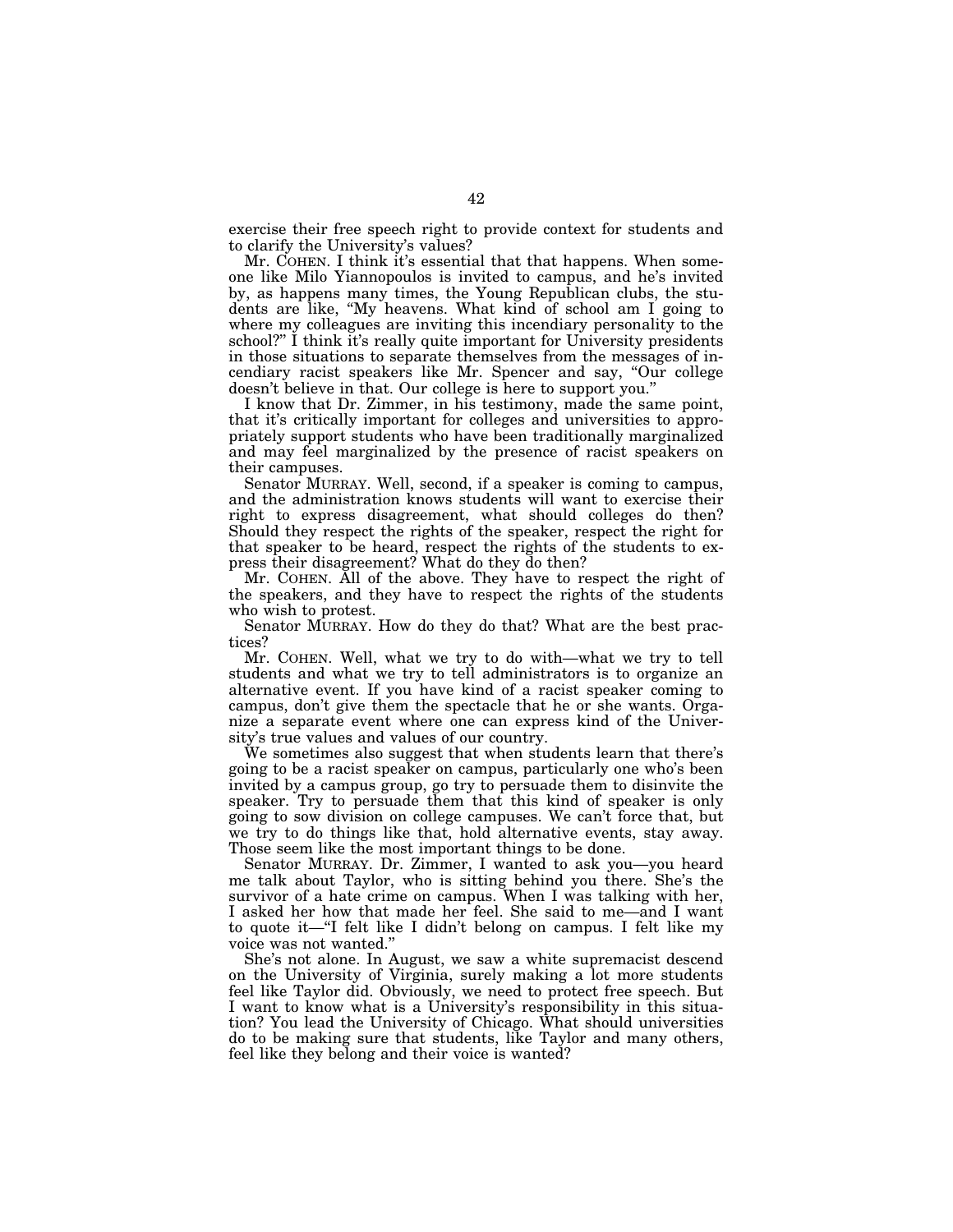exercise their free speech right to provide context for students and to clarify the University's values?

Mr. COHEN. I think it's essential that that happens. When someone like Milo Yiannopoulos is invited to campus, and he's invited by, as happens many times, the Young Republican clubs, the students are like, "My heavens. What kind of school am I going to where my colleagues are inviting this incendiary personality to the school?'' I think it's really quite important for University presidents in those situations to separate themselves from the messages of incendiary racist speakers like Mr. Spencer and say, ''Our college doesn't believe in that. Our college is here to support you.''

I know that Dr. Zimmer, in his testimony, made the same point, that it's critically important for colleges and universities to appropriately support students who have been traditionally marginalized and may feel marginalized by the presence of racist speakers on their campuses.

Senator MURRAY. Well, second, if a speaker is coming to campus, and the administration knows students will want to exercise their right to express disagreement, what should colleges do then? Should they respect the rights of the speaker, respect the right for that speaker to be heard, respect the rights of the students to express their disagreement? What do they do then?

Mr. COHEN. All of the above. They have to respect the right of the speakers, and they have to respect the rights of the students who wish to protest.

Senator MURRAY. How do they do that? What are the best practices?

Mr. COHEN. Well, what we try to do with—what we try to tell students and what we try to tell administrators is to organize an alternative event. If you have kind of a racist speaker coming to campus, don't give them the spectacle that he or she wants. Organize a separate event where one can express kind of the University's true values and values of our country.

We sometimes also suggest that when students learn that there's going to be a racist speaker on campus, particularly one who's been invited by a campus group, go try to persuade them to disinvite the speaker. Try to persuade them that this kind of speaker is only going to sow division on college campuses. We can't force that, but we try to do things like that, hold alternative events, stay away. Those seem like the most important things to be done.

Senator MURRAY. Dr. Zimmer, I wanted to ask you—you heard me talk about Taylor, who is sitting behind you there. She's the survivor of a hate crime on campus. When I was talking with her, I asked her how that made her feel. She said to me—and I want to quote it—''I felt like I didn't belong on campus. I felt like my voice was not wanted.''

She's not alone. In August, we saw a white supremacist descend on the University of Virginia, surely making a lot more students feel like Taylor did. Obviously, we need to protect free speech. But I want to know what is a University's responsibility in this situation? You lead the University of Chicago. What should universities do to be making sure that students, like Taylor and many others, feel like they belong and their voice is wanted?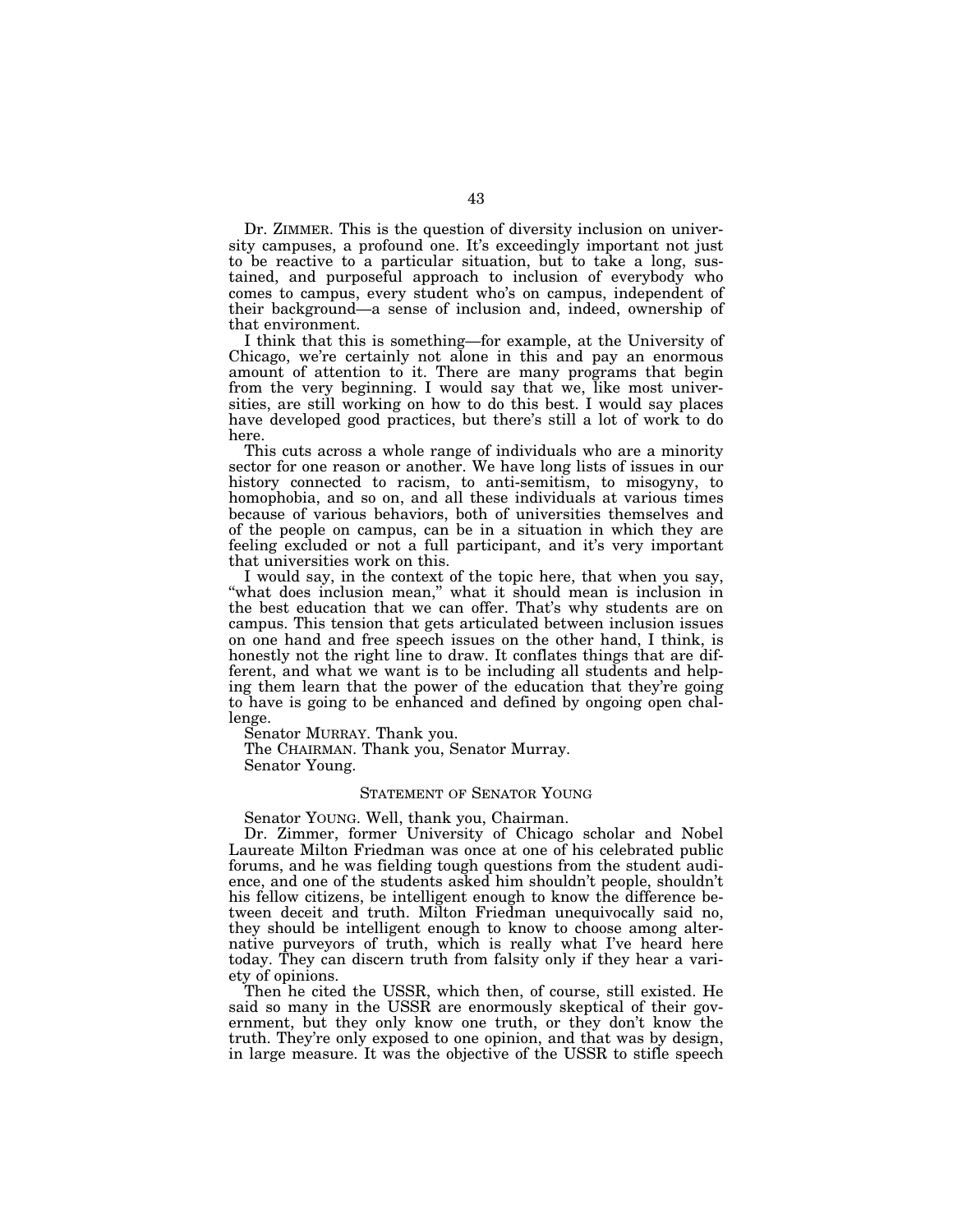Dr. ZIMMER. This is the question of diversity inclusion on university campuses, a profound one. It's exceedingly important not just to be reactive to a particular situation, but to take a long, sustained, and purposeful approach to inclusion of everybody who comes to campus, every student who's on campus, independent of their background—a sense of inclusion and, indeed, ownership of that environment.

I think that this is something—for example, at the University of Chicago, we're certainly not alone in this and pay an enormous amount of attention to it. There are many programs that begin from the very beginning. I would say that we, like most universities, are still working on how to do this best. I would say places have developed good practices, but there's still a lot of work to do here.

This cuts across a whole range of individuals who are a minority sector for one reason or another. We have long lists of issues in our history connected to racism, to anti-semitism, to misogyny, to homophobia, and so on, and all these individuals at various times because of various behaviors, both of universities themselves and of the people on campus, can be in a situation in which they are feeling excluded or not a full participant, and it's very important that universities work on this.

I would say, in the context of the topic here, that when you say, ''what does inclusion mean,'' what it should mean is inclusion in the best education that we can offer. That's why students are on campus. This tension that gets articulated between inclusion issues on one hand and free speech issues on the other hand, I think, is honestly not the right line to draw. It conflates things that are different, and what we want is to be including all students and helping them learn that the power of the education that they're going to have is going to be enhanced and defined by ongoing open challenge.

Senator MURRAY. Thank you.

The CHAIRMAN. Thank you, Senator Murray. Senator Young.

# STATEMENT OF SENATOR YOUNG

Senator YOUNG. Well, thank you, Chairman.

Dr. Zimmer, former University of Chicago scholar and Nobel Laureate Milton Friedman was once at one of his celebrated public forums, and he was fielding tough questions from the student audience, and one of the students asked him shouldn't people, shouldn't his fellow citizens, be intelligent enough to know the difference between deceit and truth. Milton Friedman unequivocally said no, they should be intelligent enough to know to choose among alternative purveyors of truth, which is really what I've heard here today. They can discern truth from falsity only if they hear a variety of opinions.

Then he cited the USSR, which then, of course, still existed. He said so many in the USSR are enormously skeptical of their government, but they only know one truth, or they don't know the truth. They're only exposed to one opinion, and that was by design, in large measure. It was the objective of the USSR to stifle speech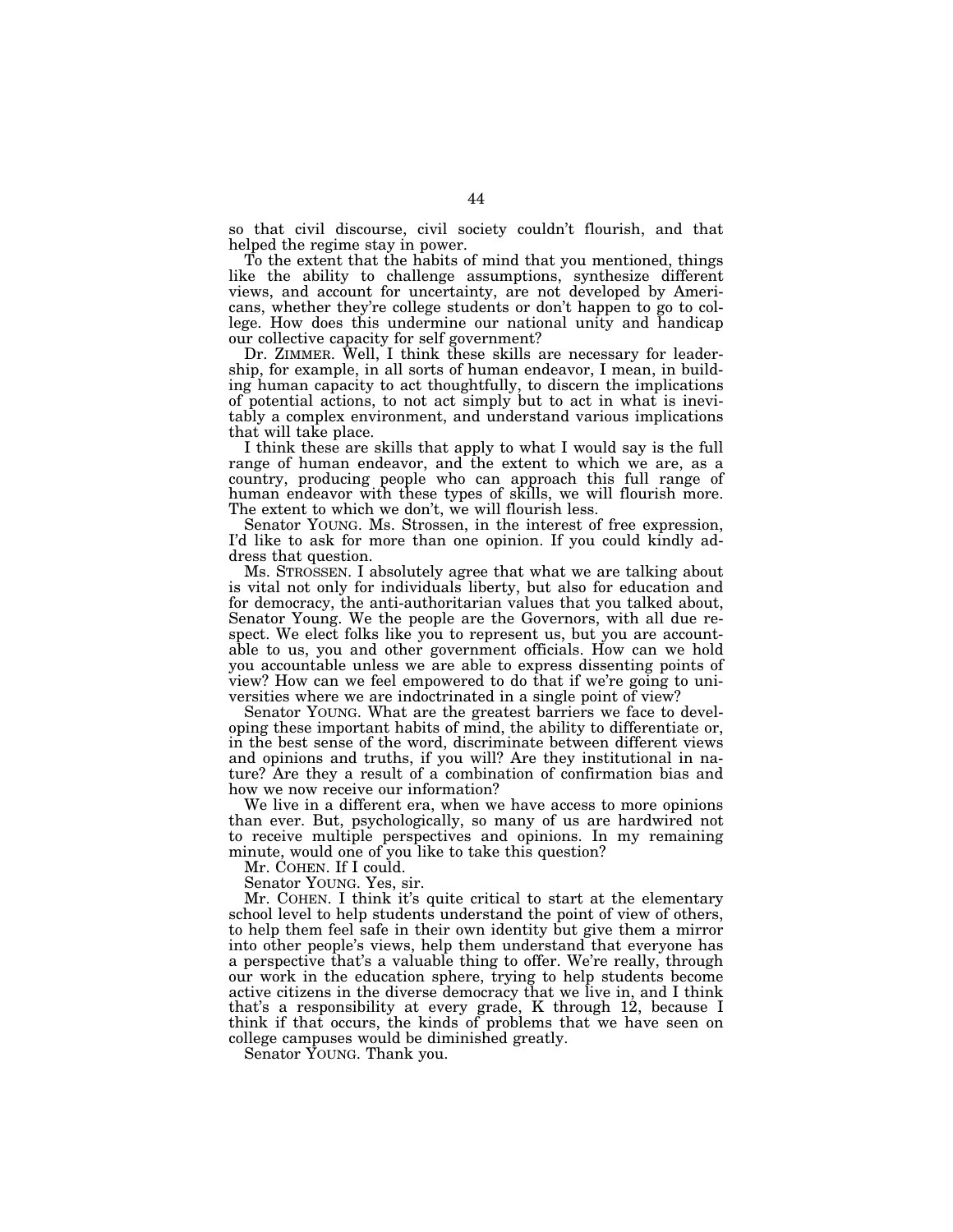so that civil discourse, civil society couldn't flourish, and that helped the regime stay in power.

To the extent that the habits of mind that you mentioned, things like the ability to challenge assumptions, synthesize different views, and account for uncertainty, are not developed by Americans, whether they're college students or don't happen to go to college. How does this undermine our national unity and handicap our collective capacity for self government?

Dr. ZIMMER. Well, I think these skills are necessary for leadership, for example, in all sorts of human endeavor, I mean, in building human capacity to act thoughtfully, to discern the implications of potential actions, to not act simply but to act in what is inevitably a complex environment, and understand various implications that will take place.

I think these are skills that apply to what I would say is the full range of human endeavor, and the extent to which we are, as a country, producing people who can approach this full range of human endeavor with these types of skills, we will flourish more. The extent to which we don't, we will flourish less.

Senator YOUNG. Ms. Strossen, in the interest of free expression, I'd like to ask for more than one opinion. If you could kindly address that question.

Ms. STROSSEN. I absolutely agree that what we are talking about is vital not only for individuals liberty, but also for education and for democracy, the anti-authoritarian values that you talked about, Senator Young. We the people are the Governors, with all due respect. We elect folks like you to represent us, but you are accountable to us, you and other government officials. How can we hold you accountable unless we are able to express dissenting points of view? How can we feel empowered to do that if we're going to universities where we are indoctrinated in a single point of view?

Senator YOUNG. What are the greatest barriers we face to developing these important habits of mind, the ability to differentiate or, in the best sense of the word, discriminate between different views and opinions and truths, if you will? Are they institutional in nature? Are they a result of a combination of confirmation bias and how we now receive our information?

We live in a different era, when we have access to more opinions than ever. But, psychologically, so many of us are hardwired not to receive multiple perspectives and opinions. In my remaining minute, would one of you like to take this question?

Mr. COHEN. If I could.

Senator YOUNG. Yes, sir.

Mr. COHEN. I think it's quite critical to start at the elementary school level to help students understand the point of view of others, to help them feel safe in their own identity but give them a mirror into other people's views, help them understand that everyone has a perspective that's a valuable thing to offer. We're really, through our work in the education sphere, trying to help students become active citizens in the diverse democracy that we live in, and I think that's a responsibility at every grade, K through 12, because I think if that occurs, the kinds of problems that we have seen on college campuses would be diminished greatly.

Senator YOUNG. Thank you.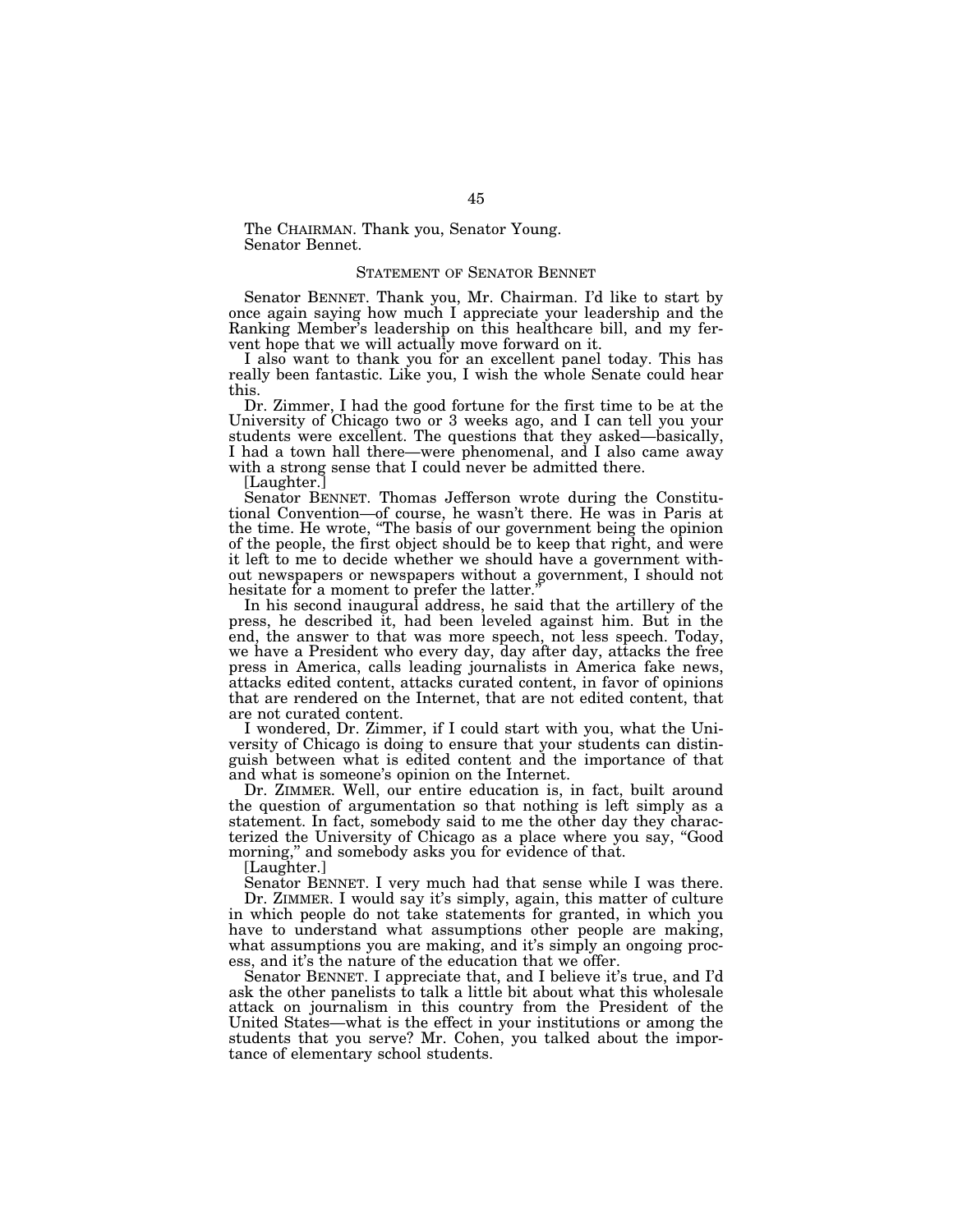The CHAIRMAN. Thank you, Senator Young. Senator Bennet.

# STATEMENT OF SENATOR BENNET

Senator BENNET. Thank you, Mr. Chairman. I'd like to start by once again saying how much I appreciate your leadership and the Ranking Member's leadership on this healthcare bill, and my fervent hope that we will actually move forward on it.

I also want to thank you for an excellent panel today. This has really been fantastic. Like you, I wish the whole Senate could hear this.

Dr. Zimmer, I had the good fortune for the first time to be at the University of Chicago two or 3 weeks ago, and I can tell you your students were excellent. The questions that they asked—basically, I had a town hall there—were phenomenal, and I also came away with a strong sense that I could never be admitted there.

[Laughter.]

Senator BENNET. Thomas Jefferson wrote during the Constitutional Convention—of course, he wasn't there. He was in Paris at the time. He wrote, ''The basis of our government being the opinion of the people, the first object should be to keep that right, and were it left to me to decide whether we should have a government without newspapers or newspapers without a government, I should not hesitate for a moment to prefer the latter.

In his second inaugural address, he said that the artillery of the press, he described it, had been leveled against him. But in the end, the answer to that was more speech, not less speech. Today, we have a President who every day, day after day, attacks the free press in America, calls leading journalists in America fake news, attacks edited content, attacks curated content, in favor of opinions that are rendered on the Internet, that are not edited content, that are not curated content.

I wondered, Dr. Zimmer, if I could start with you, what the University of Chicago is doing to ensure that your students can distinguish between what is edited content and the importance of that and what is someone's opinion on the Internet.

Dr. ZIMMER. Well, our entire education is, in fact, built around the question of argumentation so that nothing is left simply as a statement. In fact, somebody said to me the other day they characterized the University of Chicago as a place where you say, ''Good morning,'' and somebody asks you for evidence of that.

[Laughter.]

Senator BENNET. I very much had that sense while I was there. Dr. ZIMMER. I would say it's simply, again, this matter of culture in which people do not take statements for granted, in which you have to understand what assumptions other people are making, what assumptions you are making, and it's simply an ongoing process, and it's the nature of the education that we offer.

Senator BENNET. I appreciate that, and I believe it's true, and I'd ask the other panelists to talk a little bit about what this wholesale attack on journalism in this country from the President of the United States—what is the effect in your institutions or among the students that you serve? Mr. Cohen, you talked about the importance of elementary school students.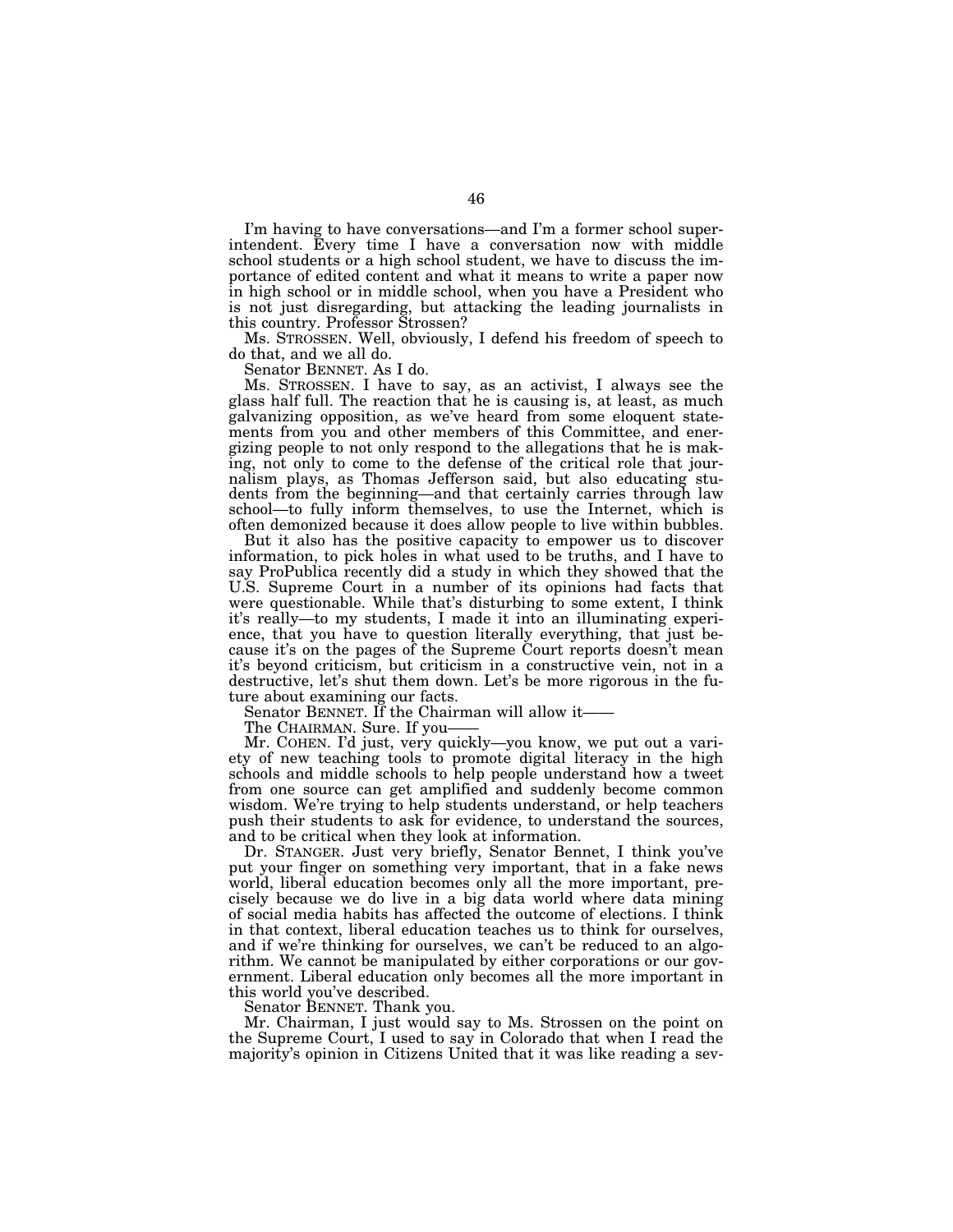I'm having to have conversations—and I'm a former school superintendent. Every time I have a conversation now with middle school students or a high school student, we have to discuss the importance of edited content and what it means to write a paper now in high school or in middle school, when you have a President who is not just disregarding, but attacking the leading journalists in this country. Professor Strossen?

Ms. STROSSEN. Well, obviously, I defend his freedom of speech to do that, and we all do.

Senator BENNET. As I do.

Ms. STROSSEN. I have to say, as an activist, I always see the glass half full. The reaction that he is causing is, at least, as much galvanizing opposition, as we've heard from some eloquent statements from you and other members of this Committee, and energizing people to not only respond to the allegations that he is making, not only to come to the defense of the critical role that journalism plays, as Thomas Jefferson said, but also educating students from the beginning—and that certainly carries through law school—to fully inform themselves, to use the Internet, which is often demonized because it does allow people to live within bubbles.

But it also has the positive capacity to empower us to discover information, to pick holes in what used to be truths, and I have to say ProPublica recently did a study in which they showed that the U.S. Supreme Court in a number of its opinions had facts that were questionable. While that's disturbing to some extent, I think it's really—to my students, I made it into an illuminating experience, that you have to question literally everything, that just because it's on the pages of the Supreme Court reports doesn't mean it's beyond criticism, but criticism in a constructive vein, not in a destructive, let's shut them down. Let's be more rigorous in the future about examining our facts.

Senator BENNET. If the Chairman will allow it——

The CHAIRMAN. Sure. If you-

Mr. COHEN. I'd just, very quickly—you know, we put out a variety of new teaching tools to promote digital literacy in the high schools and middle schools to help people understand how a tweet from one source can get amplified and suddenly become common wisdom. We're trying to help students understand, or help teachers push their students to ask for evidence, to understand the sources, and to be critical when they look at information.

Dr. STANGER. Just very briefly, Senator Bennet, I think you've put your finger on something very important, that in a fake news world, liberal education becomes only all the more important, precisely because we do live in a big data world where data mining of social media habits has affected the outcome of elections. I think in that context, liberal education teaches us to think for ourselves, and if we're thinking for ourselves, we can't be reduced to an algorithm. We cannot be manipulated by either corporations or our government. Liberal education only becomes all the more important in this world you've described.

Senator BENNET. Thank you.

Mr. Chairman, I just would say to Ms. Strossen on the point on the Supreme Court, I used to say in Colorado that when I read the majority's opinion in Citizens United that it was like reading a sev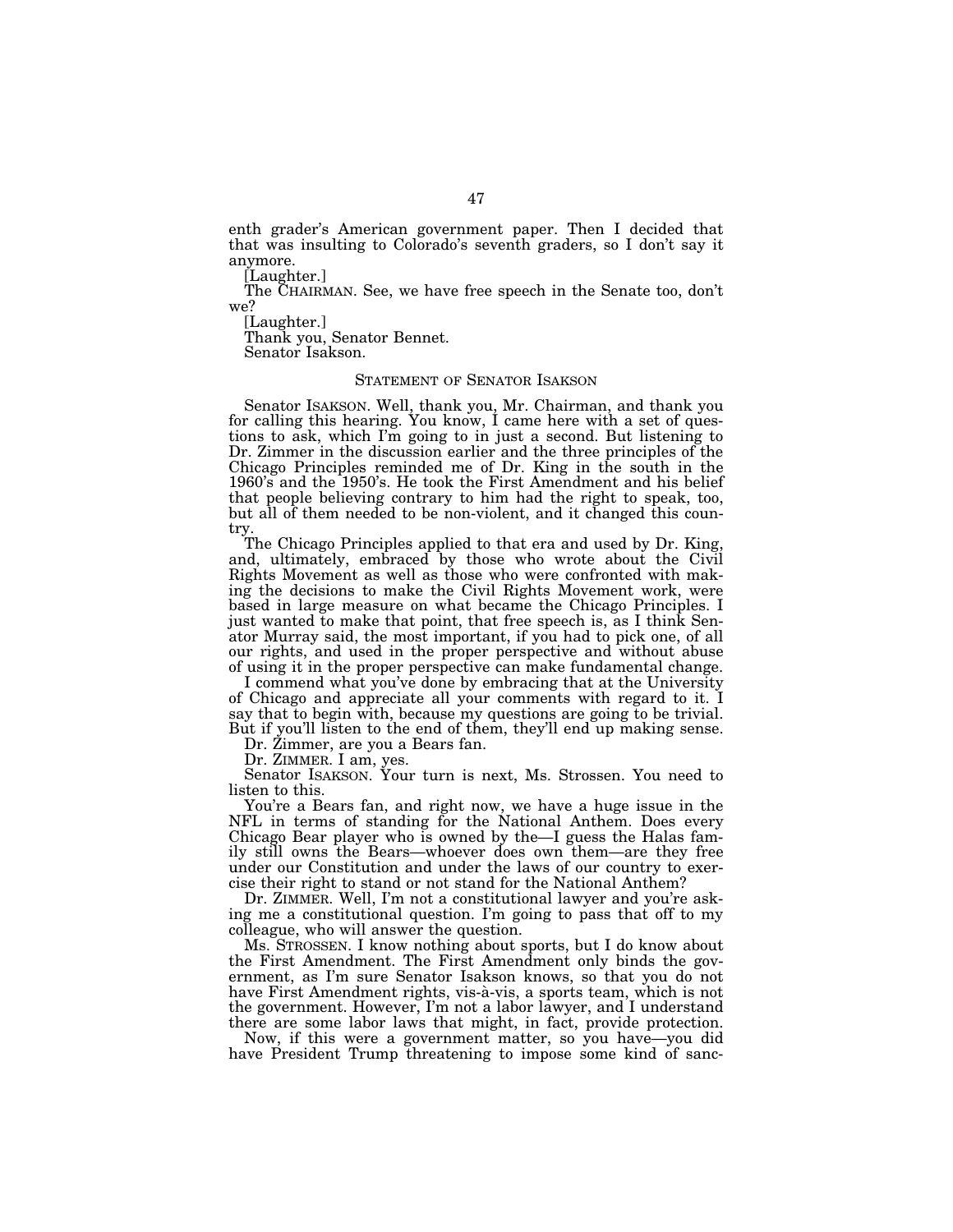enth grader's American government paper. Then I decided that that was insulting to Colorado's seventh graders, so I don't say it anymore.

[Laughter.]

The CHAIRMAN. See, we have free speech in the Senate too, don't we?

[Laughter.]

Thank you, Senator Bennet.

Senator Isakson.

### STATEMENT OF SENATOR ISAKSON

Senator ISAKSON. Well, thank you, Mr. Chairman, and thank you for calling this hearing. You know, I came here with a set of questions to ask, which I'm going to in just a second. But listening to Dr. Zimmer in the discussion earlier and the three principles of the Chicago Principles reminded me of Dr. King in the south in the 1960's and the 1950's. He took the First Amendment and his belief that people believing contrary to him had the right to speak, too, but all of them needed to be non-violent, and it changed this country.

The Chicago Principles applied to that era and used by Dr. King, and, ultimately, embraced by those who wrote about the Civil Rights Movement as well as those who were confronted with making the decisions to make the Civil Rights Movement work, were based in large measure on what became the Chicago Principles. I just wanted to make that point, that free speech is, as I think Senator Murray said, the most important, if you had to pick one, of all our rights, and used in the proper perspective and without abuse of using it in the proper perspective can make fundamental change.

I commend what you've done by embracing that at the University of Chicago and appreciate all your comments with regard to it. I say that to begin with, because my questions are going to be trivial. But if you'll listen to the end of them, they'll end up making sense.

Dr. Zimmer, are you a Bears fan.

Dr. ZIMMER. I am, yes.

Senator ISAKSON. Your turn is next, Ms. Strossen. You need to listen to this.

You're a Bears fan, and right now, we have a huge issue in the NFL in terms of standing for the National Anthem. Does every Chicago Bear player who is owned by the—I guess the Halas family still owns the Bears—whoever does own them—are they free under our Constitution and under the laws of our country to exercise their right to stand or not stand for the National Anthem?

Dr. ZIMMER. Well, I'm not a constitutional lawyer and you're asking me a constitutional question. I'm going to pass that off to my colleague, who will answer the question.

Ms. STROSSEN. I know nothing about sports, but I do know about the First Amendment. The First Amendment only binds the government, as I'm sure Senator Isakson knows, so that you do not have First Amendment rights, vis-à-vis, a sports team, which is not the government. However, I'm not a labor lawyer, and I understand there are some labor laws that might, in fact, provide protection.

Now, if this were a government matter, so you have—you did have President Trump threatening to impose some kind of sanc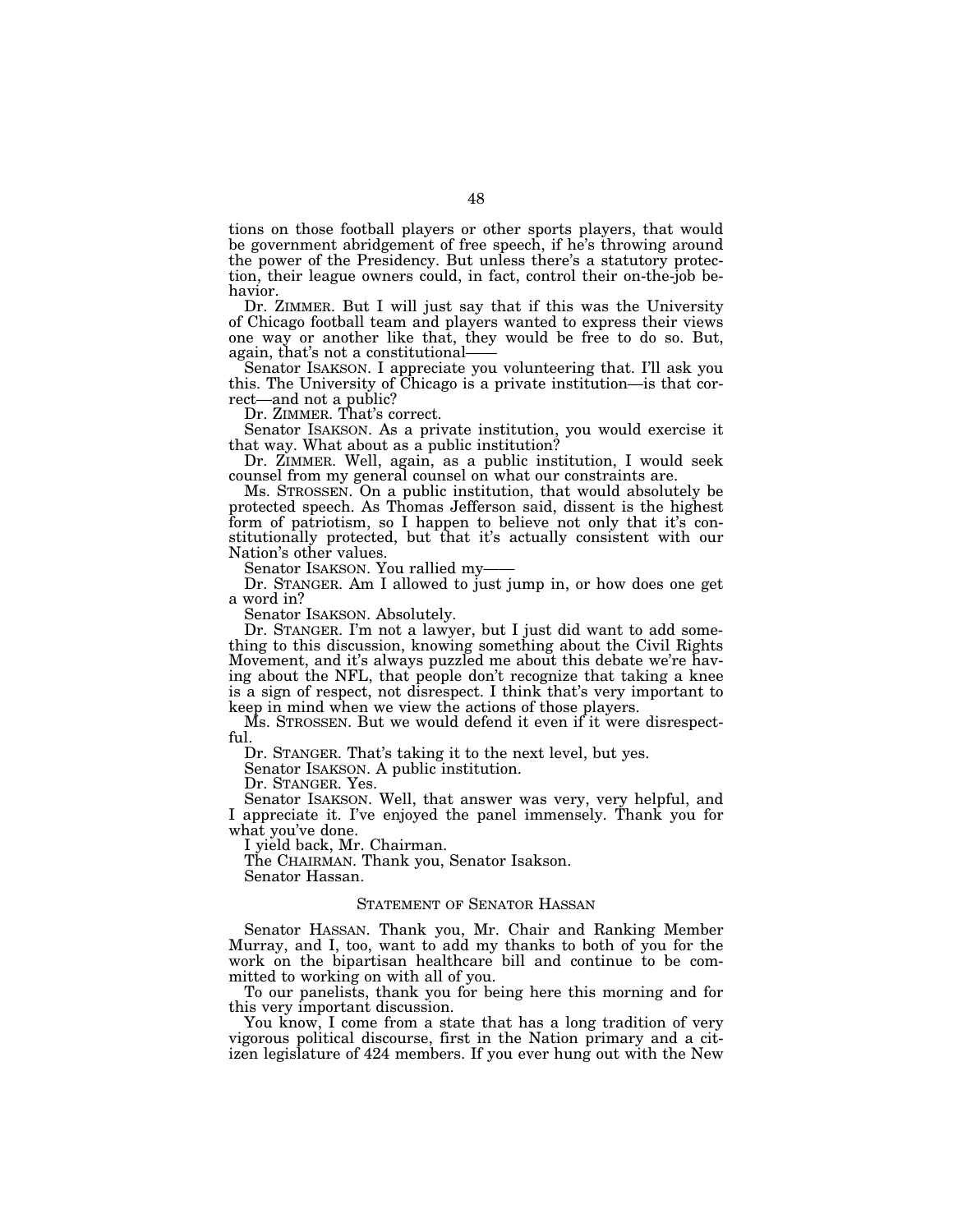tions on those football players or other sports players, that would be government abridgement of free speech, if he's throwing around the power of the Presidency. But unless there's a statutory protection, their league owners could, in fact, control their on-the-job behavior.

Dr. ZIMMER. But I will just say that if this was the University of Chicago football team and players wanted to express their views one way or another like that, they would be free to do so. But, again, that's not a constitutional——

Senator ISAKSON. I appreciate you volunteering that. I'll ask you this. The University of Chicago is a private institution—is that correct—and not a public?

Dr. ZIMMER. That's correct.

Senator ISAKSON. As a private institution, you would exercise it that way. What about as a public institution?

Dr. ZIMMER. Well, again, as a public institution, I would seek counsel from my general counsel on what our constraints are.

Ms. STROSSEN. On a public institution, that would absolutely be protected speech. As Thomas Jefferson said, dissent is the highest form of patriotism, so I happen to believe not only that it's constitutionally protected, but that it's actually consistent with our Nation's other values.

Senator ISAKSON. You rallied my-

Dr. STANGER. Am I allowed to just jump in, or how does one get a word in?

Senator ISAKSON. Absolutely.

Dr. STANGER. I'm not a lawyer, but I just did want to add something to this discussion, knowing something about the Civil Rights Movement, and it's always puzzled me about this debate we're having about the NFL, that people don't recognize that taking a knee is a sign of respect, not disrespect. I think that's very important to keep in mind when we view the actions of those players.

Ms. STROSSEN. But we would defend it even if it were disrespectful.

Dr. STANGER. That's taking it to the next level, but yes.

Senator ISAKSON. A public institution.

Dr. STANGER. Yes.

Senator ISAKSON. Well, that answer was very, very helpful, and I appreciate it. I've enjoyed the panel immensely. Thank you for what you've done.

I yield back, Mr. Chairman.

The CHAIRMAN. Thank you, Senator Isakson. Senator Hassan.

### STATEMENT OF SENATOR HASSAN

Senator HASSAN. Thank you, Mr. Chair and Ranking Member Murray, and I, too, want to add my thanks to both of you for the work on the bipartisan healthcare bill and continue to be committed to working on with all of you.

To our panelists, thank you for being here this morning and for this very important discussion.

You know, I come from a state that has a long tradition of very vigorous political discourse, first in the Nation primary and a citizen legislature of 424 members. If you ever hung out with the New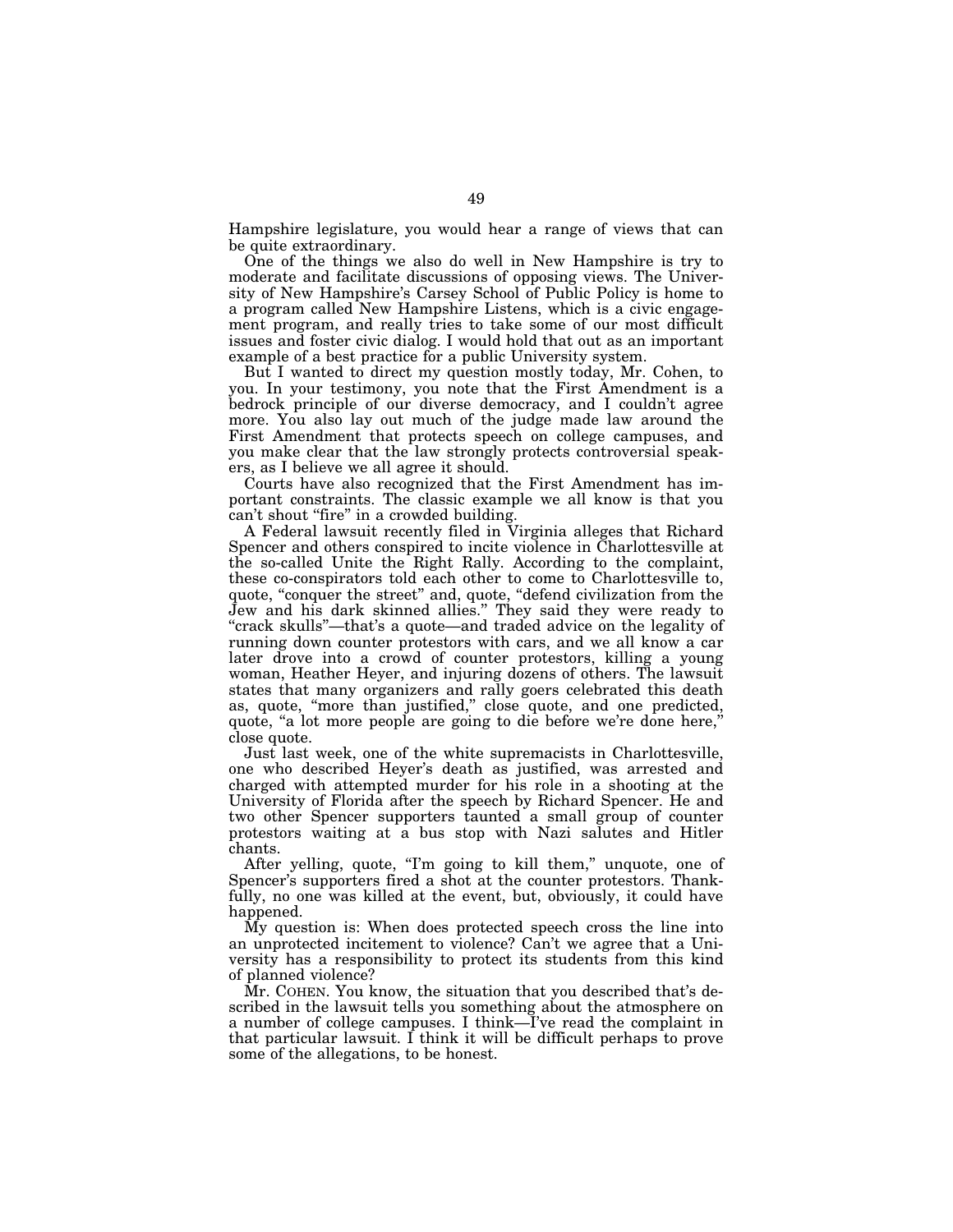Hampshire legislature, you would hear a range of views that can be quite extraordinary.

One of the things we also do well in New Hampshire is try to moderate and facilitate discussions of opposing views. The University of New Hampshire's Carsey School of Public Policy is home to a program called New Hampshire Listens, which is a civic engagement program, and really tries to take some of our most difficult issues and foster civic dialog. I would hold that out as an important example of a best practice for a public University system.

But I wanted to direct my question mostly today, Mr. Cohen, to you. In your testimony, you note that the First Amendment is a bedrock principle of our diverse democracy, and I couldn't agree more. You also lay out much of the judge made law around the First Amendment that protects speech on college campuses, and you make clear that the law strongly protects controversial speakers, as I believe we all agree it should.

Courts have also recognized that the First Amendment has important constraints. The classic example we all know is that you can't shout "fire" in a crowded building.

A Federal lawsuit recently filed in Virginia alleges that Richard Spencer and others conspired to incite violence in Charlottesville at the so-called Unite the Right Rally. According to the complaint, these co-conspirators told each other to come to Charlottesville to, quote, "conquer the street" and, quote, "defend civilization from the Jew and his dark skinned allies.'' They said they were ready to ''crack skulls''—that's a quote—and traded advice on the legality of running down counter protestors with cars, and we all know a car later drove into a crowd of counter protestors, killing a young woman, Heather Heyer, and injuring dozens of others. The lawsuit states that many organizers and rally goers celebrated this death as, quote, "more than justified," close quote, and one predicted, quote, "a lot more people are going to die before we're done here," close quote.

Just last week, one of the white supremacists in Charlottesville, one who described Heyer's death as justified, was arrested and charged with attempted murder for his role in a shooting at the University of Florida after the speech by Richard Spencer. He and two other Spencer supporters taunted a small group of counter protestors waiting at a bus stop with Nazi salutes and Hitler chants.

After yelling, quote, "I'm going to kill them," unquote, one of Spencer's supporters fired a shot at the counter protestors. Thankfully, no one was killed at the event, but, obviously, it could have happened.

My question is: When does protected speech cross the line into an unprotected incitement to violence? Can't we agree that a University has a responsibility to protect its students from this kind of planned violence?

Mr. COHEN. You know, the situation that you described that's described in the lawsuit tells you something about the atmosphere on a number of college campuses. I think—I've read the complaint in that particular lawsuit. I think it will be difficult perhaps to prove some of the allegations, to be honest.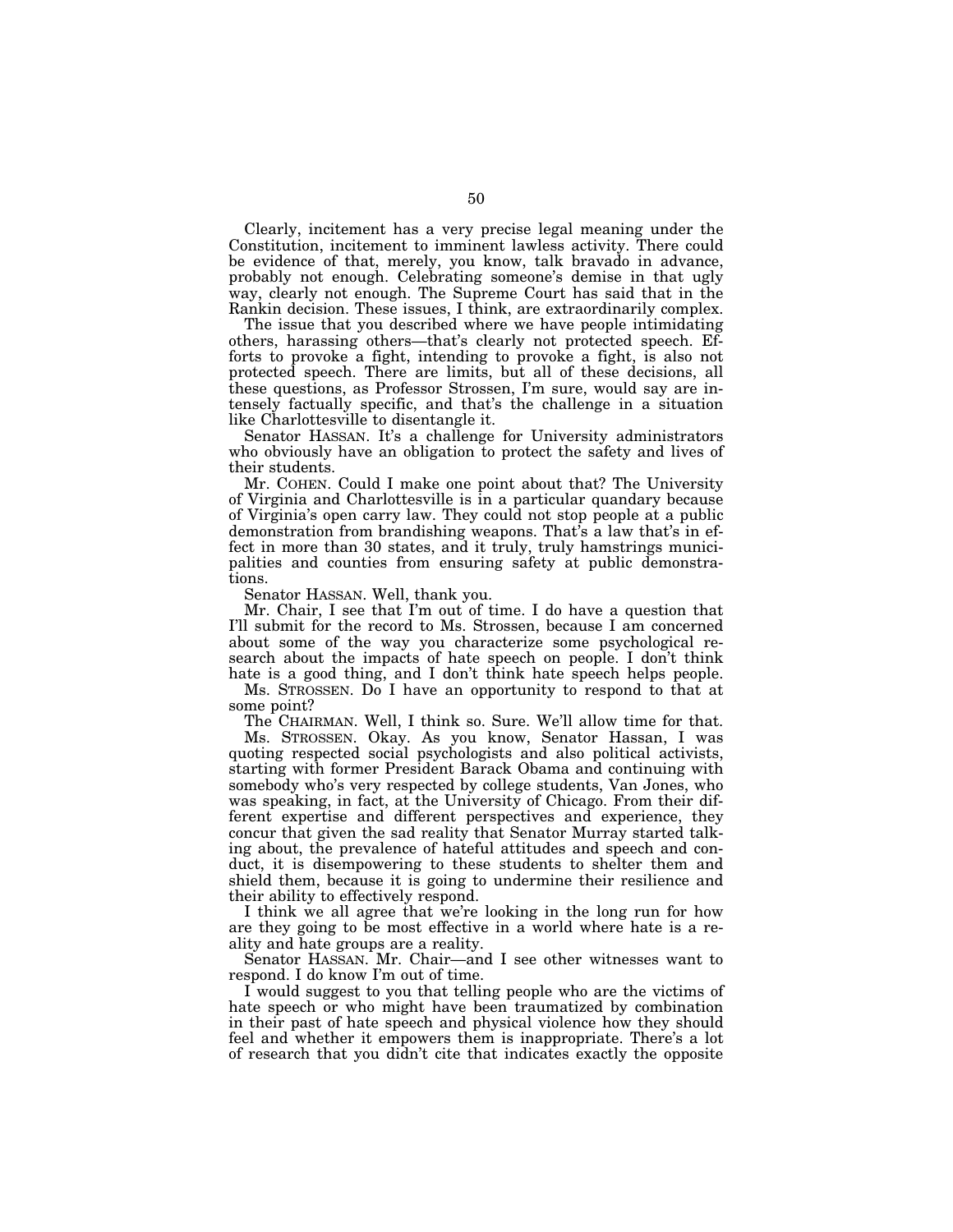Clearly, incitement has a very precise legal meaning under the Constitution, incitement to imminent lawless activity. There could be evidence of that, merely, you know, talk bravado in advance, probably not enough. Celebrating someone's demise in that ugly way, clearly not enough. The Supreme Court has said that in the Rankin decision. These issues, I think, are extraordinarily complex.

The issue that you described where we have people intimidating others, harassing others—that's clearly not protected speech. Efforts to provoke a fight, intending to provoke a fight, is also not protected speech. There are limits, but all of these decisions, all these questions, as Professor Strossen, I'm sure, would say are intensely factually specific, and that's the challenge in a situation like Charlottesville to disentangle it.

Senator HASSAN. It's a challenge for University administrators who obviously have an obligation to protect the safety and lives of their students.

Mr. COHEN. Could I make one point about that? The University of Virginia and Charlottesville is in a particular quandary because of Virginia's open carry law. They could not stop people at a public demonstration from brandishing weapons. That's a law that's in effect in more than 30 states, and it truly, truly hamstrings municipalities and counties from ensuring safety at public demonstrations.

Senator HASSAN. Well, thank you.

Mr. Chair, I see that I'm out of time. I do have a question that I'll submit for the record to Ms. Strossen, because I am concerned about some of the way you characterize some psychological research about the impacts of hate speech on people. I don't think hate is a good thing, and I don't think hate speech helps people.

Ms. STROSSEN. Do I have an opportunity to respond to that at some point?

The CHAIRMAN. Well, I think so. Sure. We'll allow time for that.

Ms. STROSSEN. Okay. As you know, Senator Hassan, I was quoting respected social psychologists and also political activists, starting with former President Barack Obama and continuing with somebody who's very respected by college students, Van Jones, who was speaking, in fact, at the University of Chicago. From their different expertise and different perspectives and experience, they concur that given the sad reality that Senator Murray started talking about, the prevalence of hateful attitudes and speech and conduct, it is disempowering to these students to shelter them and shield them, because it is going to undermine their resilience and their ability to effectively respond.

I think we all agree that we're looking in the long run for how are they going to be most effective in a world where hate is a reality and hate groups are a reality.

Senator HASSAN. Mr. Chair—and I see other witnesses want to respond. I do know I'm out of time.

I would suggest to you that telling people who are the victims of hate speech or who might have been traumatized by combination in their past of hate speech and physical violence how they should feel and whether it empowers them is inappropriate. There's a lot of research that you didn't cite that indicates exactly the opposite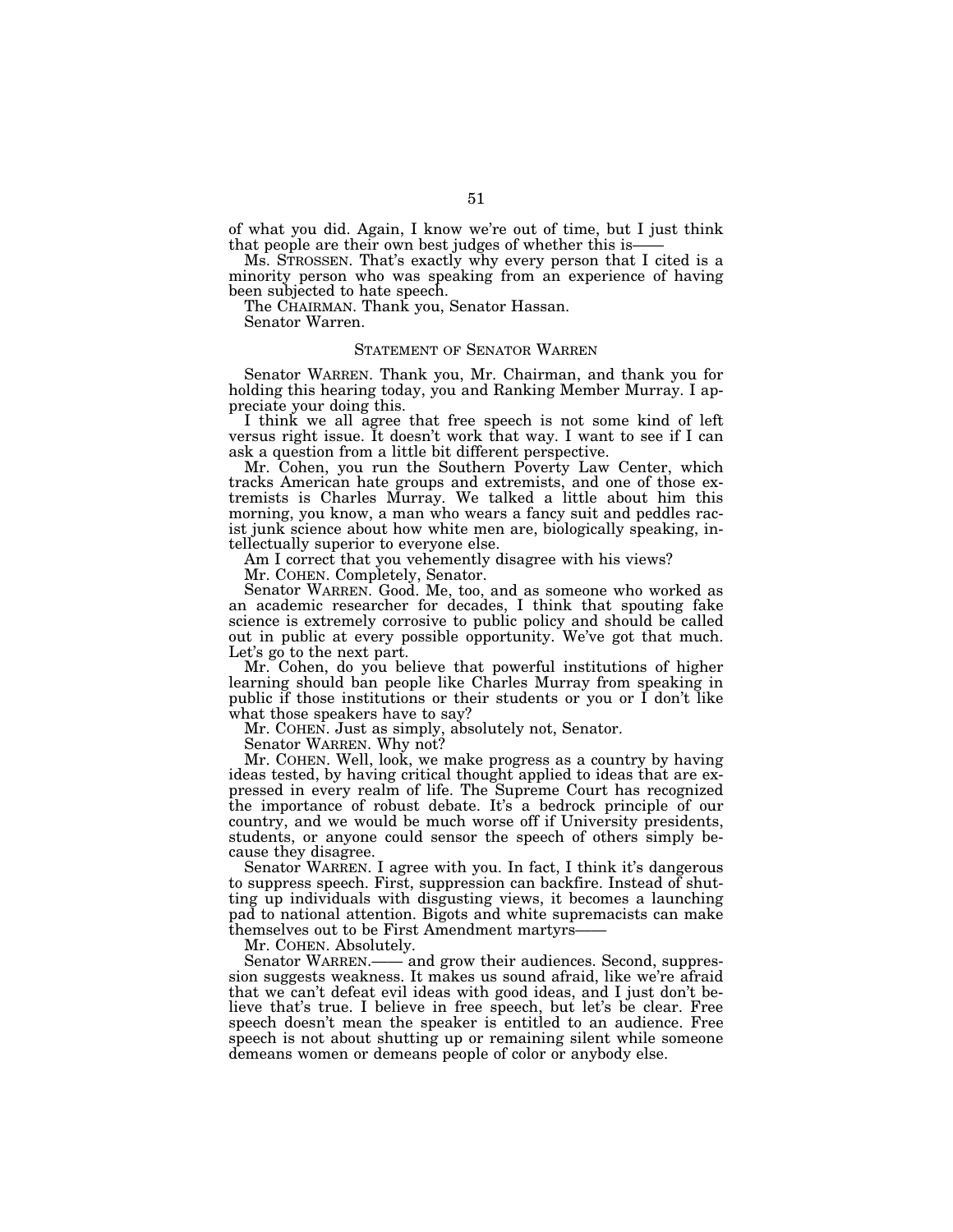of what you did. Again, I know we're out of time, but I just think that people are their own best judges of whether this is——

Ms. STROSSEN. That's exactly why every person that I cited is a minority person who was speaking from an experience of having been subjected to hate speech.

The CHAIRMAN. Thank you, Senator Hassan.

Senator Warren.

### STATEMENT OF SENATOR WARREN

Senator WARREN. Thank you, Mr. Chairman, and thank you for holding this hearing today, you and Ranking Member Murray. I appreciate your doing this.

I think we all agree that free speech is not some kind of left versus right issue. It doesn't work that way. I want to see if I can ask a question from a little bit different perspective.

Mr. Cohen, you run the Southern Poverty Law Center, which tracks American hate groups and extremists, and one of those extremists is Charles Murray. We talked a little about him this morning, you know, a man who wears a fancy suit and peddles racist junk science about how white men are, biologically speaking, intellectually superior to everyone else.

Am I correct that you vehemently disagree with his views?

Mr. COHEN. Completely, Senator.

Senator WARREN. Good. Me, too, and as someone who worked as an academic researcher for decades, I think that spouting fake science is extremely corrosive to public policy and should be called out in public at every possible opportunity. We've got that much. Let's go to the next part.

Mr. Cohen, do you believe that powerful institutions of higher learning should ban people like Charles Murray from speaking in public if those institutions or their students or you or I don't like what those speakers have to say?

Mr. COHEN. Just as simply, absolutely not, Senator.

Senator WARREN. Why not?

Mr. COHEN. Well, look, we make progress as a country by having ideas tested, by having critical thought applied to ideas that are expressed in every realm of life. The Supreme Court has recognized the importance of robust debate. It's a bedrock principle of our country, and we would be much worse off if University presidents, students, or anyone could sensor the speech of others simply because they disagree.

Senator WARREN. I agree with you. In fact, I think it's dangerous to suppress speech. First, suppression can backfire. Instead of shutting up individuals with disgusting views, it becomes a launching pad to national attention. Bigots and white supremacists can make themselves out to be First Amendment martyrs——

Mr. COHEN. Absolutely.<br>Senator WARREN. ----- a - and grow their audiences. Second, suppression suggests weakness. It makes us sound afraid, like we're afraid that we can't defeat evil ideas with good ideas, and I just don't believe that's true. I believe in free speech, but let's be clear. Free speech doesn't mean the speaker is entitled to an audience. Free speech is not about shutting up or remaining silent while someone demeans women or demeans people of color or anybody else.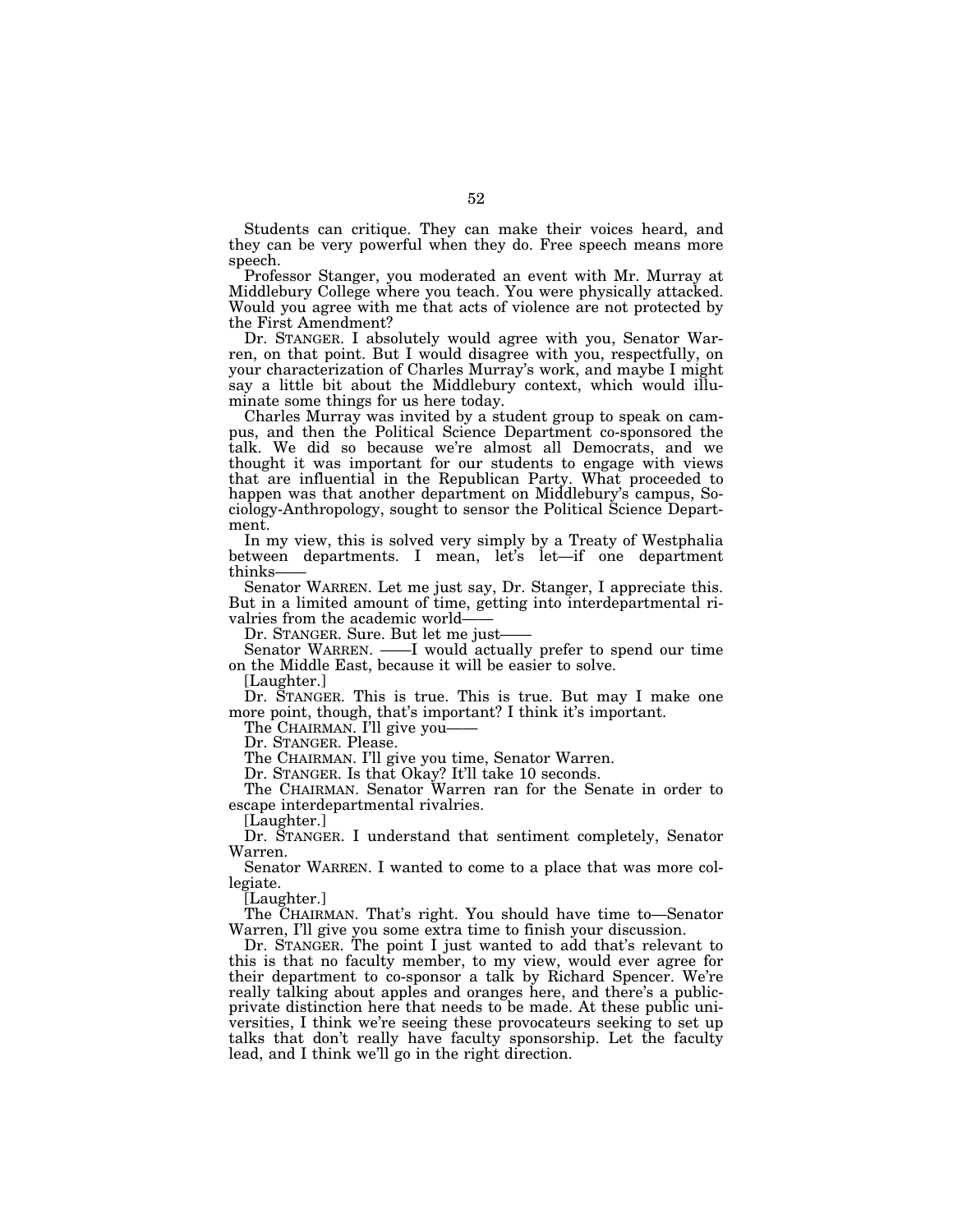Students can critique. They can make their voices heard, and they can be very powerful when they do. Free speech means more speech.

Professor Stanger, you moderated an event with Mr. Murray at Middlebury College where you teach. You were physically attacked. Would you agree with me that acts of violence are not protected by the First Amendment?

Dr. STANGER. I absolutely would agree with you, Senator Warren, on that point. But I would disagree with you, respectfully, on your characterization of Charles Murray's work, and maybe I might say a little bit about the Middlebury context, which would illuminate some things for us here today.

Charles Murray was invited by a student group to speak on campus, and then the Political Science Department co-sponsored the talk. We did so because we're almost all Democrats, and we thought it was important for our students to engage with views that are influential in the Republican Party. What proceeded to happen was that another department on Middlebury's campus, Sociology-Anthropology, sought to sensor the Political Science Department.

In my view, this is solved very simply by a Treaty of Westphalia between departments. I mean, let's let—if one department thinks

Senator WARREN. Let me just say, Dr. Stanger, I appreciate this. But in a limited amount of time, getting into interdepartmental rivalries from the academic world——

Dr. STANGER. Sure. But let me just-

Senator WARREN. ——I would actually prefer to spend our time on the Middle East, because it will be easier to solve.

[Laughter.]

Dr. STANGER. This is true. This is true. But may I make one more point, though, that's important? I think it's important.

The CHAIRMAN. I'll give you-

Dr. STANGER. Please.

The CHAIRMAN. I'll give you time, Senator Warren.

Dr. STANGER. Is that Okay? It'll take 10 seconds.

The CHAIRMAN. Senator Warren ran for the Senate in order to escape interdepartmental rivalries.

[Laughter.]

Dr. STANGER. I understand that sentiment completely, Senator Warren.

Senator WARREN. I wanted to come to a place that was more collegiate.

[Laughter.]

The CHAIRMAN. That's right. You should have time to—Senator Warren, I'll give you some extra time to finish your discussion.

Dr. STANGER. The point I just wanted to add that's relevant to this is that no faculty member, to my view, would ever agree for their department to co-sponsor a talk by Richard Spencer. We're really talking about apples and oranges here, and there's a publicprivate distinction here that needs to be made. At these public universities, I think we're seeing these provocateurs seeking to set up talks that don't really have faculty sponsorship. Let the faculty lead, and I think we'll go in the right direction.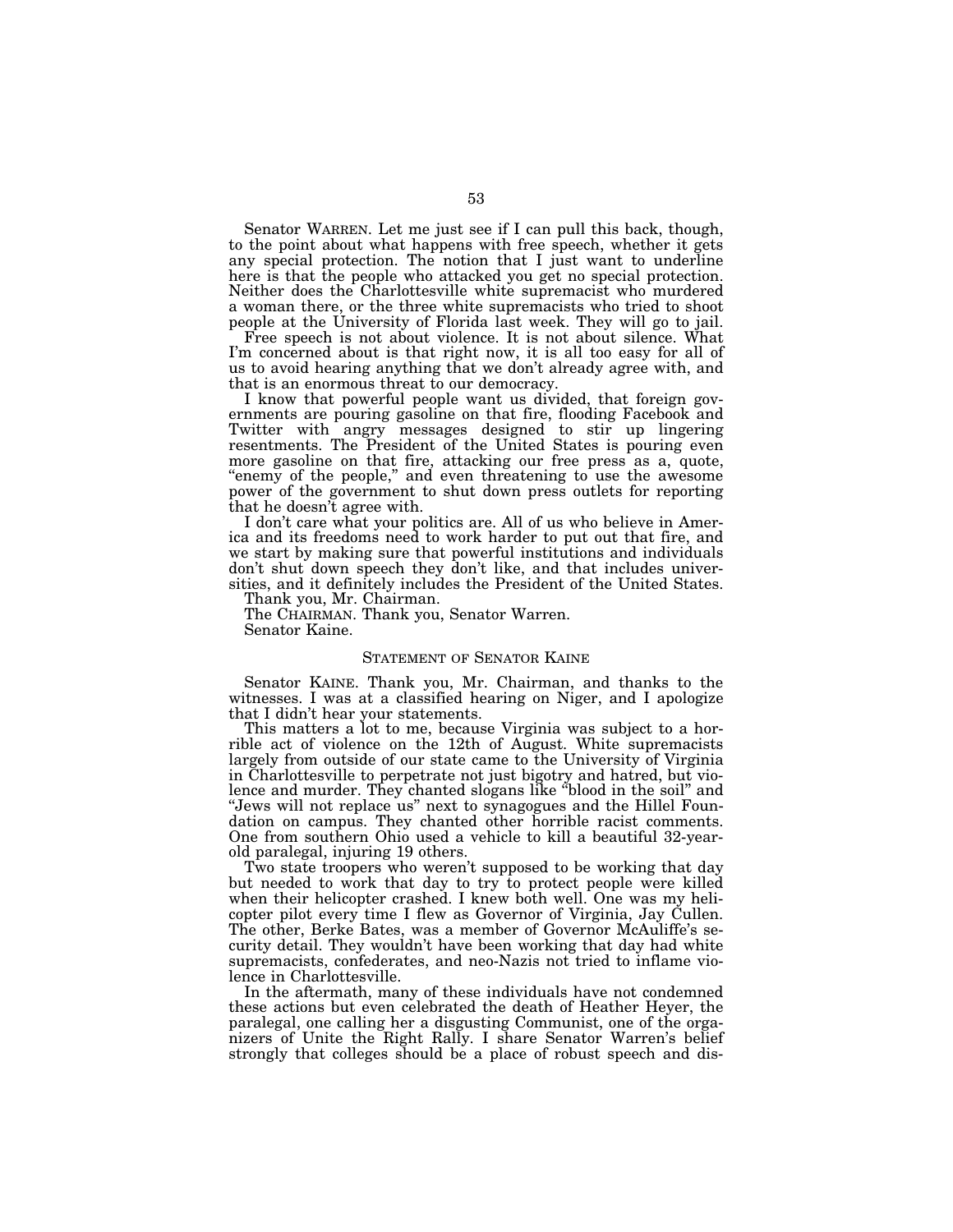Senator WARREN. Let me just see if I can pull this back, though, to the point about what happens with free speech, whether it gets any special protection. The notion that I just want to underline here is that the people who attacked you get no special protection. Neither does the Charlottesville white supremacist who murdered a woman there, or the three white supremacists who tried to shoot people at the University of Florida last week. They will go to jail.

Free speech is not about violence. It is not about silence. What I'm concerned about is that right now, it is all too easy for all of us to avoid hearing anything that we don't already agree with, and that is an enormous threat to our democracy.

I know that powerful people want us divided, that foreign governments are pouring gasoline on that fire, flooding Facebook and Twitter with angry messages designed to stir up lingering resentments. The President of the United States is pouring even more gasoline on that fire, attacking our free press as a, quote, ''enemy of the people,'' and even threatening to use the awesome power of the government to shut down press outlets for reporting that he doesn't agree with.

I don't care what your politics are. All of us who believe in America and its freedoms need to work harder to put out that fire, and we start by making sure that powerful institutions and individuals don't shut down speech they don't like, and that includes universities, and it definitely includes the President of the United States.

Thank you, Mr. Chairman.

The CHAIRMAN. Thank you, Senator Warren.

Senator Kaine.

## STATEMENT OF SENATOR KAINE

Senator KAINE. Thank you, Mr. Chairman, and thanks to the witnesses. I was at a classified hearing on Niger, and I apologize that I didn't hear your statements.

This matters a lot to me, because Virginia was subject to a horrible act of violence on the 12th of August. White supremacists largely from outside of our state came to the University of Virginia in Charlottesville to perpetrate not just bigotry and hatred, but violence and murder. They chanted slogans like ''blood in the soil'' and ''Jews will not replace us'' next to synagogues and the Hillel Foundation on campus. They chanted other horrible racist comments. One from southern Ohio used a vehicle to kill a beautiful 32-yearold paralegal, injuring 19 others.

Two state troopers who weren't supposed to be working that day but needed to work that day to try to protect people were killed when their helicopter crashed. I knew both well. One was my helicopter pilot every time I flew as Governor of Virginia, Jay Cullen. The other, Berke Bates, was a member of Governor McAuliffe's security detail. They wouldn't have been working that day had white supremacists, confederates, and neo-Nazis not tried to inflame violence in Charlottesville.

In the aftermath, many of these individuals have not condemned these actions but even celebrated the death of Heather Heyer, the paralegal, one calling her a disgusting Communist, one of the organizers of Unite the Right Rally. I share Senator Warren's belief strongly that colleges should be a place of robust speech and dis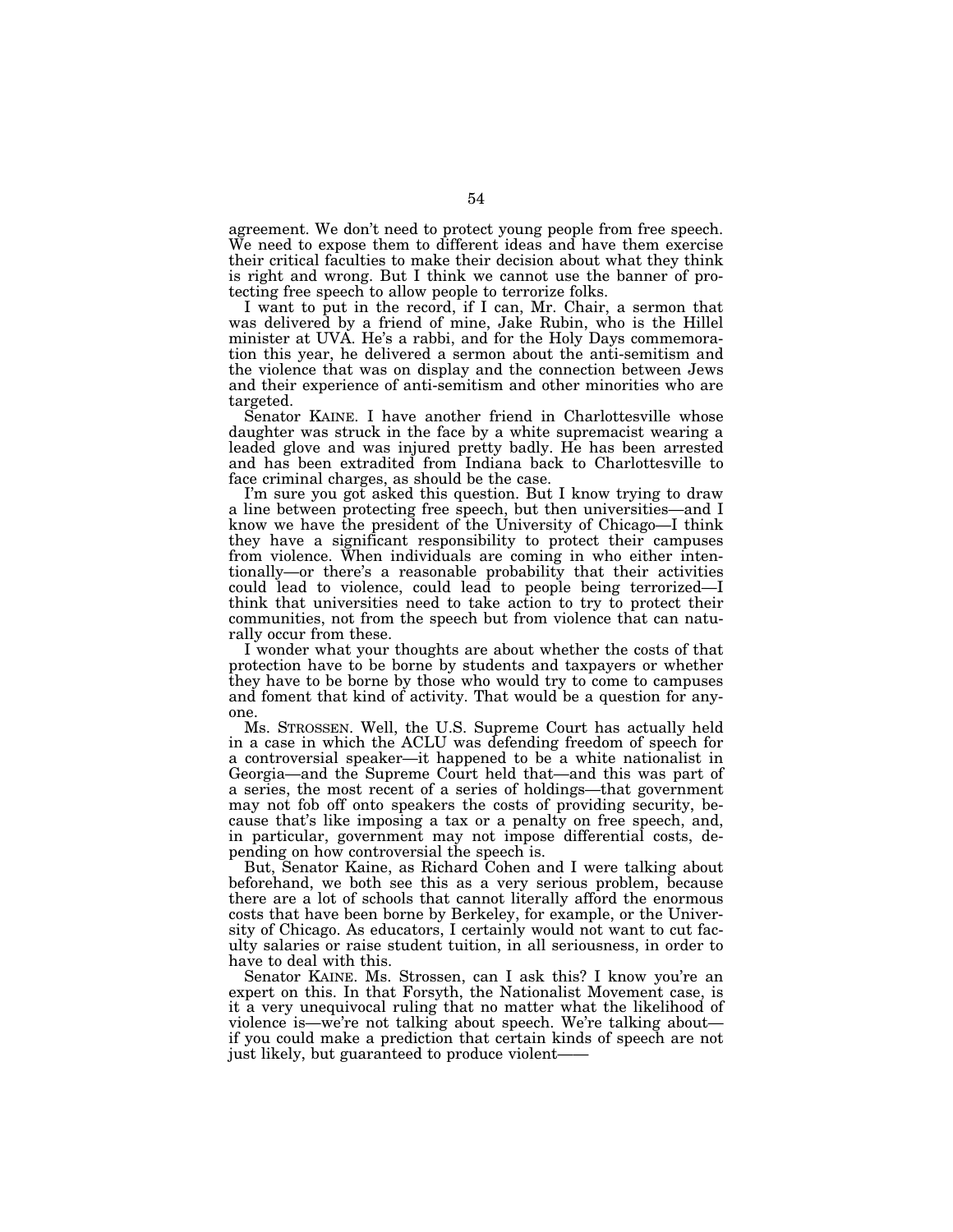agreement. We don't need to protect young people from free speech. We need to expose them to different ideas and have them exercise their critical faculties to make their decision about what they think is right and wrong. But I think we cannot use the banner of protecting free speech to allow people to terrorize folks.

I want to put in the record, if I can, Mr. Chair, a sermon that was delivered by a friend of mine, Jake Rubin, who is the Hillel minister at UVA. He's a rabbi, and for the Holy Days commemoration this year, he delivered a sermon about the anti-semitism and the violence that was on display and the connection between Jews and their experience of anti-semitism and other minorities who are targeted.

Senator KAINE. I have another friend in Charlottesville whose daughter was struck in the face by a white supremacist wearing a leaded glove and was injured pretty badly. He has been arrested and has been extradited from Indiana back to Charlottesville to face criminal charges, as should be the case.

I'm sure you got asked this question. But I know trying to draw a line between protecting free speech, but then universities—and I know we have the president of the University of Chicago—I think they have a significant responsibility to protect their campuses from violence. When individuals are coming in who either intentionally—or there's a reasonable probability that their activities could lead to violence, could lead to people being terrorized—I think that universities need to take action to try to protect their communities, not from the speech but from violence that can naturally occur from these.

I wonder what your thoughts are about whether the costs of that protection have to be borne by students and taxpayers or whether they have to be borne by those who would try to come to campuses and foment that kind of activity. That would be a question for anyone.

Ms. STROSSEN. Well, the U.S. Supreme Court has actually held in a case in which the ACLU was defending freedom of speech for a controversial speaker—it happened to be a white nationalist in Georgia—and the Supreme Court held that—and this was part of a series, the most recent of a series of holdings—that government may not fob off onto speakers the costs of providing security, because that's like imposing a tax or a penalty on free speech, and, in particular, government may not impose differential costs, depending on how controversial the speech is.

But, Senator Kaine, as Richard Cohen and I were talking about beforehand, we both see this as a very serious problem, because there are a lot of schools that cannot literally afford the enormous costs that have been borne by Berkeley, for example, or the University of Chicago. As educators, I certainly would not want to cut faculty salaries or raise student tuition, in all seriousness, in order to have to deal with this.

Senator KAINE. Ms. Strossen, can I ask this? I know you're an expert on this. In that Forsyth, the Nationalist Movement case, is it a very unequivocal ruling that no matter what the likelihood of violence is—we're not talking about speech. We're talking about if you could make a prediction that certain kinds of speech are not just likely, but guaranteed to produce violent——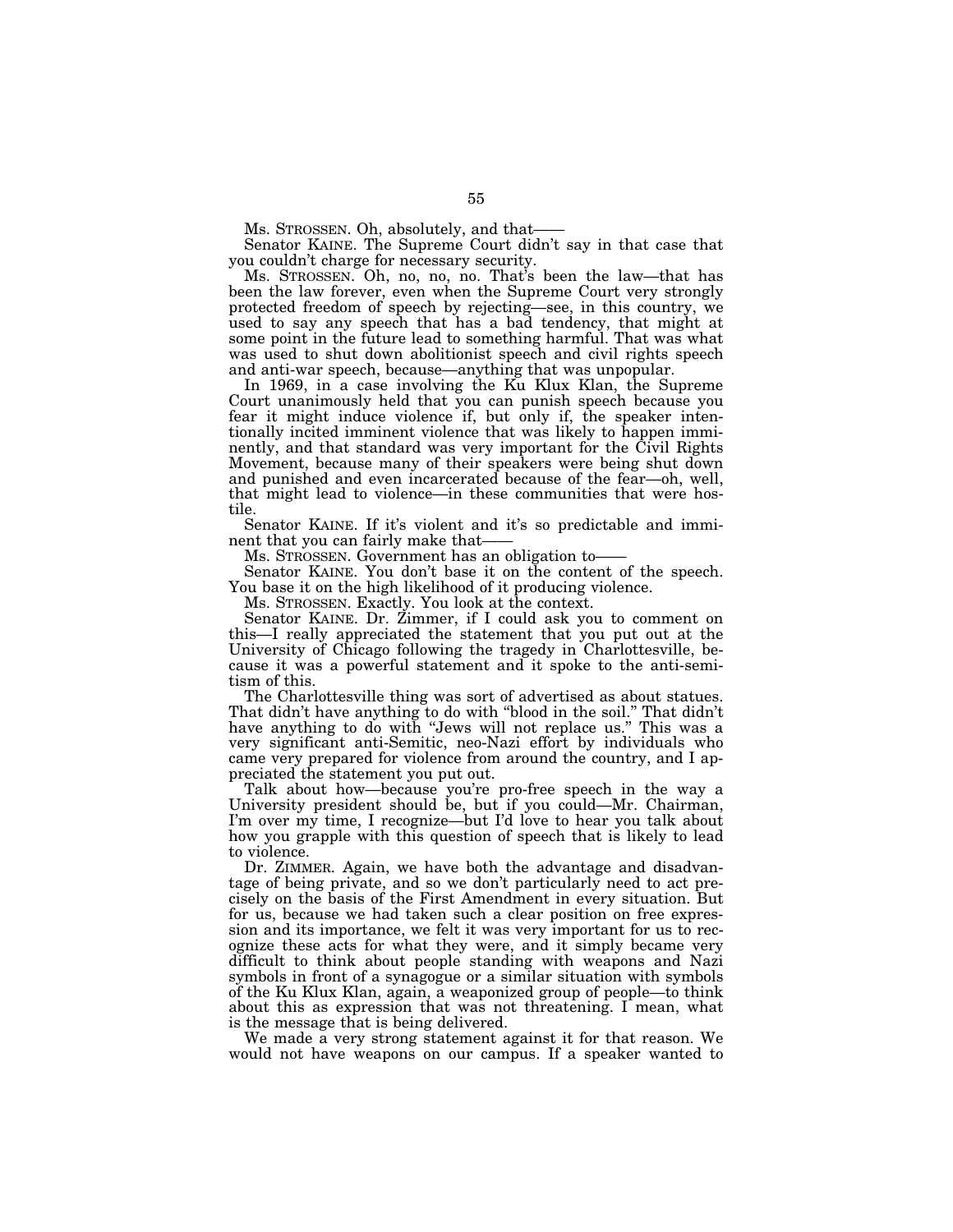Ms. STROSSEN. Oh, absolutely, and that-

Senator KAINE. The Supreme Court didn't say in that case that you couldn't charge for necessary security.

Ms. STROSSEN. Oh, no, no, no. That's been the law—that has been the law forever, even when the Supreme Court very strongly protected freedom of speech by rejecting—see, in this country, we used to say any speech that has a bad tendency, that might at some point in the future lead to something harmful. That was what was used to shut down abolitionist speech and civil rights speech and anti-war speech, because—anything that was unpopular.

In 1969, in a case involving the Ku Klux Klan, the Supreme Court unanimously held that you can punish speech because you fear it might induce violence if, but only if, the speaker intentionally incited imminent violence that was likely to happen imminently, and that standard was very important for the Civil Rights Movement, because many of their speakers were being shut down and punished and even incarcerated because of the fear—oh, well, that might lead to violence—in these communities that were hostile.

Senator KAINE. If it's violent and it's so predictable and imminent that you can fairly make that-

Ms. STROSSEN. Government has an obligation to-

Senator KAINE. You don't base it on the content of the speech. You base it on the high likelihood of it producing violence.

Ms. STROSSEN. Exactly. You look at the context.

Senator KAINE. Dr. Zimmer, if I could ask you to comment on this—I really appreciated the statement that you put out at the University of Chicago following the tragedy in Charlottesville, because it was a powerful statement and it spoke to the anti-semitism of this.

The Charlottesville thing was sort of advertised as about statues. That didn't have anything to do with ''blood in the soil.'' That didn't have anything to do with "Jews will not replace us." This was a very significant anti-Semitic, neo-Nazi effort by individuals who came very prepared for violence from around the country, and I appreciated the statement you put out.

Talk about how—because you're pro-free speech in the way a University president should be, but if you could—Mr. Chairman, I'm over my time, I recognize—but I'd love to hear you talk about how you grapple with this question of speech that is likely to lead to violence.

Dr. ZIMMER. Again, we have both the advantage and disadvantage of being private, and so we don't particularly need to act precisely on the basis of the First Amendment in every situation. But for us, because we had taken such a clear position on free expression and its importance, we felt it was very important for us to recognize these acts for what they were, and it simply became very difficult to think about people standing with weapons and Nazi symbols in front of a synagogue or a similar situation with symbols of the Ku Klux Klan, again, a weaponized group of people—to think about this as expression that was not threatening. I mean, what is the message that is being delivered.

We made a very strong statement against it for that reason. We would not have weapons on our campus. If a speaker wanted to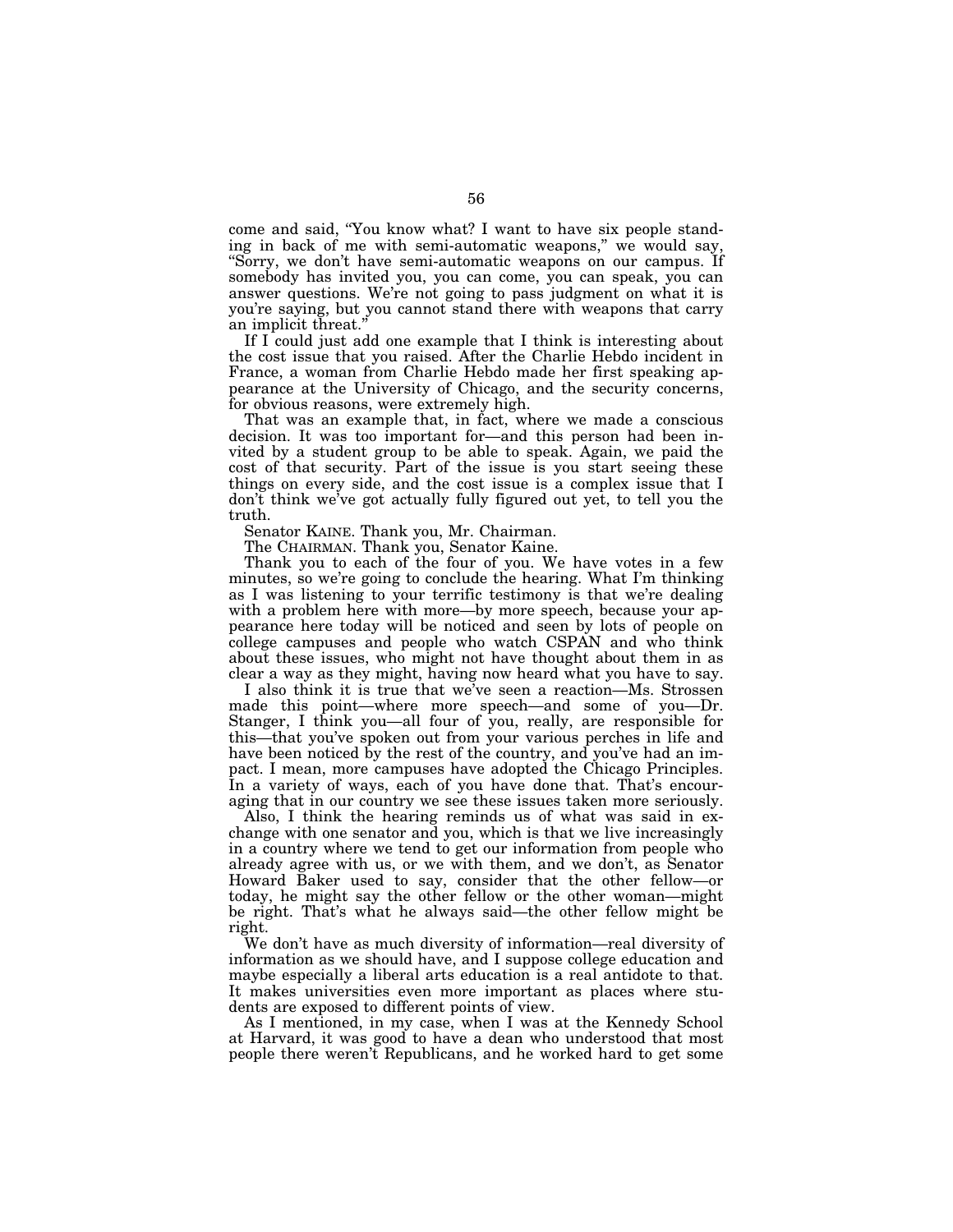come and said, "You know what? I want to have six people standing in back of me with semi-automatic weapons,'' we would say, ''Sorry, we don't have semi-automatic weapons on our campus. If somebody has invited you, you can come, you can speak, you can answer questions. We're not going to pass judgment on what it is you're saying, but you cannot stand there with weapons that carry an implicit threat.''

If I could just add one example that I think is interesting about the cost issue that you raised. After the Charlie Hebdo incident in France, a woman from Charlie Hebdo made her first speaking appearance at the University of Chicago, and the security concerns, for obvious reasons, were extremely high.

That was an example that, in fact, where we made a conscious decision. It was too important for—and this person had been invited by a student group to be able to speak. Again, we paid the cost of that security. Part of the issue is you start seeing these things on every side, and the cost issue is a complex issue that I don't think we've got actually fully figured out yet, to tell you the truth.

Senator KAINE. Thank you, Mr. Chairman.

The CHAIRMAN. Thank you, Senator Kaine.

Thank you to each of the four of you. We have votes in a few minutes, so we're going to conclude the hearing. What I'm thinking as I was listening to your terrific testimony is that we're dealing with a problem here with more—by more speech, because your appearance here today will be noticed and seen by lots of people on college campuses and people who watch CSPAN and who think about these issues, who might not have thought about them in as clear a way as they might, having now heard what you have to say.

I also think it is true that we've seen a reaction—Ms. Strossen made this point—where more speech—and some of you—Dr. Stanger, I think you—all four of you, really, are responsible for this—that you've spoken out from your various perches in life and have been noticed by the rest of the country, and you've had an impact. I mean, more campuses have adopted the Chicago Principles. In a variety of ways, each of you have done that. That's encouraging that in our country we see these issues taken more seriously.

Also, I think the hearing reminds us of what was said in exchange with one senator and you, which is that we live increasingly in a country where we tend to get our information from people who already agree with us, or we with them, and we don't, as Senator Howard Baker used to say, consider that the other fellow—or today, he might say the other fellow or the other woman—might be right. That's what he always said—the other fellow might be right.

We don't have as much diversity of information—real diversity of information as we should have, and I suppose college education and maybe especially a liberal arts education is a real antidote to that. It makes universities even more important as places where students are exposed to different points of view.

As I mentioned, in my case, when I was at the Kennedy School at Harvard, it was good to have a dean who understood that most people there weren't Republicans, and he worked hard to get some